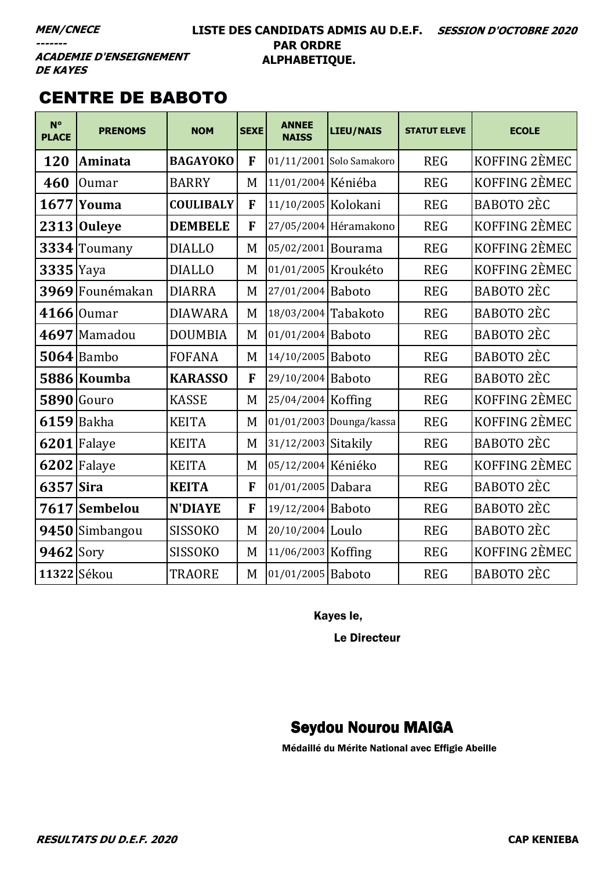### LISTE DES CANDIDATS ADMIS AU D.E.F. SESSION D'OCTOBRE 2020 **PAR ORDRE** ALPHABETIQUE.

**ACADEMIE D'ENSEIGNEMENT DE KAYES** 

# **CENTRE DE BABOTO**

| $N^{\circ}$<br><b>PLACE</b> | <b>PRENOMS</b> | <b>NOM</b>       | <b>SEXE</b> | <b>ANNEE</b><br><b>NAISS</b> | <b>LIEU/NAIS</b>         | <b>STATUT ELEVE</b> | <b>ECOLE</b>      |
|-----------------------------|----------------|------------------|-------------|------------------------------|--------------------------|---------------------|-------------------|
| 120                         | Aminata        | <b>BAGAYOKO</b>  | F           |                              | 01/11/2001 Solo Samakoro | <b>REG</b>          | KOFFING 2ÈMEC     |
| 460                         | <b>Oumar</b>   | <b>BARRY</b>     | M           | 11/01/2004 Kéniéba           |                          | <b>REG</b>          | KOFFING 2EMEC     |
| 1677                        | Youma          | <b>COULIBALY</b> | F           | 11/10/2005 Kolokani          |                          | <b>REG</b>          | BABOTO 2ÈC        |
| 2313                        | <b>Ouleye</b>  | <b>DEMBELE</b>   | F           |                              | 27/05/2004 Héramakono    | <b>REG</b>          | KOFFING 2EMEC     |
|                             | 3334 Toumany   | <b>DIALLO</b>    | M           | 05/02/2001 Bourama           |                          | <b>REG</b>          | KOFFING 2EMEC     |
| $3335$ Yaya                 |                | <b>DIALLO</b>    | M           | 01/01/2005 Kroukéto          |                          | <b>REG</b>          | KOFFING 2ÈMEC     |
| 3969                        | Founémakan     | <b>DIARRA</b>    | M           | 27/01/2004 Baboto            |                          | <b>REG</b>          | <b>BABOTO 2ÈC</b> |
|                             | $4166$  Oumar  | <b>DIAWARA</b>   | M           | 18/03/2004 Tabakoto          |                          | <b>REG</b>          | BABOTO 2ÈC        |
|                             | $4697$ Mamadou | <b>DOUMBIA</b>   | M           | 01/01/2004 Baboto            |                          | <b>REG</b>          | BABOTO 2ÈC        |
|                             | $5064$ Bambo   | <b>FOFANA</b>    | M           | 14/10/2005 Baboto            |                          | <b>REG</b>          | BABOTO 2ÈC        |
|                             | 5886 Koumba    | <b>KARASSO</b>   | F           | 29/10/2004 Baboto            |                          | <b>REG</b>          | BABOTO 2ÈC        |
|                             | $5890$ Gouro   | <b>KASSE</b>     | M           | 25/04/2004 Koffing           |                          | <b>REG</b>          | KOFFING 2ÈMEC     |
|                             | $6159$ Bakha   | <b>KEITA</b>     | M           |                              | 01/01/2003 Dounga/kassa  | <b>REG</b>          | KOFFING 2ÈMEC     |
|                             | $6201$ Falaye  | <b>KEITA</b>     | M           | 31/12/2003 Sitakily          |                          | <b>REG</b>          | BABOTO 2ÈC        |
|                             | $6202$ Falaye  | <b>KEITA</b>     | M           | 05/12/2004 Kéniéko           |                          | <b>REG</b>          | KOFFING 2ÈMEC     |
| 6357 Sira                   |                | <b>KEITA</b>     | F           | 01/01/2005 Dabara            |                          | <b>REG</b>          | BABOTO 2ÈC        |
|                             | 7617 Sembelou  | <b>N'DIAYE</b>   | F           | 19/12/2004 Baboto            |                          | <b>REG</b>          | BABOTO 2ÈC        |
|                             | 9450 Simbangou | <b>SISSOKO</b>   | M           | 20/10/2004 Loulo             |                          | <b>REG</b>          | BABOTO 2ÈC        |
| $9462$ Sory                 |                | <b>SISSOKO</b>   | M           | 11/06/2003 Koffing           |                          | <b>REG</b>          | KOFFING 2ÈMEC     |
|                             | 11322 Sékou    | <b>TRAORE</b>    | M           | 01/01/2005 Baboto            |                          | <b>REG</b>          | BABOTO 2ÈC        |

Kayes le,

Le Directeur

# **Seydou Nourou MAIGA**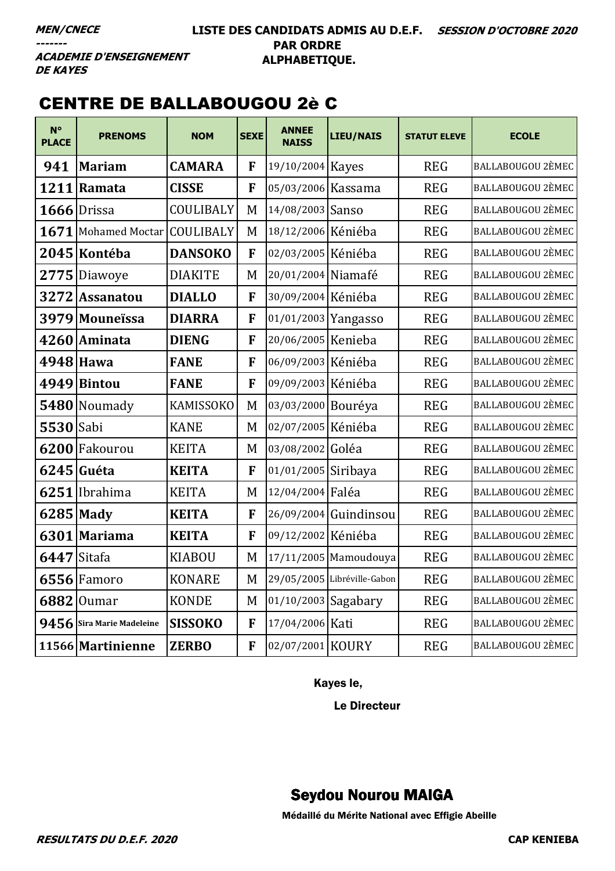### LISTE DES CANDIDATS ADMIS AU D.E.F. SESSION D'OCTOBRE 2020 **PAR ORDRE** ALPHABETIQUE.

**ACADEMIE D'ENSEIGNEMENT DE KAYES** 

# **CENTRE DE BALLABOUGOU 2è C**

| $N^{\circ}$<br><b>PLACE</b> | <b>PRENOMS</b>                | <b>NOM</b>     | <b>SEXE</b> | <b>ANNEE</b><br><b>NAISS</b> | LIEU/NAIS                   | <b>STATUT ELEVE</b> | <b>ECOLE</b>             |
|-----------------------------|-------------------------------|----------------|-------------|------------------------------|-----------------------------|---------------------|--------------------------|
| 941                         | <b>Mariam</b>                 | <b>CAMARA</b>  | F           | 19/10/2004 Kayes             |                             | <b>REG</b>          | <b>BALLABOUGOU 2ÈMEC</b> |
| 1211                        | Ramata                        | <b>CISSE</b>   | F           | 05/03/2006 Kassama           |                             | <b>REG</b>          | BALLABOUGOU 2ÈMEC        |
|                             | 1666 Drissa                   | COULIBALY      | M           | 14/08/2003 Sanso             |                             | <b>REG</b>          | <b>BALLABOUGOU 2ÈMEC</b> |
|                             | 1671 Mohamed Moctar COULIBALY |                | M           | 18/12/2006 Kéniéba           |                             | <b>REG</b>          | BALLABOUGOU 2ÈMEC        |
|                             | 2045 Kontéba                  | <b>DANSOKO</b> | F           | 02/03/2005 Kéniéba           |                             | <b>REG</b>          | BALLABOUGOU 2ÈMEC        |
| 2775                        | Diawoye                       | <b>DIAKITE</b> | M           | 20/01/2004 Niamafé           |                             | <b>REG</b>          | <b>BALLABOUGOU 2ÈMEC</b> |
| 3272                        | <b>Assanatou</b>              | <b>DIALLO</b>  | F           | 30/09/2004 Kéniéba           |                             | <b>REG</b>          | BALLABOUGOU 2ÈMEC        |
| 3979                        | Mouneïssa                     | <b>DIARRA</b>  | F           | 01/01/2003 Yangasso          |                             | <b>REG</b>          | BALLABOUGOU 2ÈMEC        |
|                             | 4260 Aminata                  | <b>DIENG</b>   | F           | 20/06/2005 Kenieba           |                             | <b>REG</b>          | BALLABOUGOU 2ÈMEC        |
| 4948 Hawa                   |                               | <b>FANE</b>    | F           | 06/09/2003 Kéniéba           |                             | <b>REG</b>          | <b>BALLABOUGOU 2ÈMEC</b> |
| 4949                        | <b>Bintou</b>                 | <b>FANE</b>    | F           | 09/09/2003 Kéniéba           |                             | <b>REG</b>          | BALLABOUGOU 2ÈMEC        |
| 5480                        | Noumady                       | KAMISSOKO      | M           | 03/03/2000 Bouréya           |                             | <b>REG</b>          | <b>BALLABOUGOU 2ÈMEC</b> |
| 5530 Sabi                   |                               | <b>KANE</b>    | M           | 02/07/2005 Kéniéba           |                             | <b>REG</b>          | BALLABOUGOU 2ÈMEC        |
| 6200                        | Fakourou                      | <b>KEITA</b>   | M           | 03/08/2002 Goléa             |                             | <b>REG</b>          | BALLABOUGOU 2ÈMEC        |
|                             | 6245 Guéta                    | <b>KEITA</b>   | F           | 01/01/2005 Siribaya          |                             | <b>REG</b>          | BALLABOUGOU 2ÈMEC        |
|                             | 6251 Ibrahima                 | <b>KEITA</b>   | M           | 12/04/2004 Faléa             |                             | <b>REG</b>          | <b>BALLABOUGOU 2ÈMEC</b> |
| 6285 Mady                   |                               | <b>KEITA</b>   | F           |                              | 26/09/2004 Guindinsou       | <b>REG</b>          | BALLABOUGOU 2ÈMEC        |
| 6301                        | Mariama                       | <b>KEITA</b>   | F           | 09/12/2002 Kéniéba           |                             | <b>REG</b>          | <b>BALLABOUGOU 2ÈMEC</b> |
| 6447 Sitafa                 |                               | <b>KIABOU</b>  | M           |                              | 17/11/2005 Mamoudouya       | <b>REG</b>          | BALLABOUGOU 2ÈMEC        |
|                             | $6556$ Famoro                 | <b>KONARE</b>  | M           |                              | 29/05/2005 Libréville-Gabon | <b>REG</b>          | <b>BALLABOUGOU 2ÈMEC</b> |
| 6882                        | <b>Oumar</b>                  | <b>KONDE</b>   | M           | 01/10/2003 Sagabary          |                             | <b>REG</b>          | BALLABOUGOU 2ÈMEC        |
| 9456                        | Sira Marie Madeleine          | <b>SISSOKO</b> | F           | 17/04/2006 Kati              |                             | <b>REG</b>          | <b>BALLABOUGOU 2ÈMEC</b> |
|                             | 11566 Martinienne             | <b>ZERBO</b>   | F           | 02/07/2001 KOURY             |                             | <b>REG</b>          | <b>BALLABOUGOU 2ÈMEC</b> |

Kayes le,

Le Directeur

# **Seydou Nourou MAIGA**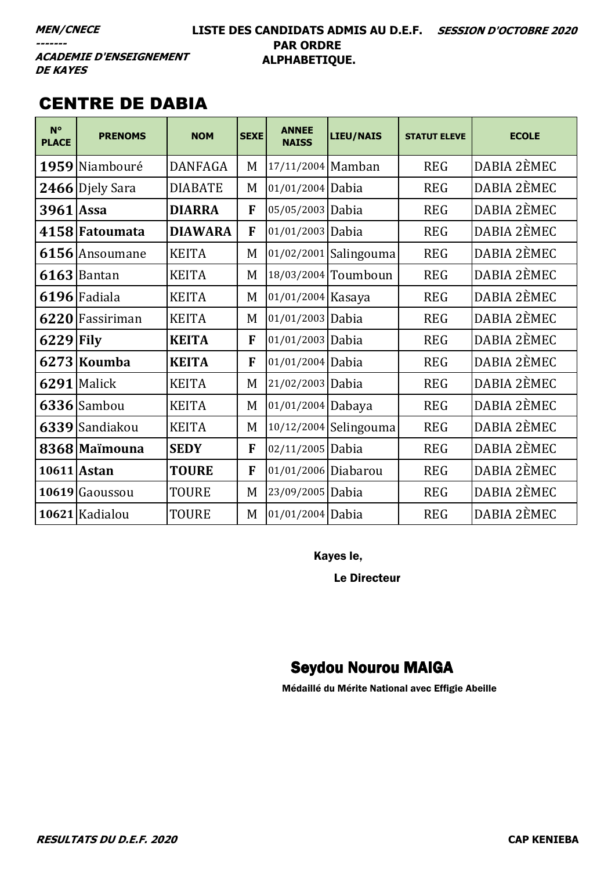$---$ 

### LISTE DES CANDIDATS ADMIS AU D.E.F. SESSION D'OCTOBRE 2020 **PAR ORDRE** ALPHABETIQUE.

**ACADEMIE D'ENSEIGNEMENT DE KAYES** 

# **CENTRE DE DABIA**

| $N^{\circ}$<br><b>PLACE</b> | <b>PRENOMS</b> | <b>NOM</b>     | <b>SEXE</b> | <b>ANNEE</b><br><b>NAISS</b> | <b>LIEU/NAIS</b>      | <b>STATUT ELEVE</b> | <b>ECOLE</b> |
|-----------------------------|----------------|----------------|-------------|------------------------------|-----------------------|---------------------|--------------|
| 1959                        | Niambouré      | <b>DANFAGA</b> | M           | 17/11/2004 Mamban            |                       | <b>REG</b>          | DABIA 2ÈMEC  |
| 2466                        | Djely Sara     | <b>DIABATE</b> | M           | 01/01/2004                   | Dabia                 | <b>REG</b>          | DABIA 2ÈMEC  |
| 3961                        | Assa           | <b>DIARRA</b>  | F           | 05/05/2003                   | Dabia                 | <b>REG</b>          | DABIA 2ÈMEC  |
|                             | 4158 Fatoumata | <b>DIAWARA</b> | F           | 01/01/2003 Dabia             |                       | <b>REG</b>          | DABIA 2ÈMEC  |
| 6156                        | Ansoumane      | <b>KEITA</b>   | M           | 01/02/2001                   | Salingouma            | <b>REG</b>          | DABIA 2ÈMEC  |
|                             | $6163$ Bantan  | <b>KEITA</b>   | M           | 18/03/2004                   | Toumboun              | <b>REG</b>          | DABIA 2ÈMEC  |
|                             | 6196 Fadiala   | <b>KEITA</b>   | M           | 01/01/2004 Kasaya            |                       | <b>REG</b>          | DABIA 2ÈMEC  |
| 6220                        | Fassiriman     | <b>KEITA</b>   | M           | 01/01/2003 Dabia             |                       | <b>REG</b>          | DABIA 2ÈMEC  |
| $6229$ Fily                 |                | <b>KEITA</b>   | F           | 01/01/2003 Dabia             |                       | <b>REG</b>          | DABIA 2ÈMEC  |
| 6273                        | Koumba         | <b>KEITA</b>   | F           | 01/01/2004 Dabia             |                       | <b>REG</b>          | DABIA 2ÈMEC  |
| 6291                        | Malick         | <b>KEITA</b>   | M           | 21/02/2003 Dabia             |                       | <b>REG</b>          | DABIA 2ÈMEC  |
|                             | $6336$ Sambou  | <b>KEITA</b>   | M           | 01/01/2004 Dabaya            |                       | <b>REG</b>          | DABIA 2ÈMEC  |
|                             | 6339 Sandiakou | <b>KEITA</b>   | M           |                              | 10/12/2004 Selingouma | <b>REG</b>          | DABIA 2ÈMEC  |
|                             | 8368 Maimouna  | <b>SEDY</b>    | F           | 02/11/2005 Dabia             |                       | <b>REG</b>          | DABIA 2ÈMEC  |
|                             | 10611 Astan    | <b>TOURE</b>   | F           | 01/01/2006 Diabarou          |                       | <b>REG</b>          | DABIA 2ÈMEC  |
|                             | 10619 Gaoussou | TOURE          | M           | 23/09/2005 Dabia             |                       | <b>REG</b>          | DABIA 2ÈMEC  |
|                             | 10621 Kadialou | <b>TOURE</b>   | M           | 01/01/2004 Dabia             |                       | <b>REG</b>          | DABIA 2ÈMEC  |

Kayes le,

**Le Directeur** 

# **Seydou Nourou MAIGA**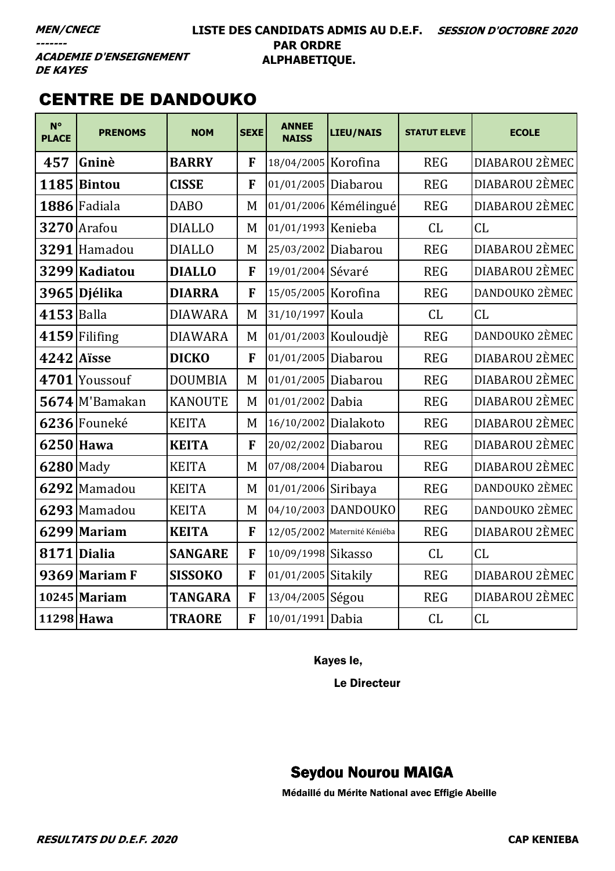### LISTE DES CANDIDATS ADMIS AU D.E.F. SESSION D'OCTOBRE 2020 **PAR ORDRE** ALPHABETIQUE.

**ACADEMIE D'ENSEIGNEMENT DE KAYES** 

# **CENTRE DE DANDOUKO**

| $N^{\circ}$<br><b>PLACE</b> | <b>PRENOMS</b>  | <b>NOM</b>     | <b>SEXE</b> | <b>ANNEE</b><br><b>NAISS</b> | LIEU/NAIS                    | <b>STATUT ELEVE</b> | <b>ECOLE</b>   |
|-----------------------------|-----------------|----------------|-------------|------------------------------|------------------------------|---------------------|----------------|
| 457                         | Gninè           | <b>BARRY</b>   | F           | 18/04/2005 Korofina          |                              | <b>REG</b>          | DIABAROU 2ÈMEC |
| 1185                        | <b>Bintou</b>   | <b>CISSE</b>   | F           | 01/01/2005 Diabarou          |                              | <b>REG</b>          | DIABAROU 2ÈMEC |
|                             | 1886 Fadiala    | <b>DABO</b>    | M           |                              | 01/01/2006 Kémélingué        | <b>REG</b>          | DIABAROU 2ÈMEC |
|                             | 3270 Arafou     | <b>DIALLO</b>  | M           | 01/01/1993 Kenieba           |                              | CL                  | CL             |
|                             | 3291 Hamadou    | <b>DIALLO</b>  | M           | 25/03/2002 Diabarou          |                              | <b>REG</b>          | DIABAROU 2ÈMEC |
|                             | 3299 Kadiatou   | <b>DIALLO</b>  | F           | 19/01/2004 Sévaré            |                              | <b>REG</b>          | DIABAROU 2ÈMEC |
|                             | 3965 Djélika    | <b>DIARRA</b>  | F           | 15/05/2005 Korofina          |                              | <b>REG</b>          | DANDOUKO 2ÈMEC |
| 4153 Balla                  |                 | <b>DIAWARA</b> | M           | 31/10/1997 Koula             |                              | CL                  | CL             |
|                             | $4159$ Filifing | <b>DIAWARA</b> | M           |                              | 01/01/2003 Kouloudjè         | <b>REG</b>          | DANDOUKO 2ÈMEC |
| 4242 Aïsse                  |                 | <b>DICKO</b>   | F           | 01/01/2005 Diabarou          |                              | <b>REG</b>          | DIABAROU 2ÈMEC |
|                             | 4701 Youssouf   | <b>DOUMBIA</b> | M           | 01/01/2005 Diabarou          |                              | <b>REG</b>          | DIABAROU 2ÈMEC |
|                             | 5674 M'Bamakan  | <b>KANOUTE</b> | M           | 01/01/2002 Dabia             |                              | <b>REG</b>          | DIABAROU 2ÈMEC |
|                             | 6236 Founeké    | <b>KEITA</b>   | M           | 16/10/2002 Dialakoto         |                              | <b>REG</b>          | DIABAROU 2ÈMEC |
|                             | $6250$ Hawa     | <b>KEITA</b>   | F           | 20/02/2002 Diabarou          |                              | <b>REG</b>          | DIABAROU 2ÈMEC |
| <b>6280</b> Mady            |                 | <b>KEITA</b>   | M           | 07/08/2004 Diabarou          |                              | <b>REG</b>          | DIABAROU 2ÈMEC |
|                             | 6292 Mamadou    | <b>KEITA</b>   | M           | 01/01/2006 Siribaya          |                              | <b>REG</b>          | DANDOUKO 2ÈMEC |
|                             | 6293 Mamadou    | <b>KEITA</b>   | M           |                              | 04/10/2003 DANDOUKO          | <b>REG</b>          | DANDOUKO 2ÈMEC |
|                             | 6299 Mariam     | <b>KEITA</b>   | F           |                              | 12/05/2002 Maternité Kéniéba | <b>REG</b>          | DIABAROU 2ÈMEC |
|                             | 8171 Dialia     | <b>SANGARE</b> | F           | 10/09/1998 Sikasso           |                              | CL                  | CL             |
|                             | 9369 Mariam F   | <b>SISSOKO</b> | F           | 01/01/2005 Sitakily          |                              | <b>REG</b>          | DIABAROU 2ÈMEC |
|                             | $10245$ Mariam  | <b>TANGARA</b> | F           | 13/04/2005 Ségou             |                              | <b>REG</b>          | DIABAROU 2ÈMEC |
|                             | 11298 Hawa      | <b>TRAORE</b>  | F           | 10/01/1991 Dabia             |                              | CL                  | CL             |

Kayes le,

Le Directeur

# **Seydou Nourou MAIGA**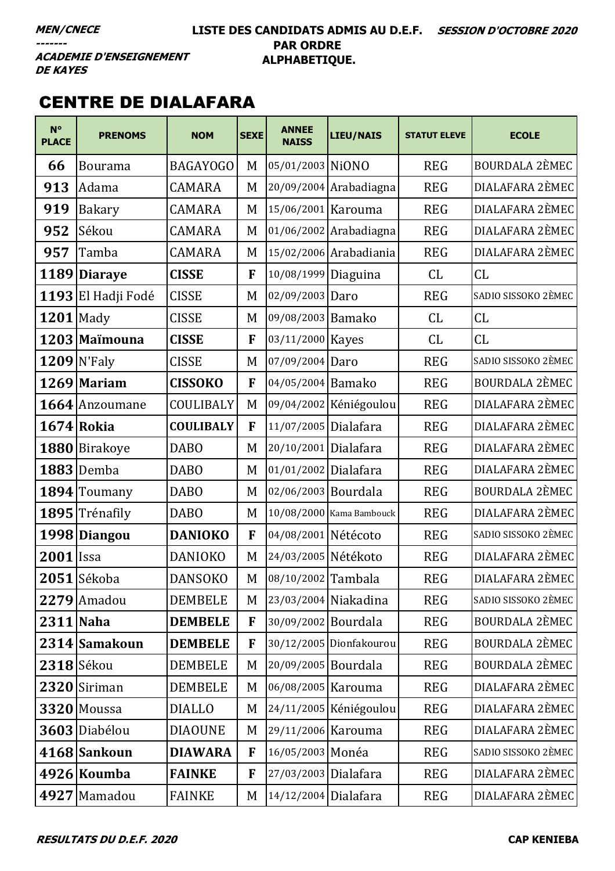### LISTE DES CANDIDATS ADMIS AU D.E.F. SESSION D'OCTOBRE 2020 **PAR ORDRE** ALPHABETIQUE.

**ACADEMIE D'ENSEIGNEMENT DE KAYES** 

# **CENTRE DE DIALAFARA**

| $N^{\circ}$<br><b>PLACE</b> | <b>PRENOMS</b>     | <b>NOM</b>       | <b>SEXE</b> | <b>ANNEE</b><br><b>NAISS</b> | <b>LIEU/NAIS</b>         | <b>STATUT ELEVE</b> | <b>ECOLE</b>          |
|-----------------------------|--------------------|------------------|-------------|------------------------------|--------------------------|---------------------|-----------------------|
| 66                          | <b>Bourama</b>     | <b>BAGAYOGO</b>  | M           | 05/01/2003 NiONO             |                          | <b>REG</b>          | <b>BOURDALA 2ÈMEC</b> |
| 913                         | Adama              | <b>CAMARA</b>    | M           |                              | 20/09/2004 Arabadiagna   | <b>REG</b>          | DIALAFARA 2ÈMEC       |
| 919                         | Bakary             | <b>CAMARA</b>    | M           | 15/06/2001 Karouma           |                          | <b>REG</b>          | DIALAFARA 2ÈMEC       |
| 952                         | Sékou              | <b>CAMARA</b>    | M           |                              | 01/06/2002 Arabadiagna   | <b>REG</b>          | DIALAFARA 2ÈMEC       |
| 957                         | Tamba              | <b>CAMARA</b>    | M           |                              | 15/02/2006 Arabadiania   | <b>REG</b>          | DIALAFARA 2ÈMEC       |
|                             | 1189 Diaraye       | <b>CISSE</b>     | F           | 10/08/1999 Diaguina          |                          | CL.                 | CL                    |
|                             | 1193 El Hadji Fodé | <b>CISSE</b>     | M           | 02/09/2003 Daro              |                          | <b>REG</b>          | SADIO SISSOKO 2ÈMEC   |
| $1201$ Mady                 |                    | <b>CISSE</b>     | M           | 09/08/2003 Bamako            |                          | CL                  | CL                    |
|                             | 1203 Maïmouna      | <b>CISSE</b>     | F           | 03/11/2000 Kayes             |                          | CL                  | CL                    |
|                             | $1209$ N'Faly      | <b>CISSE</b>     | M           | 07/09/2004 Daro              |                          | <b>REG</b>          | SADIO SISSOKO 2ÈMEC   |
|                             | $1269$ Mariam      | <b>CISSOKO</b>   | F           | 04/05/2004 Bamako            |                          | <b>REG</b>          | BOURDALA 2ÈMEC        |
|                             | 1664 Anzoumane     | COULIBALY        | M           |                              | 09/04/2002 Kéniégoulou   | <b>REG</b>          | DIALAFARA 2ÈMEC       |
|                             | $1674$ Rokia       | <b>COULIBALY</b> | F           | 11/07/2005 Dialafara         |                          | <b>REG</b>          | DIALAFARA 2ÈMEC       |
|                             | 1880 Birakoye      | <b>DABO</b>      | M           | 20/10/2001 Dialafara         |                          | <b>REG</b>          | DIALAFARA 2ÈMEC       |
|                             | <b>1883</b> Demba  | <b>DABO</b>      | M           | 01/01/2002 Dialafara         |                          | <b>REG</b>          | DIALAFARA 2ÈMEC       |
|                             | 1894 Toumany       | <b>DABO</b>      | M           | 02/06/2003 Bourdala          |                          | <b>REG</b>          | <b>BOURDALA 2ÈMEC</b> |
|                             | 1895 Trénafily     | <b>DABO</b>      | M           |                              | 10/08/2000 Kama Bambouck | <b>REG</b>          | DIALAFARA 2ÈMEC       |
|                             | 1998 Diangou       | <b>DANIOKO</b>   | F           | 04/08/2001 Nétécoto          |                          | <b>REG</b>          | SADIO SISSOKO 2ÈMEC   |
| $2001$ <sup>Issa</sup>      |                    | <b>DANIOKO</b>   | M           | 24/03/2005 Nétékoto          |                          | <b>REG</b>          | DIALAFARA 2ÈMEC       |
|                             | $2051$ Sékoba      | <b>DANSOKO</b>   | M           | 08/10/2002 Tambala           |                          | <b>REG</b>          | DIALAFARA 2ÈMEC       |
|                             | 2279 Amadou        | <b>DEMBELE</b>   | M           |                              | 23/03/2004 Niakadina     | <b>REG</b>          | SADIO SISSOKO 2ÈMEC   |
| 2311 Naha                   |                    | <b>DEMBELE</b>   | F           | 30/09/2002 Bourdala          |                          | <b>REG</b>          | <b>BOURDALA 2ÈMEC</b> |
|                             | 2314 Samakoun      | <b>DEMBELE</b>   | F           |                              | 30/12/2005 Dionfakourou  | <b>REG</b>          | BOURDALA 2ÈMEC        |
|                             | $2318$ Sékou       | <b>DEMBELE</b>   | M           | 20/09/2005 Bourdala          |                          | <b>REG</b>          | <b>BOURDALA 2ÈMEC</b> |
|                             | 2320 Siriman       | <b>DEMBELE</b>   | M           | 06/08/2005 Karouma           |                          | <b>REG</b>          | DIALAFARA 2ÈMEC       |
|                             | 3320 Moussa        | <b>DIALLO</b>    | M           |                              | 24/11/2005 Kéniégoulou   | <b>REG</b>          | DIALAFARA 2ÈMEC       |
|                             | 3603 Diabélou      | <b>DIAOUNE</b>   | M           | 29/11/2006 Karouma           |                          | <b>REG</b>          | DIALAFARA 2ÈMEC       |
|                             | 4168 Sankoun       | <b>DIAWARA</b>   | F           | 16/05/2003 Monéa             |                          | <b>REG</b>          | SADIO SISSOKO 2ÈMEC   |
|                             | 4926 Koumba        | <b>FAINKE</b>    | F           | 27/03/2003 Dialafara         |                          | <b>REG</b>          | DIALAFARA 2ÈMEC       |
|                             | 4927 Mamadou       | <b>FAINKE</b>    | M           | 14/12/2004 Dialafara         |                          | <b>REG</b>          | DIALAFARA 2ÈMEC       |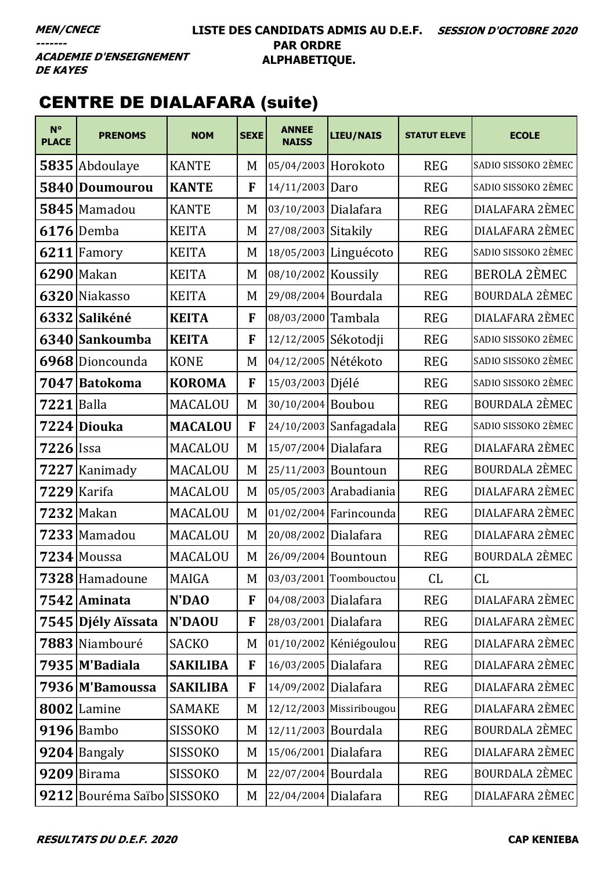### LISTE DES CANDIDATS ADMIS AU D.E.F. SESSION D'OCTOBRE 2020 **PAR ORDRE** ALPHABETIQUE.

**ACADEMIE D'ENSEIGNEMENT DE KAYES** 

# **CENTRE DE DIALAFARA (suite)**

| $N^{\circ}$<br><b>PLACE</b> | <b>PRENOMS</b>             | <b>NOM</b>      | <b>SEXE</b> | <b>ANNEE</b><br><b>NAISS</b> | <b>LIEU/NAIS</b>         | <b>STATUT ELEVE</b> | <b>ECOLE</b>          |
|-----------------------------|----------------------------|-----------------|-------------|------------------------------|--------------------------|---------------------|-----------------------|
|                             | 5835 Abdoulaye             | <b>KANTE</b>    | M           | 05/04/2003 Horokoto          |                          | <b>REG</b>          | SADIO SISSOKO 2ÈMEC   |
| 5840                        | <b>Doumourou</b>           | <b>KANTE</b>    | F           | 14/11/2003 Daro              |                          | <b>REG</b>          | SADIO SISSOKO 2ÈMEC   |
|                             | $5845$ Mamadou             | <b>KANTE</b>    | M           | 03/10/2003 Dialafara         |                          | <b>REG</b>          | DIALAFARA 2ÈMEC       |
|                             | $6176$ Demba               | <b>KEITA</b>    | M           | 27/08/2003 Sitakily          |                          | <b>REG</b>          | DIALAFARA 2ÈMEC       |
|                             | $6211$ Famory              | <b>KEITA</b>    | M           |                              | 18/05/2003 Linguécoto    | <b>REG</b>          | SADIO SISSOKO 2ÈMEC   |
|                             | 6290 Makan                 | <b>KEITA</b>    | M           | 08/10/2002 Koussily          |                          | <b>REG</b>          | BEROLA 2ÈMEC          |
|                             | 6320 Niakasso              | <b>KEITA</b>    | M           | 29/08/2004 Bourdala          |                          | <b>REG</b>          | <b>BOURDALA 2ÈMEC</b> |
|                             | 6332 Salikéné              | <b>KEITA</b>    | F           | 08/03/2000 Tambala           |                          | <b>REG</b>          | DIALAFARA 2ÈMEC       |
|                             | 6340 Sankoumba             | <b>KEITA</b>    | F           | 12/12/2005 Sékotodji         |                          | <b>REG</b>          | SADIO SISSOKO 2ÈMEC   |
|                             | 6968 Dioncounda            | <b>KONE</b>     | M           | 04/12/2005 Nétékoto          |                          | <b>REG</b>          | SADIO SISSOKO 2ÈMEC   |
| 7047                        | Batokoma                   | <b>KOROMA</b>   | F           | 15/03/2003 Djélé             |                          | <b>REG</b>          | SADIO SISSOKO 2ÈMEC   |
| 7221                        | <b>Balla</b>               | <b>MACALOU</b>  | M           | 30/10/2004 Boubou            |                          | <b>REG</b>          | <b>BOURDALA 2ÈMEC</b> |
|                             | 7224 Diouka                | <b>MACALOU</b>  | F           |                              | 24/10/2003 Sanfagadala   | <b>REG</b>          | SADIO SISSOKO 2ÈMEC   |
| $7226$ Issa                 |                            | MACALOU         | M           | 15/07/2004                   | Dialafara                | <b>REG</b>          | DIALAFARA 2ÈMEC       |
|                             | 7227 Kanimady              | <b>MACALOU</b>  | M           | 25/11/2003 Bountoun          |                          | <b>REG</b>          | <b>BOURDALA 2ÈMEC</b> |
| 7229                        | Karifa                     | MACALOU         | M           |                              | 05/05/2003 Arabadiania   | <b>REG</b>          | DIALAFARA 2ÈMEC       |
|                             | <b>7232 Makan</b>          | <b>MACALOU</b>  | M           |                              | 01/02/2004 Farincounda   | <b>REG</b>          | DIALAFARA 2ÈMEC       |
|                             | $7233$ Mamadou             | MACALOU         | M           | 20/08/2002 Dialafara         |                          | <b>REG</b>          | DIALAFARA 2ÈMEC       |
|                             | 7234 Moussa                | <b>MACALOU</b>  | M           | 26/09/2004 Bountoun          |                          | <b>REG</b>          | <b>BOURDALA 2ÈMEC</b> |
|                             | 7328 Hamadoune             | MAIGA           | M           |                              | 03/03/2001 Toombouctou   | <b>CL</b>           | CL                    |
|                             | 7542 Aminata               | N'DAO           | F           | 04/08/2003 Dialafara         |                          | <b>REG</b>          | DIALAFARA 2ÈMEC       |
|                             | 7545 Djély Aïssata         | <b>N'DAOU</b>   | F           | 28/03/2001 Dialafara         |                          | <b>REG</b>          | DIALAFARA 2ÈMEC       |
|                             | 7883 Niambouré             | <b>SACKO</b>    | M           |                              | 01/10/2002 Kéniégoulou   | <b>REG</b>          | DIALAFARA 2ÈMEC       |
|                             | 7935 M'Badiala             | <b>SAKILIBA</b> | F           | 16/03/2005 Dialafara         |                          | <b>REG</b>          | DIALAFARA 2ÈMEC       |
|                             | 7936 M'Bamoussa            | <b>SAKILIBA</b> | F           | 14/09/2002 Dialafara         |                          | <b>REG</b>          | DIALAFARA 2ÈMEC       |
|                             | 8002 Lamine                | <b>SAMAKE</b>   | M           |                              | 12/12/2003 Missiribougou | <b>REG</b>          | DIALAFARA 2ÈMEC       |
|                             | 9196 Bambo                 | <b>SISSOKO</b>  | M           | 12/11/2003 Bourdala          |                          | <b>REG</b>          | <b>BOURDALA 2ÈMEC</b> |
|                             | 9204 Bangaly               | <b>SISSOKO</b>  | M           | 15/06/2001 Dialafara         |                          | <b>REG</b>          | DIALAFARA 2ÈMEC       |
|                             | $9209$  Birama             | <b>SISSOKO</b>  | M           | 22/07/2004 Bourdala          |                          | <b>REG</b>          | BOURDALA 2ÈMEC        |
|                             | 9212 Bouréma Saïbo SISSOKO |                 | M           | 22/04/2004 Dialafara         |                          | <b>REG</b>          | DIALAFARA 2ÈMEC       |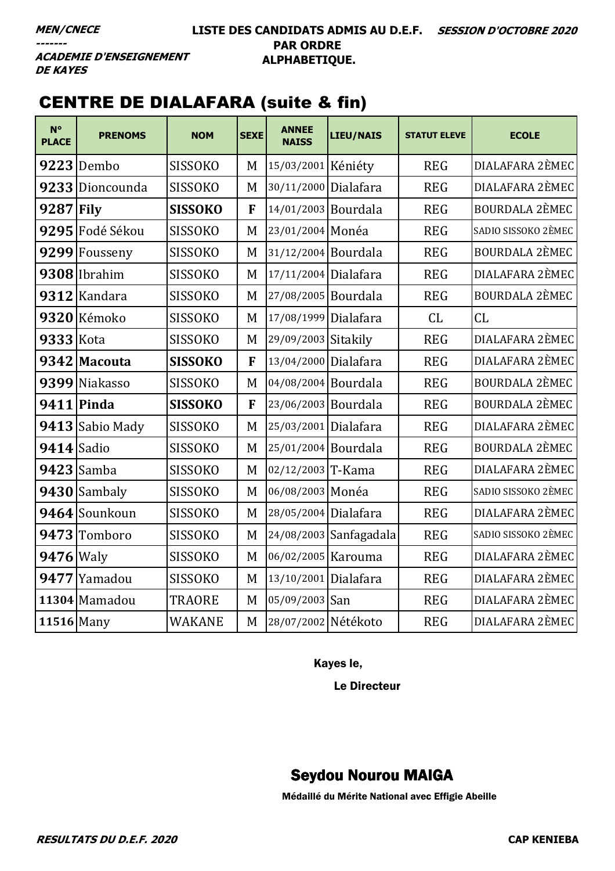### **LISTE DES CANDIDATS ADMIS AU D.E.F. SESSION D'OCTOBRE 2020 PAR ORDRE ALPHABETIQUE.**

**ACADEMIE D'ENSEIGNEMENT DE KAYES** 

# CENTRE DE DIALAFARA (suite & fin)

| $N^{\circ}$<br><b>PLACE</b> | <b>PRENOMS</b>    | <b>NOM</b>     | <b>SEXE</b> | <b>ANNEE</b><br><b>NAISS</b> | <b>LIEU/NAIS</b>       | <b>STATUT ELEVE</b> | <b>ECOLE</b>          |
|-----------------------------|-------------------|----------------|-------------|------------------------------|------------------------|---------------------|-----------------------|
|                             | 9223 Dembo        | <b>SISSOKO</b> | M           | 15/03/2001 Kéniéty           |                        | <b>REG</b>          | DIALAFARA 2ÈMEC       |
| 9233                        | Dioncounda        | <b>SISSOKO</b> | M           | 30/11/2000 Dialafara         |                        | <b>REG</b>          | DIALAFARA 2ÈMEC       |
| 9287                        | <b>Fily</b>       | <b>SISSOKO</b> | F           | 14/01/2003 Bourdala          |                        | <b>REG</b>          | <b>BOURDALA 2ÈMEC</b> |
|                             | 9295 Fodé Sékou   | <b>SISSOKO</b> | M           | 23/01/2004 Monéa             |                        | <b>REG</b>          | SADIO SISSOKO 2ÈMEC   |
| 9299                        | Fousseny          | <b>SISSOKO</b> | M           | 31/12/2004 Bourdala          |                        | <b>REG</b>          | <b>BOURDALA 2ÈMEC</b> |
|                             | 9308 Ibrahim      | <b>SISSOKO</b> | M           | 17/11/2004 Dialafara         |                        | <b>REG</b>          | DIALAFARA 2ÈMEC       |
| 9312                        | Kandara           | <b>SISSOKO</b> | M           | 27/08/2005 Bourdala          |                        | <b>REG</b>          | <b>BOURDALA 2ÈMEC</b> |
|                             | 9320 Kémoko       | <b>SISSOKO</b> | M           | 17/08/1999 Dialafara         |                        | CL                  | CL                    |
| 9333 Kota                   |                   | <b>SISSOKO</b> | M           | 29/09/2003 Sitakily          |                        | <b>REG</b>          | DIALAFARA 2ÈMEC       |
|                             | 9342 Macouta      | <b>SISSOKO</b> | F           | 13/04/2000 Dialafara         |                        | <b>REG</b>          | DIALAFARA 2ÈMEC       |
|                             | 9399 Niakasso     | <b>SISSOKO</b> | M           | 04/08/2004 Bourdala          |                        | <b>REG</b>          | <b>BOURDALA 2ÈMEC</b> |
|                             | <b>9411 Pinda</b> | <b>SISSOKO</b> | F           | 23/06/2003 Bourdala          |                        | <b>REG</b>          | <b>BOURDALA 2ÈMEC</b> |
|                             | 9413 Sabio Mady   | <b>SISSOKO</b> | M           | 25/03/2001 Dialafara         |                        | <b>REG</b>          | DIALAFARA 2ÈMEC       |
| 9414 Sadio                  |                   | <b>SISSOKO</b> | M           | 25/01/2004 Bourdala          |                        | <b>REG</b>          | <b>BOURDALA 2ÈMEC</b> |
|                             | $9423$ Samba      | <b>SISSOKO</b> | M           | 02/12/2003 T-Kama            |                        | <b>REG</b>          | DIALAFARA 2ÈMEC       |
|                             | $9430$ Sambaly    | <b>SISSOKO</b> | M           | 06/08/2003 Monéa             |                        | <b>REG</b>          | SADIO SISSOKO 2ÈMEC   |
|                             | 9464 Sounkoun     | <b>SISSOKO</b> | M           | 28/05/2004 Dialafara         |                        | <b>REG</b>          | DIALAFARA 2ÈMEC       |
| 9473                        | Tomboro           | <b>SISSOKO</b> | M           |                              | 24/08/2003 Sanfagadala | <b>REG</b>          | SADIO SISSOKO 2ÈMEC   |
| 9476 Waly                   |                   | <b>SISSOKO</b> | M           | 06/02/2005 Karouma           |                        | <b>REG</b>          | DIALAFARA 2ÈMEC       |
|                             | 9477 Yamadou      | <b>SISSOKO</b> | M           | 13/10/2001 Dialafara         |                        | <b>REG</b>          | DIALAFARA 2ÈMEC       |
|                             | 11304 Mamadou     | TRAORE         | M           | 05/09/2003 San               |                        | <b>REG</b>          | DIALAFARA 2ÈMEC       |
| 11516 Many                  |                   | WAKANE         | M           | 28/07/2002 Nétékoto          |                        | <b>REG</b>          | DIALAFARA 2ÈMEC       |

Kayes le,

Le Directeur

# Seydou Nourou MAIGA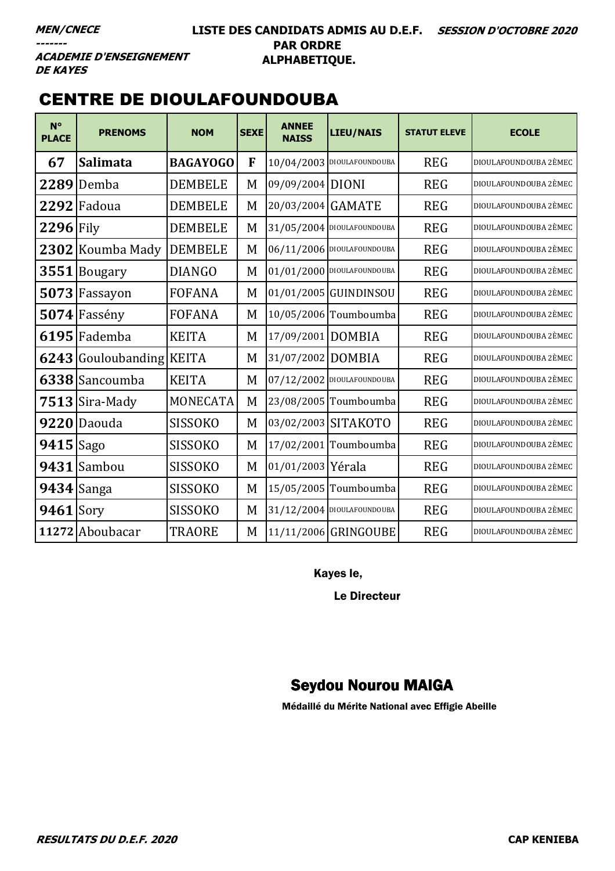### LISTE DES CANDIDATS ADMIS AU D.E.F. SESSION D'OCTOBRE 2020 **PAR ORDRE** ALPHABETIQUE.

**ACADEMIE D'ENSEIGNEMENT DE KAYES** 

# **CENTRE DE DIOULAFOUNDOUBA**

| $N^{\circ}$<br><b>PLACE</b> | <b>PRENOMS</b>           | <b>NOM</b>      | <b>SEXE</b> | <b>ANNEE</b><br><b>NAISS</b> | <b>LIEU/NAIS</b>             | <b>STATUT ELEVE</b> | <b>ECOLE</b>          |
|-----------------------------|--------------------------|-----------------|-------------|------------------------------|------------------------------|---------------------|-----------------------|
| 67                          | <b>Salimata</b>          | <b>BAGAYOGO</b> | F           |                              | 10/04/2003 DIOULAFOUNDOUBA   | <b>REG</b>          | DIOULAFOUNDOUBA 2ÈMEC |
| 2289                        | Demba                    | <b>DEMBELE</b>  | M           | 09/09/2004 DIONI             |                              | <b>REG</b>          | DIOULAFOUNDOUBA 2ÈMEC |
|                             | 2292 Fadoua              | <b>DEMBELE</b>  | M           | 20/03/2004 GAMATE            |                              | <b>REG</b>          | DIOULAFOUNDOUBA 2ÈMEC |
| $2296$ Fily                 |                          | <b>DEMBELE</b>  | M           |                              | 31/05/2004 DIOULAFOUNDOUBA   | <b>REG</b>          | DIOULAFOUNDOUBA 2ÈMEC |
|                             | 2302 Koumba Mady         | <b>DEMBELE</b>  | M           |                              | 06/11/2006 DIOULAFOUNDOUBA   | <b>REG</b>          | DIOULAFOUNDOUBA 2ÈMEC |
|                             | 3551 Bougary             | <b>DIANGO</b>   | M           |                              | $01/01/2000$ DIOULAFOUNDOUBA | <b>REG</b>          | DIOULAFOUNDOUBA 2ÈMEC |
|                             | 5073 Fassayon            | <b>FOFANA</b>   | M           |                              | 01/01/2005 GUINDINSOU        | <b>REG</b>          | DIOULAFOUNDOUBA 2ÈMEC |
|                             | $5074$ Fassény           | <b>FOFANA</b>   | M           |                              | 10/05/2006 Toumboumba        | <b>REG</b>          | DIOULAFOUNDOUBA 2ÈMEC |
|                             | 6195 Fademba             | <b>KEITA</b>    | M           | 17/09/2001 DOMBIA            |                              | <b>REG</b>          | DIOULAFOUNDOUBA 2ÈMEC |
|                             | 6243 Gouloubanding KEITA |                 | M           | 31/07/2002 DOMBIA            |                              | <b>REG</b>          | DIOULAFOUNDOUBA 2ÈMEC |
|                             | 6338 Sancoumba           | <b>KEITA</b>    | M           |                              | 07/12/2002 DIOULAFOUNDOUBA   | <b>REG</b>          | DIOULAFOUNDOUBA 2ÈMEC |
|                             | $7513$ Sira-Mady         | <b>MONECATA</b> | M           |                              | 23/08/2005 Toumboumba        | <b>REG</b>          | DIOULAFOUNDOUBA 2ÈMEC |
|                             | 9220 Daouda              | <b>SISSOKO</b>  | M           |                              | 03/02/2003 SITAKOTO          | <b>REG</b>          | DIOULAFOUNDOUBA 2ÈMEC |
| $9415$ Sago                 |                          | <b>SISSOKO</b>  | M           |                              | 17/02/2001 Toumboumba        | <b>REG</b>          | DIOULAFOUNDOUBA 2ÈMEC |
|                             | 9431 Sambou              | <b>SISSOKO</b>  | M           | 01/01/2003 Yérala            |                              | <b>REG</b>          | DIOULAFOUNDOUBA 2ÈMEC |
|                             | $9434$ Sanga             | <b>SISSOKO</b>  | M           |                              | 15/05/2005 Toumboumba        | <b>REG</b>          | DIOULAFOUNDOUBA 2ÈMEC |
| $9461$ Sory                 |                          | <b>SISSOKO</b>  | M           |                              | 31/12/2004 DIOULAFOUNDOUBA   | <b>REG</b>          | DIOULAFOUNDOUBA 2ÈMEC |
|                             | 11272 Aboubacar          | <b>TRAORE</b>   | M           |                              | 11/11/2006 GRINGOUBE         | <b>REG</b>          | DIOULAFOUNDOUBA 2ÈMEC |

Kayes le,

**Le Directeur** 

# **Seydou Nourou MAIGA**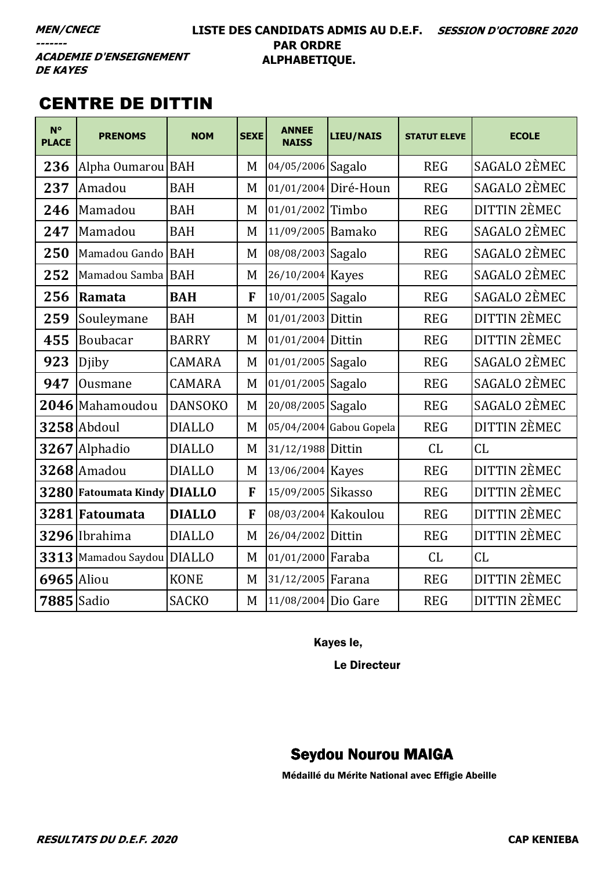### **LISTE DES CANDIDATS ADMIS AU D.E.F. SESSION D'OCTOBRE 2020 PAR ORDRE ALPHABETIQUE.**

**ACADEMIE D'ENSEIGNEMENT DE KAYES** 

# CENTRE DE DITTIN

| $N^{\circ}$<br><b>PLACE</b> | <b>PRENOMS</b>                | <b>NOM</b>     | <b>SEXE</b> | <b>ANNEE</b><br><b>NAISS</b> | LIEU/NAIS               | <b>STATUT ELEVE</b> | <b>ECOLE</b>        |
|-----------------------------|-------------------------------|----------------|-------------|------------------------------|-------------------------|---------------------|---------------------|
| 236                         | Alpha Oumarou                 | <b>BAH</b>     | M           | 04/05/2006 Sagalo            |                         | <b>REG</b>          | SAGALO 2ÈMEC        |
| 237                         | Amadou                        | <b>BAH</b>     | M           |                              | 01/01/2004 Diré-Houn    | <b>REG</b>          | SAGALO 2ÈMEC        |
| 246                         | Mamadou                       | <b>BAH</b>     | M           | 01/01/2002 Timbo             |                         | <b>REG</b>          | <b>DITTIN 2ÈMEC</b> |
| 247                         | Mamadou                       | <b>BAH</b>     | M           | 11/09/2005 Bamako            |                         | <b>REG</b>          | SAGALO 2ÈMEC        |
| 250                         | Mamadou Gando                 | <b>BAH</b>     | M           | 08/08/2003 Sagalo            |                         | <b>REG</b>          | SAGALO 2ÈMEC        |
| 252                         | Mamadou Samba                 | <b>BAH</b>     | M           | 26/10/2004 Kayes             |                         | <b>REG</b>          | SAGALO 2ÈMEC        |
| 256                         | Ramata                        | <b>BAH</b>     | F           | 10/01/2005 Sagalo            |                         | <b>REG</b>          | SAGALO 2ÈMEC        |
| 259                         | Souleymane                    | <b>BAH</b>     | M           | 01/01/2003 Dittin            |                         | <b>REG</b>          | DITTIN 2ÈMEC        |
| 455                         | Boubacar                      | <b>BARRY</b>   | M           | 01/01/2004 Dittin            |                         | <b>REG</b>          | DITTIN 2ÈMEC        |
| 923                         | Djiby                         | <b>CAMARA</b>  | M           | 01/01/2005 Sagalo            |                         | <b>REG</b>          | SAGALO 2ÈMEC        |
| 947                         | Ousmane                       | <b>CAMARA</b>  | M           | 01/01/2005 Sagalo            |                         | <b>REG</b>          | SAGALO 2ÈMEC        |
|                             | 2046 Mahamoudou               | <b>DANSOKO</b> | M           | 20/08/2005 Sagalo            |                         | <b>REG</b>          | SAGALO 2ÈMEC        |
|                             | 3258 Abdoul                   | <b>DIALLO</b>  | M           |                              | 05/04/2004 Gabou Gopela | <b>REG</b>          | <b>DITTIN 2ÈMEC</b> |
| 3267                        | Alphadio                      | <b>DIALLO</b>  | M           | 31/12/1988 Dittin            |                         | CL                  | CL                  |
|                             | 3268 Amadou                   | <b>DIALLO</b>  | M           | 13/06/2004 Kayes             |                         | <b>REG</b>          | <b>DITTIN 2ÈMEC</b> |
| 3280                        | <b>Fatoumata Kindy DIALLO</b> |                | F           | 15/09/2005 Sikasso           |                         | <b>REG</b>          | <b>DITTIN 2ÈMEC</b> |
|                             | 3281 Fatoumata                | <b>DIALLO</b>  | F           | 08/03/2004 Kakoulou          |                         | <b>REG</b>          | <b>DITTIN 2ÈMEC</b> |
|                             | 3296 Ibrahima                 | <b>DIALLO</b>  | M           | 26/04/2002 Dittin            |                         | <b>REG</b>          | <b>DITTIN 2ÈMEC</b> |
| 3313                        | Mamadou Saydou                | <b>DIALLO</b>  | M           | 01/01/2000 Faraba            |                         | CL                  | CL                  |
| 6965                        | Aliou                         | <b>KONE</b>    | M           | 31/12/2005 Farana            |                         | <b>REG</b>          | <b>DITTIN 2ÈMEC</b> |
| 7885 Sadio                  |                               | <b>SACKO</b>   | M           | 11/08/2004 Dio Gare          |                         | <b>REG</b>          | <b>DITTIN 2ÈMEC</b> |

Kayes le,

Le Directeur

# Seydou Nourou MAIGA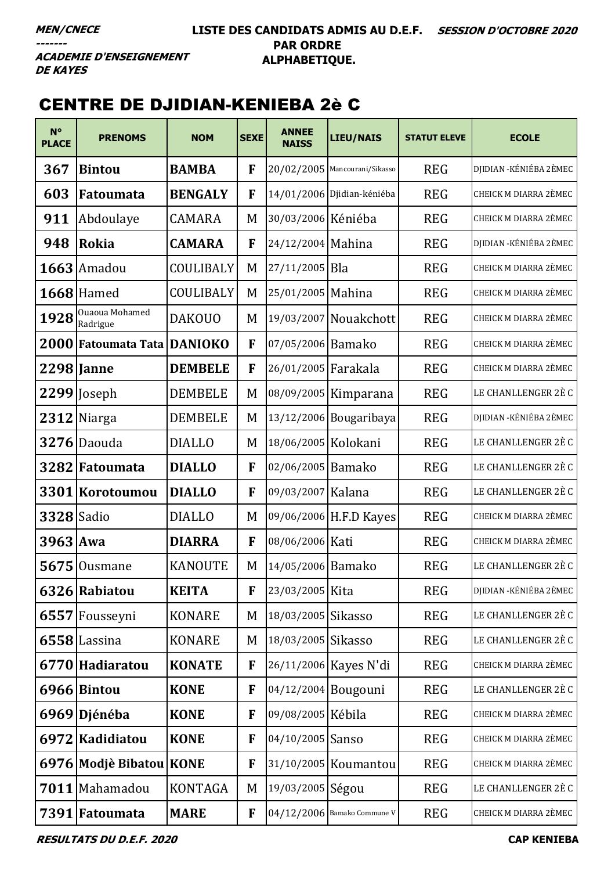### **LISTE DES CANDIDATS ADMIS AU D.E.F. SESSION D'OCTOBRE 2020 PAR ORDRE ALPHABETIQUE.**

**ACADEMIE D'ENSEIGNEMENT DE KAYES** 

# CENTRE DE DJIDIAN-KENIEBA 2è C

| $N^{\circ}$<br><b>PLACE</b> | <b>PRENOMS</b>             | <b>NOM</b>     | <b>SEXE</b> | <b>ANNEE</b><br><b>NAISS</b> | LIEU/NAIS                     | <b>STATUT ELEVE</b> | <b>ECOLE</b>                 |
|-----------------------------|----------------------------|----------------|-------------|------------------------------|-------------------------------|---------------------|------------------------------|
| 367                         | <b>Bintou</b>              | <b>BAMBA</b>   | F           |                              | 20/02/2005 Mancourani/Sikasso | <b>REG</b>          | DJIDIAN - KÉNIÉBA 2ÈMEC      |
| 603                         | Fatoumata                  | <b>BENGALY</b> | F           |                              | 14/01/2006 Djidian-kéniéba    | <b>REG</b>          | <b>CHEICK M DIARRA 2ÈMEC</b> |
| 911                         | Abdoulaye                  | <b>CAMARA</b>  | M           | 30/03/2006 Kéniéba           |                               | <b>REG</b>          | <b>CHEICK M DIARRA 2ÈMEC</b> |
| 948                         | Rokia                      | <b>CAMARA</b>  | F           | 24/12/2004 Mahina            |                               | <b>REG</b>          | DJIDIAN - KÉNIÉBA 2ÈMEC      |
|                             | $1663$ Amadou              | COULIBALY      | M           | 27/11/2005 Bla               |                               | <b>REG</b>          | <b>CHEICK M DIARRA 2ÈMEC</b> |
|                             | <b>1668</b> Hamed          | COULIBALY      | M           | 25/01/2005 Mahina            |                               | <b>REG</b>          | CHEICK M DIARRA 2ÈMEC        |
| 1928                        | Ouaoua Mohamed<br>Radrigue | <b>DAKOUO</b>  | M           |                              | 19/03/2007 Nouakchott         | <b>REG</b>          | CHEICK M DIARRA 2ÈMEC        |
|                             | 2000 Fatoumata Tata        | <b>DANIOKO</b> | F           | 07/05/2006 Bamako            |                               | <b>REG</b>          | <b>CHEICK M DIARRA 2ÈMEC</b> |
|                             | 2298 Janne                 | <b>DEMBELE</b> | F           | 26/01/2005 Farakala          |                               | <b>REG</b>          | CHEICK M DIARRA 2ÈMEC        |
|                             | 2299 Joseph                | <b>DEMBELE</b> | M           |                              | 08/09/2005 Kimparana          | <b>REG</b>          | LE CHANLLENGER 2È C          |
|                             | 2312 Niarga                | <b>DEMBELE</b> | M           |                              | 13/12/2006 Bougaribaya        | <b>REG</b>          | DJIDIAN - KÉNIÉBA 2ÈMEC      |
|                             | $3276$ Daouda              | <b>DIALLO</b>  | M           | 18/06/2005 Kolokani          |                               | <b>REG</b>          | LE CHANLLENGER 2È C          |
|                             | 3282 Fatoumata             | <b>DIALLO</b>  | F           | 02/06/2005 Bamako            |                               | <b>REG</b>          | LE CHANLLENGER 2È C          |
|                             | 3301 Korotoumou            | <b>DIALLO</b>  | F           | 09/03/2007 Kalana            |                               | <b>REG</b>          | LE CHANLLENGER 2È C          |
| <b>3328</b> Sadio           |                            | <b>DIALLO</b>  | M           |                              | 09/06/2006 H.F.D Kayes        | <b>REG</b>          | CHEICK M DIARRA 2ÈMEC        |
| 3963 Awa                    |                            | <b>DIARRA</b>  | F           | 08/06/2006 Kati              |                               | <b>REG</b>          | <b>CHEICK M DIARRA 2ÈMEC</b> |
| 5675                        | Ousmane                    | <b>KANOUTE</b> | M           | 14/05/2006 Bamako            |                               | <b>REG</b>          | LE CHANLLENGER 2È C          |
|                             | 6326 Rabiatou              | <b>KEITA</b>   | F           | 23/03/2005 Kita              |                               | <b>REG</b>          | DJIDIAN - KÉNIÉBA 2ÈMEC      |
|                             | 6557 Fousseyni             | <b>KONARE</b>  | M           | 18/03/2005 Sikasso           |                               | <b>REG</b>          | LE CHANLLENGER 2È C          |
|                             | $6558$ Lassina             | <b>KONARE</b>  | M           | 18/03/2005 Sikasso           |                               | <b>REG</b>          | LE CHANLLENGER 2È C          |
|                             | 6770 Hadiaratou            | <b>KONATE</b>  | F           |                              | 26/11/2006 Kayes N'di         | <b>REG</b>          | CHEICK M DIARRA 2ÈMEC        |
|                             | 6966 Bintou                | <b>KONE</b>    | F           | 04/12/2004 Bougouni          |                               | <b>REG</b>          | LE CHANLLENGER 2È C          |
|                             | 6969 Djénéba               | <b>KONE</b>    | F           | 09/08/2005 Kébila            |                               | <b>REG</b>          | CHEICK M DIARRA 2ÈMEC        |
| 6972                        | Kadidiatou                 | <b>KONE</b>    | F           | 04/10/2005 Sanso             |                               | <b>REG</b>          | CHEICK M DIARRA 2ÈMEC        |
|                             | 6976 Modjè Bibatou KONE    |                | F           |                              | 31/10/2005 Koumantou          | <b>REG</b>          | CHEICK M DIARRA 2ÈMEC        |
|                             | 7011 Mahamadou             | <b>KONTAGA</b> | M           | 19/03/2005 Ségou             |                               | <b>REG</b>          | LE CHANLLENGER 2È C          |
|                             | 7391 Fatoumata             | <b>MARE</b>    | $\mathbf F$ |                              | 04/12/2006 Bamako Commune V   | <b>REG</b>          | CHEICK M DIARRA 2ÈMEC        |

**RESULTATS DU D.E.F. 2020 CAP KENIEBA**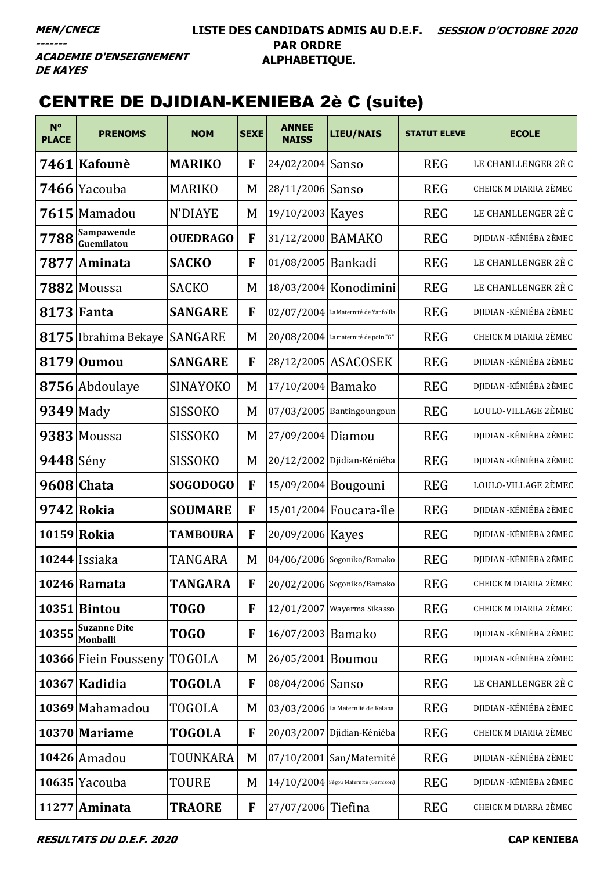## **LISTE DES CANDIDATS ADMIS AU D.E.F. SESSION D'OCTOBRE 2020 PAR ORDRE ALPHABETIQUE.**

**ACADEMIE D'ENSEIGNEMENT DE KAYES** 

# CENTRE DE DJIDIAN-KENIEBA 2è C (suite)

| $N^{\circ}$<br><b>PLACE</b> | <b>PRENOMS</b>                         | <b>NOM</b>      | <b>SEXE</b>  | <b>ANNEE</b><br><b>NAISS</b> | <b>LIEU/NAIS</b>                      | <b>STATUT ELEVE</b> | <b>ECOLE</b>            |
|-----------------------------|----------------------------------------|-----------------|--------------|------------------------------|---------------------------------------|---------------------|-------------------------|
|                             | 7461 Kafounè                           | <b>MARIKO</b>   | F            | 24/02/2004 Sanso             |                                       | <b>REG</b>          | LE CHANLLENGER 2È C     |
|                             | <b>7466</b> Yacouba                    | <b>MARIKO</b>   | M            | 28/11/2006 Sanso             |                                       | <b>REG</b>          | CHEICK M DIARRA 2ÈMEC   |
|                             | $7615$ Mamadou                         | N'DIAYE         | M            | 19/10/2003 Kayes             |                                       | <b>REG</b>          | LE CHANLLENGER 2È C     |
| 7788                        | Sampawende<br>Guemilatou               | <b>OUEDRAGO</b> | F            | 31/12/2000 BAMAKO            |                                       | <b>REG</b>          | DJIDIAN - KÉNIÉBA 2ÈMEC |
| 7877                        | Aminata                                | <b>SACKO</b>    | F            | 01/08/2005 Bankadi           |                                       | <b>REG</b>          | LE CHANLLENGER 2È C     |
|                             | 7882 Moussa                            | <b>SACKO</b>    | M            |                              | 18/03/2004 Konodimini                 | <b>REG</b>          | LE CHANLLENGER 2È C     |
|                             | <b>8173 Fanta</b>                      | <b>SANGARE</b>  | F            |                              | 02/07/2004 La Maternité de Yanfolila  | <b>REG</b>          | DJIDIAN - KÉNIÉBA 2ÈMEC |
|                             | 8175 Ibrahima Bekaye                   | <b>SANGARE</b>  | M            |                              | $20/08/2004$ La maternité de poin "G" | <b>REG</b>          | CHEICK M DIARRA 2ÈMEC   |
|                             | 8179 Oumou                             | <b>SANGARE</b>  | F            |                              | 28/12/2005 ASACOSEK                   | <b>REG</b>          | DJIDIAN - KÉNIÉBA 2ÈMEC |
|                             | 8756 Abdoulaye                         | <b>SINAYOKO</b> | M            | 17/10/2004 Bamako            |                                       | <b>REG</b>          | DJIDIAN - KÉNIÉBA 2ÈMEC |
| 9349 Mady                   |                                        | <b>SISSOKO</b>  | M            |                              | 07/03/2005 Bantingoungoun             | <b>REG</b>          | LOULO-VILLAGE 2ÈMEC     |
|                             | 9383 Moussa                            | <b>SISSOKO</b>  | M            | 27/09/2004                   | Diamou                                | <b>REG</b>          | DJIDIAN - KÉNIÉBA 2ÈMEC |
| $9448$ Sény                 |                                        | <b>SISSOKO</b>  | M            |                              | 20/12/2002 Djidian-Kéniéba            | <b>REG</b>          | DJIDIAN -KÉNIÉBA 2ÈMEC  |
|                             | 9608 Chata                             | <b>SOGODOGO</b> | F            | 15/09/2004                   | Bougouni                              | <b>REG</b>          | LOULO-VILLAGE 2ÈMEC     |
|                             | 9742 Rokia                             | <b>SOUMARE</b>  | F            | 15/01/2004                   | Foucara-île                           | <b>REG</b>          | DJIDIAN -KÉNIÉBA 2ÈMEC  |
| 10159 Rokia                 |                                        | <b>TAMBOURA</b> | F            | 20/09/2006 Kayes             |                                       | <b>REG</b>          | DJIDIAN - KÉNIÉBA 2ÈMEC |
|                             | 10244 Issiaka                          | <b>TANGARA</b>  | M            |                              | 04/06/2006 Sogoniko/Bamako            | <b>REG</b>          | DJIDIAN - KÉNIÉBA 2ÈMEC |
|                             | 10246 Ramata                           | <b>TANGARA</b>  | F            |                              | 20/02/2006 Sogoniko/Bamako            | <b>REG</b>          | CHEICK M DIARRA 2ÈMEC   |
|                             | <b>10351 Bintou</b>                    | TOGO            | F            |                              | 12/01/2007 Wayerma Sikasso            | <b>REG</b>          | CHEICK M DIARRA 2ÈMEC   |
| 10355                       | <b>Suzanne Dite</b><br><b>Monballi</b> | TOGO            | F            | 16/07/2003                   | Bamako                                | <b>REG</b>          | DJIDIAN -KÉNIÉBA 2ÈMEC  |
|                             | 10366 Fiein Fousseny                   | <b>TOGOLA</b>   | M            | 26/05/2001                   | Boumou                                | <b>REG</b>          | DJIDIAN - KÉNIÉBA 2ÈMEC |
|                             | 10367 Kadidia                          | <b>TOGOLA</b>   | $\mathbf{F}$ | 08/04/2006 Sanso             |                                       | <b>REG</b>          | LE CHANLLENGER 2È C     |
|                             | 10369 Mahamadou                        | <b>TOGOLA</b>   | M            |                              | 03/03/2006 La Maternité de Kalana     | <b>REG</b>          | DJIDIAN -KÉNIÉBA 2ÈMEC  |
|                             | 10370 Mariame                          | <b>TOGOLA</b>   | F            |                              | 20/03/2007 Djidian-Kéniéba            | <b>REG</b>          | CHEICK M DIARRA 2ÈMEC   |
|                             | $10426$ Amadou                         | TOUNKARA        | M            |                              | 07/10/2001 San/Maternité              | <b>REG</b>          | DJIDIAN -KÉNIÉBA 2ÈMEC  |
|                             | 10635 Yacouba                          | <b>TOURE</b>    | M            |                              | 14/10/2004 Ségou Maternité (Garnison) | <b>REG</b>          | DJIDIAN -KÉNIÉBA 2ÈMEC  |
|                             | 11277 Aminata                          | <b>TRAORE</b>   | F            | 27/07/2006 Tiefina           |                                       | <b>REG</b>          | CHEICK M DIARRA 2ÈMEC   |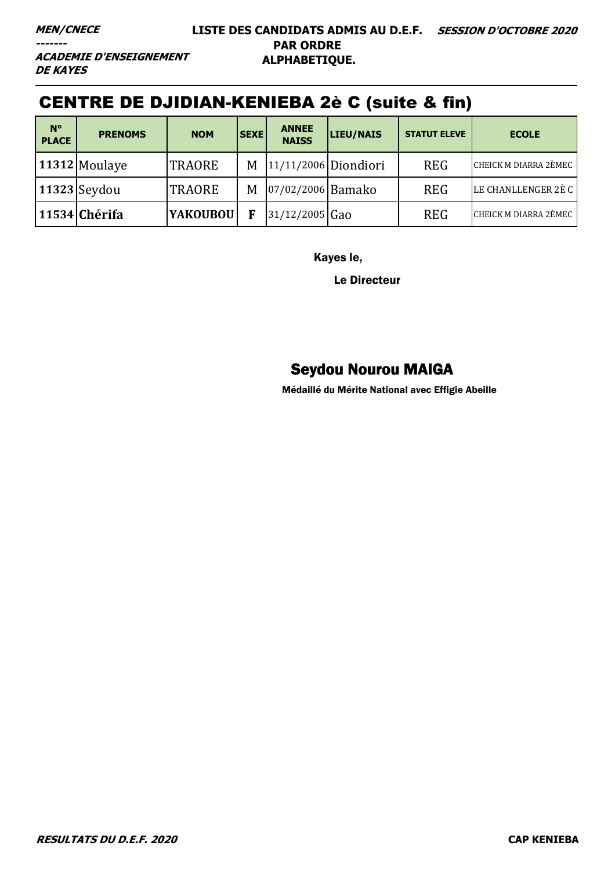**ACADEMIE D'ENSEIGNEMENT DE KAYES** 

# CENTRE DE DJIDIAN-KENIEBA 2è C (suite & fin)

| $N^{\circ}$<br><b>PLACE</b> | <b>PRENOMS</b>      | <b>NOM</b>      | <b>SEXE</b> | <b>ANNEE</b><br><b>NAISS</b> | <b>LIEU/NAIS</b>       | <b>STATUT ELEVE</b> | <b>ECOLE</b>                 |
|-----------------------------|---------------------|-----------------|-------------|------------------------------|------------------------|---------------------|------------------------------|
|                             | 11312 Moulaye       | <b>TRAORE</b>   | M           |                              | $11/11/2006$ Diondiori | <b>REG</b>          | <b>CHEICK M DIARRA 2ÈMEC</b> |
|                             | <b>11323</b> Seydou | <b>TRAORE</b>   | M           | 07/02/2006 Bamako            |                        | <b>REG</b>          | LE CHANLLENGER 2È C          |
|                             | 11534 Chérifa       | <b>YAKOUBOU</b> | F           | $31/12/2005$ Gao             |                        | <b>REG</b>          | CHEICK M DIARRA 2ÈMEC        |

Kayes le,

Le Directeur

# Seydou Nourou MAIGA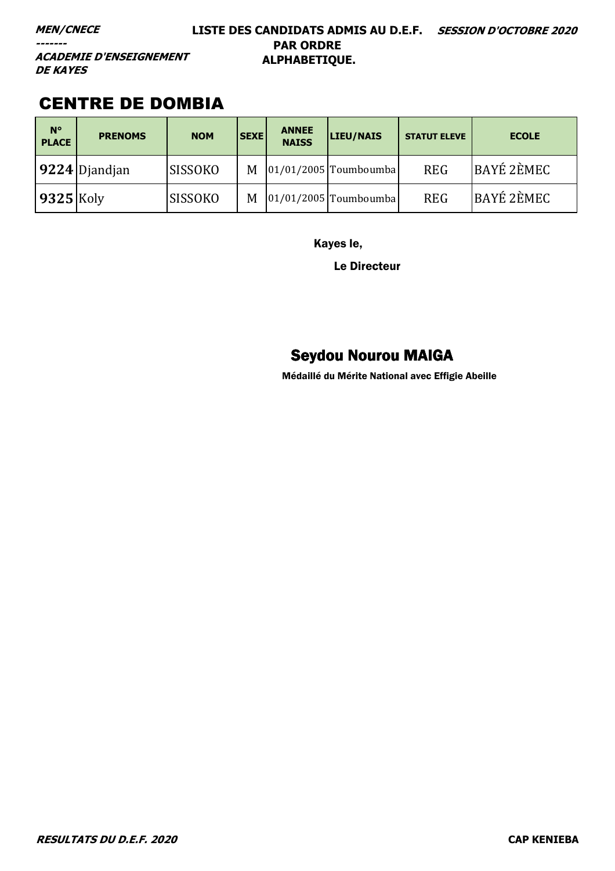### **MEN/CNECE**

**-------**

### **LISTE DES CANDIDATS ADMIS AU D.E.F. SESSION D'OCTOBRE 2020 PAR ORDRE ALPHABETIQUE.**

**ACADEMIE D'ENSEIGNEMENT DE KAYES** 

# CENTRE DE DOMBIA

| $N^{\circ}$<br><b>PLACE</b> | <b>PRENOMS</b>  | <b>NOM</b>     | <b>SEXE</b> | <b>ANNEE</b><br><b>NAISS</b> | LIEU/NAIS               | <b>STATUT ELEVE</b> | <b>ECOLE</b>      |
|-----------------------------|-----------------|----------------|-------------|------------------------------|-------------------------|---------------------|-------------------|
|                             | $9224$ Djandjan | <b>SISSOKO</b> | M           |                              | $01/01/2005$ Toumboumba | <b>REG</b>          | <b>BAYÉ 2ÈMEC</b> |
| $9325$ Koly                 |                 | <b>SISSOKO</b> | M           |                              | $01/01/2005$ Toumboumba | <b>REG</b>          | BAYÉ 2ÈMEC        |

Kayes le,

Le Directeur

# Seydou Nourou MAIGA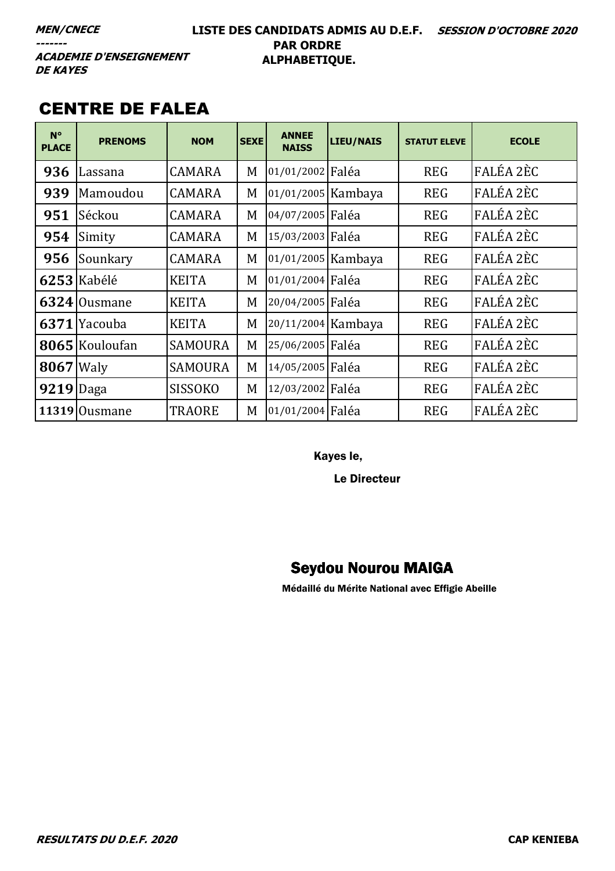### **LISTE DES CANDIDATS ADMIS AU D.E.F. SESSION D'OCTOBRE 2020 PAR ORDRE ALPHABETIQUE.**

**ACADEMIE D'ENSEIGNEMENT DE KAYES** 

# CENTRE DE FALEA

| $N^{\circ}$<br><b>PLACE</b> | <b>PRENOMS</b> | <b>NOM</b>     | <b>SEXE</b> | <b>ANNEE</b><br><b>NAISS</b> | <b>LIEU/NAIS</b> | <b>STATUT ELEVE</b> | <b>ECOLE</b> |
|-----------------------------|----------------|----------------|-------------|------------------------------|------------------|---------------------|--------------|
| 936                         | Lassana        | <b>CAMARA</b>  | M           | 01/01/2002 Faléa             |                  | <b>REG</b>          | FALÉA 2ÈC    |
| 939                         | Mamoudou       | <b>CAMARA</b>  | M           | 01/01/2005 Kambaya           |                  | <b>REG</b>          | FALÉA 2ÈC    |
| 951                         | Séckou         | <b>CAMARA</b>  | M           | 04/07/2005 Faléa             |                  | <b>REG</b>          | FALÉA 2ÈC    |
| 954                         | Simity         | <b>CAMARA</b>  | M           | 15/03/2003 Faléa             |                  | <b>REG</b>          | FALÉA 2ÈC    |
| 956                         | Sounkary       | <b>CAMARA</b>  | M           | 01/01/2005 Kambaya           |                  | <b>REG</b>          | FALÉA 2ÈC    |
|                             | 6253 Kabélé    | <b>KEITA</b>   | M           | 01/01/2004 Faléa             |                  | <b>REG</b>          | FALÉA 2ÈC    |
|                             | 6324 Ousmane   | <b>KEITA</b>   | M           | 20/04/2005 Faléa             |                  | <b>REG</b>          | FALÉA 2ÈC    |
|                             | 6371 Yacouba   | <b>KEITA</b>   | M           | 20/11/2004 Kambaya           |                  | <b>REG</b>          | FALÉA 2ÈC    |
|                             | 8065 Kouloufan | <b>SAMOURA</b> | M           | 25/06/2005 Faléa             |                  | <b>REG</b>          | FALÉA 2ÈC    |
| <b>8067</b> Waly            |                | <b>SAMOURA</b> | M           | 14/05/2005 Faléa             |                  | <b>REG</b>          | FALÉA 2ÈC    |
| 9219 Daga                   |                | <b>SISSOKO</b> | M           | 12/03/2002 Faléa             |                  | <b>REG</b>          | FALÉA 2ÈC    |
|                             | 11319 Ousmane  | <b>TRAORE</b>  | M           | 01/01/2004 Faléa             |                  | <b>REG</b>          | FALÉA 2ÈC    |

Kayes le,

Le Directeur

# Seydou Nourou MAIGA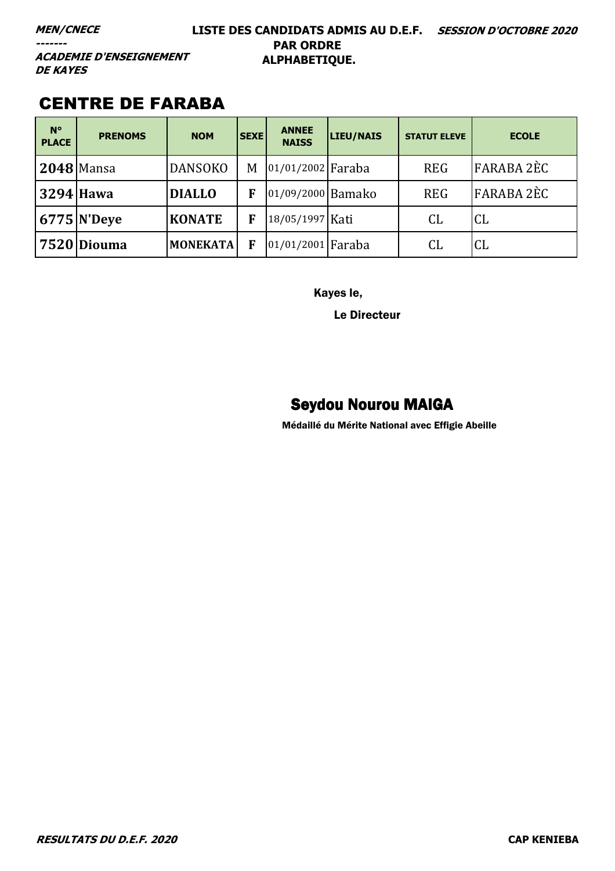**MEN/CNECE** 

-------

### LISTE DES CANDIDATS ADMIS AU D.E.F. SESSION D'OCTOBRE 2020 **PAR ORDRE** ALPHABETIQUE.

**ACADEMIE D'ENSEIGNEMENT DE KAYES** 

# **CENTRE DE FARABA**

| $N^{\circ}$<br><b>PLACE</b> | <b>PRENOMS</b> | <b>NOM</b>      | <b>SEXE</b> | <b>ANNEE</b><br><b>NAISS</b> | LIEU/NAIS | <b>STATUT ELEVE</b> | <b>ECOLE</b>      |
|-----------------------------|----------------|-----------------|-------------|------------------------------|-----------|---------------------|-------------------|
|                             | $2048$ Mansa   | <b>DANSOKO</b>  | M           | 01/01/2002 Faraba            |           | <b>REG</b>          | <b>FARABA 2ÈC</b> |
|                             | 3294 Hawa      | <b>DIALLO</b>   | F           | 01/09/2000 Bamako            |           | <b>REG</b>          | <b>FARABA 2ÈC</b> |
|                             | $6775$ N'Deye  | <b>KONATE</b>   | F           | 18/05/1997 Kati              |           | CL                  | <b>CL</b>         |
|                             | 7520 Diouma    | <b>MONEKATA</b> | F           | 01/01/2001 Faraba            |           | CL                  | <b>CL</b>         |

Kayes le,

Le Directeur

# **Seydou Nourou MAIGA**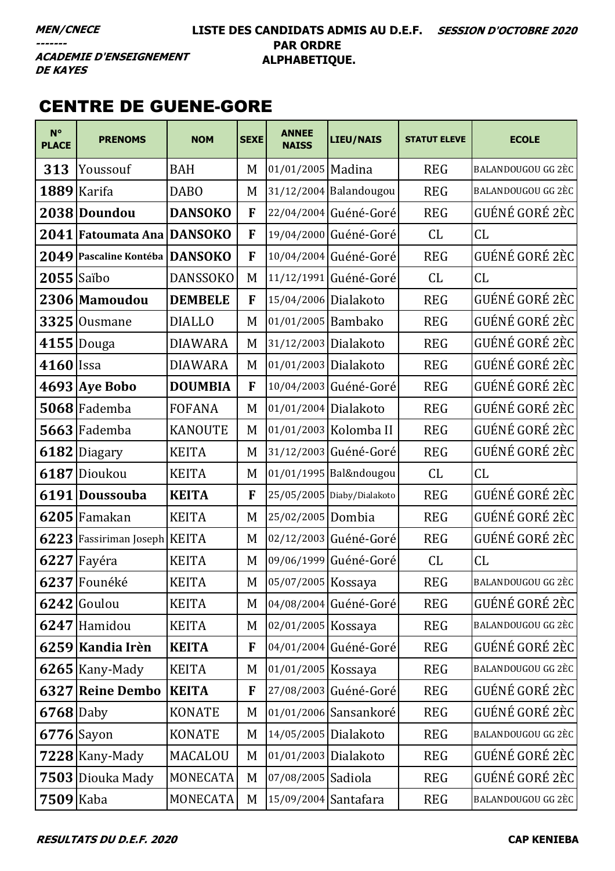### **LISTE DES CANDIDATS ADMIS AU D.E.F. SESSION D'OCTOBRE 2020 PAR ORDRE ALPHABETIQUE.**

**ACADEMIE D'ENSEIGNEMENT DE KAYES** 

# CENTRE DE GUENE-GORE

| $N^{\circ}$<br><b>PLACE</b> | <b>PRENOMS</b>               | <b>NOM</b>      | <b>SEXE</b> | <b>ANNEE</b><br><b>NAISS</b> | <b>LIEU/NAIS</b>           | <b>STATUT ELEVE</b> | <b>ECOLE</b>       |
|-----------------------------|------------------------------|-----------------|-------------|------------------------------|----------------------------|---------------------|--------------------|
| 313                         | Youssouf                     | <b>BAH</b>      | M           | 01/01/2005 Madina            |                            | <b>REG</b>          | BALANDOUGOU GG 2ÈC |
| 1889                        | Karifa                       | <b>DABO</b>     | M           |                              | 31/12/2004 Balandougou     | <b>REG</b>          | BALANDOUGOU GG 2ÈC |
|                             | 2038 Doundou                 | <b>DANSOKO</b>  | F           |                              | 22/04/2004 Guéné-Goré      | <b>REG</b>          | GUÉNÉ GORÉ 2ÈC     |
|                             | 2041 Fatoumata Ana           | <b>DANSOKO</b>  | F           |                              | 19/04/2000 Guéné-Goré      | CL                  | CL                 |
|                             | 2049 Pascaline Kontéba       | <b>DANSOKO</b>  | F           |                              | 10/04/2004 Guéné-Goré      | <b>REG</b>          | GUÉNÉ GORÉ 2ÈC     |
| $2055$ Saïbo                |                              | <b>DANSSOKO</b> | M           |                              | 11/12/1991 Guéné-Goré      | CL                  | CL                 |
|                             | 2306 Mamoudou                | <b>DEMBELE</b>  | F           | 15/04/2006 Dialakoto         |                            | <b>REG</b>          | GUÉNÉ GORÉ 2ÈC     |
|                             | $3325$ Ousmane               | <b>DIALLO</b>   | M           | 01/01/2005 Bambako           |                            | <b>REG</b>          | GUÉNÉ GORÉ 2ÈC     |
|                             | $4155$ Douga                 | <b>DIAWARA</b>  | M           | 31/12/2003 Dialakoto         |                            | <b>REG</b>          | GUÉNÉ GORÉ 2ÈC     |
| $4160$ Issa                 |                              | <b>DIAWARA</b>  | M           | 01/01/2003 Dialakoto         |                            | <b>REG</b>          | GUÉNÉ GORÉ 2ÈC     |
|                             | $4693$ Aye Bobo              | <b>DOUMBIA</b>  | F           |                              | 10/04/2003 Guéné-Goré      | <b>REG</b>          | GUÉNÉ GORÉ 2ÈC     |
|                             | 5068 Fademba                 | <b>FOFANA</b>   | M           | 01/01/2004 Dialakoto         |                            | <b>REG</b>          | GUÉNÉ GORÉ 2ÈC     |
|                             | 5663 Fademba                 | <b>KANOUTE</b>  | M           |                              | 01/01/2003 Kolomba II      | <b>REG</b>          | GUÉNÉ GORÉ 2ÈC     |
|                             | 6182 Diagary                 | <b>KEITA</b>    | M           |                              | 31/12/2003 Guéné-Goré      | <b>REG</b>          | GUÉNÉ GORÉ 2ÈC     |
|                             | 6187 Dioukou                 | <b>KEITA</b>    | M           |                              | 01/01/1995 Bal&ndougou     | CL                  | CL                 |
|                             | 6191 Doussouba               | <b>KEITA</b>    | F           |                              | 25/05/2005 Diaby/Dialakoto | <b>REG</b>          | GUÉNÉ GORÉ 2ÈC     |
|                             | 6205 Famakan                 | <b>KEITA</b>    | M           | 25/02/2005 Dombia            |                            | <b>REG</b>          | GUÉNÉ GORÉ 2ÈC     |
|                             | 6223 Fassiriman Joseph KEITA |                 | M           |                              | 02/12/2003 Guéné-Goré      | <b>REG</b>          | GUÉNÉ GORÉ 2ÈC     |
|                             | $6227$ Fayéra                | <b>KEITA</b>    | M           |                              | 09/06/1999 Guéné-Goré      | CL                  | CL                 |
|                             | 6237 Founéké                 | <b>KEITA</b>    | M           | 05/07/2005 Kossaya           |                            | <b>REG</b>          | BALANDOUGOU GG 2ÈC |
|                             | $6242$ Goulou                | <b>KEITA</b>    | M           |                              | 04/08/2004 Guéné-Goré      | <b>REG</b>          | GUÉNÉ GORÉ 2ÈC     |
|                             | 6247 Hamidou                 | <b>KEITA</b>    | M           | 02/01/2005 Kossaya           |                            | <b>REG</b>          | BALANDOUGOU GG 2ÈC |
|                             | 6259 Kandia Irèn             | <b>KEITA</b>    | F           |                              | 04/01/2004 Guéné-Goré      | <b>REG</b>          | GUÉNÉ GORÉ 2ÈC     |
|                             | $6265$ Kany-Mady             | <b>KEITA</b>    | M           | 01/01/2005 Kossaya           |                            | <b>REG</b>          | BALANDOUGOU GG 2ÈC |
|                             | 6327 Reine Dembo             | <b>KEITA</b>    | F           |                              | 27/08/2003 Guéné-Goré      | <b>REG</b>          | GUÉNÉ GORÉ 2ÈC     |
| $6768$ Daby                 |                              | <b>KONATE</b>   | M           |                              | 01/01/2006 Sansankoré      | <b>REG</b>          | GUÉNÉ GORÉ 2ÈC     |
|                             | $6776$ Sayon                 | <b>KONATE</b>   | M           | 14/05/2005 Dialakoto         |                            | <b>REG</b>          | BALANDOUGOU GG 2ÈC |
|                             | $7228$ Kany-Mady             | MACALOU         | M           | 01/01/2003 Dialakoto         |                            | <b>REG</b>          | GUÉNÉ GORÉ 2ÈC     |
|                             | 7503 Diouka Mady             | MONECATA        | M           | 07/08/2005 Sadiola           |                            | <b>REG</b>          | GUÉNÉ GORÉ 2ÈC     |
| $7509$ Kaba                 |                              | <b>MONECATA</b> | M           | 15/09/2004 Santafara         |                            | <b>REG</b>          | BALANDOUGOU GG 2ÈC |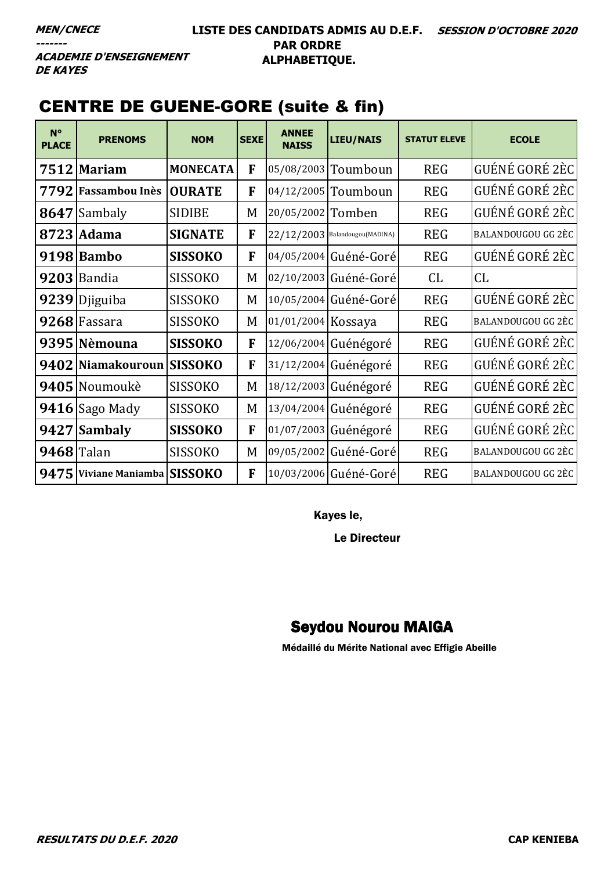### **LISTE DES CANDIDATS ADMIS AU D.E.F. SESSION D'OCTOBRE 2020 PAR ORDRE ALPHABETIQUE.**

**ACADEMIE D'ENSEIGNEMENT DE KAYES** 

# CENTRE DE GUENE-GORE (suite & fin)

| $N^{\circ}$<br><b>PLACE</b> | <b>PRENOMS</b>                | <b>NOM</b>      | <b>SEXE</b> | <b>ANNEE</b><br><b>NAISS</b> | <b>LIEU/NAIS</b>                 | <b>STATUT ELEVE</b> | <b>ECOLE</b>       |
|-----------------------------|-------------------------------|-----------------|-------------|------------------------------|----------------------------------|---------------------|--------------------|
|                             | 7512 Mariam                   | <b>MONECATA</b> | F           |                              | 05/08/2003 Toumboun              | <b>REG</b>          | GUÉNÉ GORÉ 2ÈC     |
| 7792                        | <b>Fassambou Inès</b>         | <b>OURATE</b>   | F           |                              | 04/12/2005 Toumboun              | <b>REG</b>          | GUÉNÉ GORÉ 2ÈC     |
|                             | 8647 Sambaly                  | <b>SIDIBE</b>   | M           | 20/05/2002 Tomben            |                                  | <b>REG</b>          | GUÉNÉ GORÉ 2ÈC     |
|                             | 8723 Adama                    | <b>SIGNATE</b>  | F           |                              | $22/12/2003$ Balandougou(MADINA) | <b>REG</b>          | BALANDOUGOU GG 2ÈC |
|                             | 9198 Bambo                    | <b>SISSOKO</b>  | F           |                              | 04/05/2004 Guéné-Goré            | <b>REG</b>          | GUÉNÉ GORÉ 2ÈC     |
|                             | $9203$ Bandia                 | <b>SISSOKO</b>  | M           |                              | 02/10/2003 Guéné-Goré            | CL                  | CL                 |
| 9239                        | Djiguiba                      | <b>SISSOKO</b>  | M           |                              | 10/05/2004 Guéné-Goré            | <b>REG</b>          | GUÉNÉ GORÉ 2ÈC     |
|                             | 9268 Fassara                  | <b>SISSOKO</b>  | M           | 01/01/2004 Kossaya           |                                  | <b>REG</b>          | BALANDOUGOU GG 2ÈC |
|                             | 9395 Nèmouna                  | <b>SISSOKO</b>  | F           |                              | 12/06/2004 Guénégoré             | <b>REG</b>          | GUÉNÉ GORÉ 2ÈC     |
|                             | 9402 Niamakouroun             | <b>SISSOKO</b>  | F           |                              | 31/12/2004 Guénégoré             | <b>REG</b>          | GUÉNÉ GORÉ 2ÈC     |
|                             | 9405 Noumoukè                 | <b>SISSOKO</b>  | M           |                              | 18/12/2003 Guénégoré             | <b>REG</b>          | GUÉNÉ GORÉ 2ÈC     |
|                             | $9416$ Sago Mady              | <b>SISSOKO</b>  | M           |                              | 13/04/2004 Guénégoré             | <b>REG</b>          | GUÉNÉ GORÉ 2ÈC     |
|                             | 9427 Sambaly                  | <b>SISSOKO</b>  | F           |                              | 01/07/2003 Guénégoré             | <b>REG</b>          | GUÉNÉ GORÉ 2ÈC     |
| 9468 Talan                  |                               | <b>SISSOKO</b>  | M           |                              | 09/05/2002 Guéné-Goré            | <b>REG</b>          | BALANDOUGOU GG 2ÈC |
|                             | 9475 Viviane Maniamba SISSOKO |                 | F           |                              | 10/03/2006 Guéné-Goré            | <b>REG</b>          | BALANDOUGOU GG 2ÈC |

Kayes le,

Le Directeur

# Seydou Nourou MAIGA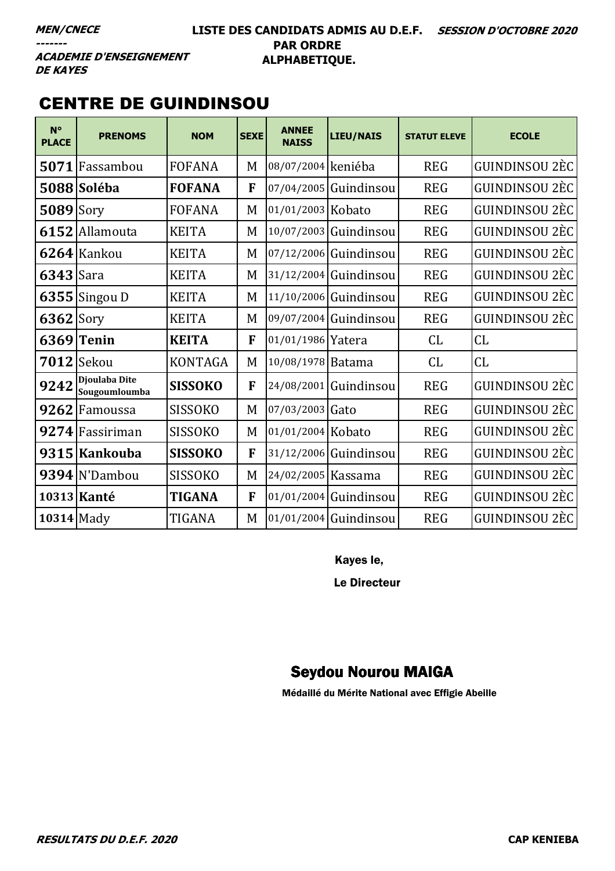### LISTE DES CANDIDATS ADMIS AU D.E.F. SESSION D'OCTOBRE 2020 **PAR ORDRE** ALPHABETIQUE.

**ACADEMIE D'ENSEIGNEMENT DE KAYES** 

# **CENTRE DE GUINDINSOU**

| $N^{\circ}$<br><b>PLACE</b> | <b>PRENOMS</b>                 | <b>NOM</b>     | <b>SEXE</b> | <b>ANNEE</b><br><b>NAISS</b> | LIEU/NAIS             | <b>STATUT ELEVE</b> | <b>ECOLE</b>   |
|-----------------------------|--------------------------------|----------------|-------------|------------------------------|-----------------------|---------------------|----------------|
| 5071                        | Fassambou                      | <b>FOFANA</b>  | M           | 08/07/2004 keniéba           |                       | <b>REG</b>          | GUINDINSOU 2ÈC |
|                             | 5088 Soléba                    | <b>FOFANA</b>  | F           |                              | 07/04/2005 Guindinsou | <b>REG</b>          | GUINDINSOU 2ÈC |
| 5089                        | Sory                           | <b>FOFANA</b>  | M           | 01/01/2003 Kobato            |                       | <b>REG</b>          | GUINDINSOU 2ÈC |
| 6152                        | Allamouta                      | <b>KEITA</b>   | M           |                              | 10/07/2003 Guindinsou | <b>REG</b>          | GUINDINSOU 2ÈC |
|                             | 6264 Kankou                    | <b>KEITA</b>   | M           |                              | 07/12/2006 Guindinsou | <b>REG</b>          | GUINDINSOU 2ÈC |
| 6343                        | Sara                           | <b>KEITA</b>   | M           |                              | 31/12/2004 Guindinsou | <b>REG</b>          | GUINDINSOU 2ÈC |
|                             | $6355$ Singou D                | <b>KEITA</b>   | M           |                              | 11/10/2006 Guindinsou | <b>REG</b>          | GUINDINSOU 2ÈC |
| $6362$ Sory                 |                                | <b>KEITA</b>   | M           |                              | 09/07/2004 Guindinsou | <b>REG</b>          | GUINDINSOU 2ÈC |
| 6369                        | Tenin                          | <b>KEITA</b>   | F           | 01/01/1986 Yatera            |                       | CL                  | CL             |
|                             | $7012$ Sekou                   | <b>KONTAGA</b> | M           | 10/08/1978 Batama            |                       | CL                  | CL             |
| 9242                        | Djoulaba Dite<br>Sougoumloumba | <b>SISSOKO</b> | F           |                              | 24/08/2001 Guindinsou | <b>REG</b>          | GUINDINSOU 2ÈC |
| 9262                        | Famoussa                       | <b>SISSOKO</b> | M           | 07/03/2003 Gato              |                       | <b>REG</b>          | GUINDINSOU 2ÈC |
|                             | 9274 Fassiriman                | <b>SISSOKO</b> | M           | 01/01/2004 Kobato            |                       | <b>REG</b>          | GUINDINSOU 2ÈC |
|                             | 9315 Kankouba                  | <b>SISSOKO</b> | F           |                              | 31/12/2006 Guindinsou | <b>REG</b>          | GUINDINSOU 2ÈC |
|                             | 9394 N'Dambou                  | <b>SISSOKO</b> | M           | 24/02/2005   Kassama         |                       | <b>REG</b>          | GUINDINSOU 2ÈC |
|                             | 10313 Kanté                    | TIGANA         | F           |                              | 01/01/2004 Guindinsou | <b>REG</b>          | GUINDINSOU 2ÈC |
| <b>10314</b> Mady           |                                | TIGANA         | M           |                              | 01/01/2004 Guindinsou | <b>REG</b>          | GUINDINSOU 2ÈC |

Kayes le,

Le Directeur

# **Seydou Nourou MAIGA**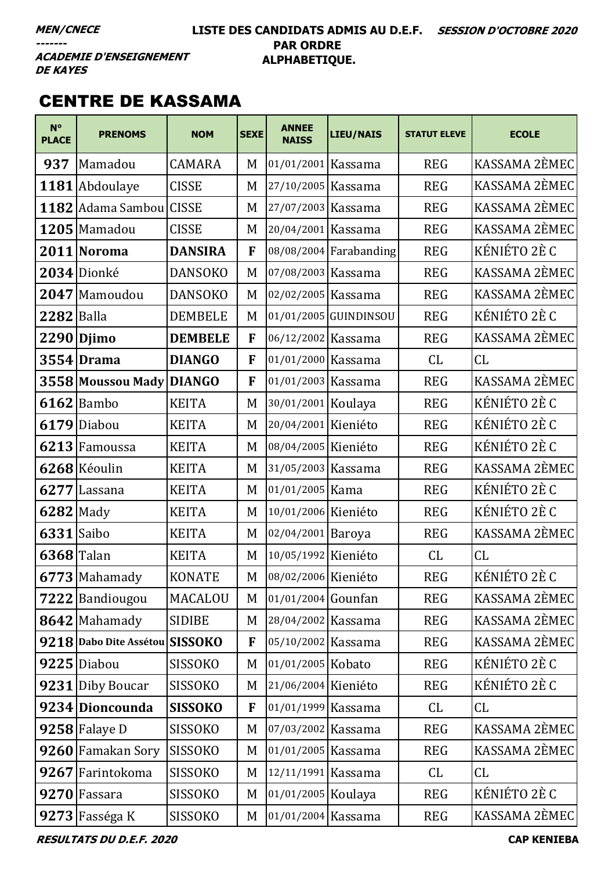### LISTE DES CANDIDATS ADMIS AU D.E.F. SESSION D'OCTOBRE 2020 **PAR ORDRE** ALPHABETIQUE.

**ACADEMIE D'ENSEIGNEMENT DE KAYES** 

# **CENTRE DE KASSAMA**

| $N^{\circ}$<br><b>PLACE</b> | <b>PRENOMS</b>                 | <b>NOM</b>     | <b>SEXE</b> | <b>ANNEE</b><br><b>NAISS</b> | LIEU/NAIS              | <b>STATUT ELEVE</b> | <b>ECOLE</b>  |
|-----------------------------|--------------------------------|----------------|-------------|------------------------------|------------------------|---------------------|---------------|
| 937                         | Mamadou                        | <b>CAMARA</b>  | M           | 01/01/2001 Kassama           |                        | <b>REG</b>          | KASSAMA 2ÈMEC |
|                             | 1181 Abdoulaye                 | <b>CISSE</b>   | M           | 27/10/2005 Kassama           |                        | <b>REG</b>          | KASSAMA 2ÈMEC |
| 1182                        | Adama Sambou                   | <b>CISSE</b>   | M           | 27/07/2003 Kassama           |                        | <b>REG</b>          | KASSAMA 2ÈMEC |
|                             | 1205 Mamadou                   | <b>CISSE</b>   | M           | 20/04/2001 Kassama           |                        | <b>REG</b>          | KASSAMA 2ÈMEC |
|                             | 2011 Noroma                    | <b>DANSIRA</b> | F           |                              | 08/08/2004 Farabanding | <b>REG</b>          | KÉNIÉTO 2È C  |
|                             | 2034 Dionké                    | <b>DANSOKO</b> | M           | 07/08/2003 Kassama           |                        | <b>REG</b>          | KASSAMA 2ÈMEC |
|                             | 2047 Mamoudou                  | <b>DANSOKO</b> | M           | 02/02/2005 Kassama           |                        | <b>REG</b>          | KASSAMA 2ÈMEC |
| <b>2282</b> Balla           |                                | <b>DEMBELE</b> | M           |                              | 01/01/2005 GUINDINSOU  | <b>REG</b>          | KÉNIÉTO 2È C  |
|                             | $2290$ Djimo                   | <b>DEMBELE</b> | F           | 06/12/2002 Kassama           |                        | <b>REG</b>          | KASSAMA 2ÈMEC |
|                             | 3554 Drama                     | <b>DIANGO</b>  | F           | 01/01/2000 Kassama           |                        | CL                  | CL            |
|                             | 3558 Moussou Mady              | <b>DIANGO</b>  | F           | 01/01/2003 Kassama           |                        | <b>REG</b>          | KASSAMA 2ÈMEC |
|                             | $6162$ Bambo                   | <b>KEITA</b>   | M           | 30/01/2001 Koulaya           |                        | <b>REG</b>          | KÉNIÉTO 2È C  |
| 6179                        | Diabou                         | <b>KEITA</b>   | M           | 20/04/2001 Kieniéto          |                        | <b>REG</b>          | KÉNIÉTO 2È C  |
|                             | 6213 Famoussa                  | <b>KEITA</b>   | M           | 08/04/2005 Kieniéto          |                        | <b>REG</b>          | KÉNIÉTO 2È C  |
|                             | 6268 Kéoulin                   | <b>KEITA</b>   | M           | 31/05/2003 Kassama           |                        | <b>REG</b>          | KASSAMA 2ÈMEC |
|                             | 6277 Lassana                   | <b>KEITA</b>   | M           | 01/01/2005 Kama              |                        | <b>REG</b>          | KÉNIÉTO 2È C  |
| $6282$ Mady                 |                                | <b>KEITA</b>   | M           | 10/01/2006 Kieniéto          |                        | <b>REG</b>          | KÉNIÉTO 2È C  |
| $6331$ Saibo                |                                | <b>KEITA</b>   | M           | 02/04/2001 Baroya            |                        | <b>REG</b>          | KASSAMA 2ÈMEC |
| $6368$ Talan                |                                | <b>KEITA</b>   | M           | 10/05/1992 Kieniéto          |                        | CL                  | CL            |
|                             | 6773 Mahamady                  | <b>KONATE</b>  | M           | 08/02/2006 Kieniéto          |                        | <b>REG</b>          | KÉNIÉTO 2È C  |
|                             | 7222 Bandiougou                | MACALOU        | M           | 01/01/2004 Gounfan           |                        | <b>REG</b>          | KASSAMA 2ÈMEC |
|                             | $8642$ Mahamady                | <b>SIDIBE</b>  | M           | 28/04/2002 Kassama           |                        | <b>REG</b>          | KASSAMA 2ÈMEC |
|                             | 9218 Dabo Dite Assétou SISSOKO |                | F           | 05/10/2002 Kassama           |                        | <b>REG</b>          | KASSAMA 2ÈMEC |
|                             | 9225 Diabou                    | <b>SISSOKO</b> | M           | 01/01/2005 Kobato            |                        | <b>REG</b>          | KÉNIÉTO 2È C  |
|                             | 9231 Diby Boucar               | <b>SISSOKO</b> | M           | 21/06/2004 Kieniéto          |                        | <b>REG</b>          | KÉNIÉTO 2È C  |
|                             | 9234 Dioncounda                | <b>SISSOKO</b> | F           | 01/01/1999 Kassama           |                        | CL                  | CL            |
|                             | $9258$ Falaye D                | <b>SISSOKO</b> | M           | 07/03/2002 Kassama           |                        | <b>REG</b>          | KASSAMA 2ÈMEC |
|                             | 9260 Famakan Sory              | <b>SISSOKO</b> | M           | 01/01/2005 Kassama           |                        | <b>REG</b>          | KASSAMA 2ÈMEC |
|                             | 9267 Farintokoma               | <b>SISSOKO</b> | M           | 12/11/1991 Kassama           |                        | CL                  | CL            |
|                             | 9270 Fassara                   | <b>SISSOKO</b> | M           | 01/01/2005 Koulaya           |                        | <b>REG</b>          | KÉNIÉTO 2È C  |
|                             | $9273$ Fasséga K               | SISSOKO        | M           | 01/01/2004 Kassama           |                        | <b>REG</b>          | KASSAMA 2ÈMEC |

**RESULTATS DU D.E.F. 2020** 

**CAP KENIEBA**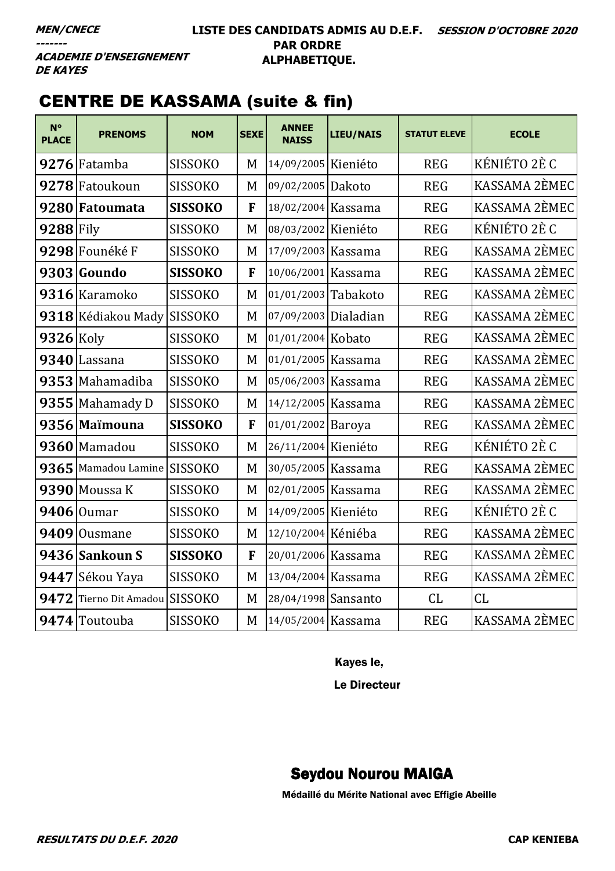### **LISTE DES CANDIDATS ADMIS AU D.E.F. SESSION D'OCTOBRE 2020 PAR ORDRE ALPHABETIQUE.**

**ACADEMIE D'ENSEIGNEMENT DE KAYES** 

# CENTRE DE KASSAMA (suite & fin)

| $N^{\circ}$<br><b>PLACE</b> | <b>PRENOMS</b>            | <b>NOM</b>     | <b>SEXE</b> | <b>ANNEE</b><br><b>NAISS</b> | <b>LIEU/NAIS</b> | <b>STATUT ELEVE</b> | <b>ECOLE</b>  |
|-----------------------------|---------------------------|----------------|-------------|------------------------------|------------------|---------------------|---------------|
|                             | 9276 Fatamba              | <b>SISSOKO</b> | M           | 14/09/2005 Kieniéto          |                  | <b>REG</b>          | KÉNIÉTO 2È C  |
| 9278                        | Fatoukoun                 | <b>SISSOKO</b> | M           | 09/02/2005 Dakoto            |                  | <b>REG</b>          | KASSAMA 2ÈMEC |
| 9280                        | Fatoumata                 | <b>SISSOKO</b> | $\mathbf F$ | 18/02/2004 Kassama           |                  | <b>REG</b>          | KASSAMA 2ÈMEC |
| $9288$ Fily                 |                           | <b>SISSOKO</b> | M           | 08/03/2002 Kieniéto          |                  | <b>REG</b>          | KÉNIÉTO 2È C  |
|                             | 9298 Founéké F            | <b>SISSOKO</b> | M           | 17/09/2003 Kassama           |                  | <b>REG</b>          | KASSAMA 2ÈMEC |
|                             | 9303 Goundo               | <b>SISSOKO</b> | F           | 10/06/2001 Kassama           |                  | <b>REG</b>          | KASSAMA 2ÈMEC |
|                             | 9316 Karamoko             | <b>SISSOKO</b> | M           | 01/01/2003 Tabakoto          |                  | <b>REG</b>          | KASSAMA 2ÈMEC |
|                             | 9318 Kédiakou Mady        | <b>SISSOKO</b> | M           | 07/09/2003 Dialadian         |                  | <b>REG</b>          | KASSAMA 2ÈMEC |
| 9326                        | Koly                      | <b>SISSOKO</b> | M           | 01/01/2004 Kobato            |                  | <b>REG</b>          | KASSAMA 2ÈMEC |
| 9340                        | Lassana                   | <b>SISSOKO</b> | M           | 01/01/2005 Kassama           |                  | <b>REG</b>          | KASSAMA 2ÈMEC |
| 9353                        | Mahamadiba                | <b>SISSOKO</b> | M           | 05/06/2003 Kassama           |                  | <b>REG</b>          | KASSAMA 2ÈMEC |
| 9355                        | Mahamady D                | <b>SISSOKO</b> | M           | 14/12/2005 Kassama           |                  | <b>REG</b>          | KASSAMA 2ÈMEC |
|                             | 9356 Maimouna             | <b>SISSOKO</b> | F           | 01/01/2002 Baroya            |                  | <b>REG</b>          | KASSAMA 2ÈMEC |
| 9360                        | Mamadou                   | <b>SISSOKO</b> | M           | 26/11/2004 Kieniéto          |                  | <b>REG</b>          | KÉNIÉTO 2È C  |
| 9365                        | Mamadou Lamine            | <b>SISSOKO</b> | M           | 30/05/2005 Kassama           |                  | <b>REG</b>          | KASSAMA 2ÈMEC |
| 9390                        | Moussa K                  | <b>SISSOKO</b> | M           | 02/01/2005 Kassama           |                  | <b>REG</b>          | KASSAMA 2ÈMEC |
| 9406                        | <b>Oumar</b>              | <b>SISSOKO</b> | M           | 14/09/2005 Kieniéto          |                  | <b>REG</b>          | KÉNIÉTO 2È C  |
| 9409                        | <b>Ousmane</b>            | <b>SISSOKO</b> | M           | 12/10/2004 Kéniéba           |                  | <b>REG</b>          | KASSAMA 2ÈMEC |
|                             | 9436 Sankoun S            | <b>SISSOKO</b> | F           | 20/01/2006 Kassama           |                  | <b>REG</b>          | KASSAMA 2ÈMEC |
| 9447                        | Sékou Yaya                | <b>SISSOKO</b> | M           | 13/04/2004 Kassama           |                  | <b>REG</b>          | KASSAMA 2ÈMEC |
| 9472                        | Tierno Dit Amadou SISSOKO |                | M           | 28/04/1998 Sansanto          |                  | CL                  | CL            |
|                             | 9474 Toutouba             | <b>SISSOKO</b> | M           | 14/05/2004 Kassama           |                  | <b>REG</b>          | KASSAMA 2ÈMEC |

Kayes le,

Le Directeur

# Seydou Nourou MAIGA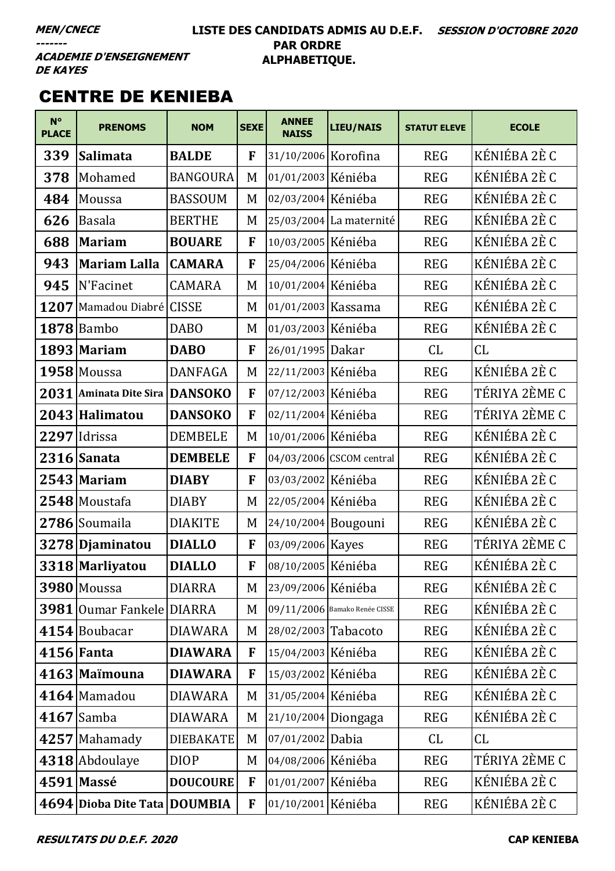### **LISTE DES CANDIDATS ADMIS AU D.E.F. SESSION D'OCTOBRE 2020 PAR ORDRE ALPHABETIQUE.**

**ACADEMIE D'ENSEIGNEMENT DE KAYES** 

# CENTRE DE KENIEBA

| $N^{\circ}$<br><b>PLACE</b> | <b>PRENOMS</b>               | <b>NOM</b>       | <b>SEXE</b> | <b>ANNEE</b><br><b>NAISS</b> | <b>LIEU/NAIS</b>              | <b>STATUT ELEVE</b> | <b>ECOLE</b>  |
|-----------------------------|------------------------------|------------------|-------------|------------------------------|-------------------------------|---------------------|---------------|
| 339                         | <b>Salimata</b>              | <b>BALDE</b>     | F           | 31/10/2006 Korofina          |                               | <b>REG</b>          | KÉNIÉBA 2È C  |
| 378                         | Mohamed                      | <b>BANGOURA</b>  | M           | 01/01/2003 Kéniéba           |                               | <b>REG</b>          | KÉNIÉBA 2È C  |
| 484                         | Moussa                       | <b>BASSOUM</b>   | M           | 02/03/2004 Kéniéba           |                               | <b>REG</b>          | KÉNIÉBA 2È C  |
| 626                         | <b>Basala</b>                | <b>BERTHE</b>    | M           |                              | 25/03/2004 La maternité       | <b>REG</b>          | KÉNIÉBA 2È C  |
| 688                         | <b>Mariam</b>                | <b>BOUARE</b>    | F           | 10/03/2005 Kéniéba           |                               | <b>REG</b>          | KÉNIÉBA 2È C  |
| 943                         | <b>Mariam Lalla</b>          | <b>CAMARA</b>    | F           | 25/04/2006 Kéniéba           |                               | <b>REG</b>          | KÉNIÉBA 2È C  |
| 945                         | N'Facinet                    | <b>CAMARA</b>    | M           | 10/01/2004 Kéniéba           |                               | <b>REG</b>          | KÉNIÉBA 2È C  |
| 1207                        | Mamadou Diabré CISSE         |                  | M           | 01/01/2003 Kassama           |                               | <b>REG</b>          | KÉNIÉBA 2È C  |
|                             | $1878$  Bambo                | <b>DABO</b>      | M           | 01/03/2003 Kéniéba           |                               | <b>REG</b>          | KÉNIÉBA 2È C  |
|                             | 1893 Mariam                  | <b>DABO</b>      | F           | 26/01/1995 Dakar             |                               | CL                  | CL            |
|                             | $1958$ Moussa                | <b>DANFAGA</b>   | M           | 22/11/2003 Kéniéba           |                               | <b>REG</b>          | KÉNIÉBA 2È C  |
|                             | 2031 Aminata Dite Sira       | <b>DANSOKO</b>   | F           | 07/12/2003 Kéniéba           |                               | <b>REG</b>          | TÉRIYA 2ÈME C |
|                             | 2043 Halimatou               | <b>DANSOKO</b>   | F           | 02/11/2004 Kéniéba           |                               | <b>REG</b>          | TÉRIYA 2ÈME C |
|                             | 2297 Idrissa                 | <b>DEMBELE</b>   | M           | 10/01/2006 Kéniéba           |                               | <b>REG</b>          | KÉNIÉBA 2È C  |
|                             | 2316 Sanata                  | <b>DEMBELE</b>   | $\mathbf F$ |                              | 04/03/2006 CSCOM central      | <b>REG</b>          | KÉNIÉBA 2È C  |
|                             | 2543 Mariam                  | <b>DIABY</b>     | $\mathbf F$ | 03/03/2002 Kéniéba           |                               | <b>REG</b>          | KÉNIÉBA 2È C  |
|                             | 2548 Moustafa                | <b>DIABY</b>     | M           | 22/05/2004 Kéniéba           |                               | <b>REG</b>          | KÉNIÉBA 2È C  |
|                             | 2786 Soumaila                | <b>DIAKITE</b>   | M           | 24/10/2004 Bougouni          |                               | <b>REG</b>          | KÉNIÉBA 2È C  |
|                             | 3278 Djaminatou              | <b>DIALLO</b>    | F           | 03/09/2006 Kayes             |                               | <b>REG</b>          | TÉRIYA 2ÈME C |
|                             | 3318 Marliyatou              | <b>DIALLO</b>    | F           | 08/10/2005 Kéniéba           |                               | <b>REG</b>          | KÉNIÉBA 2È C  |
|                             | 3980 Moussa                  | <b>DIARRA</b>    | M           | 23/09/2006 Kéniéba           |                               | <b>REG</b>          | KÉNIÉBA 2È C  |
|                             | 3981 Oumar Fankele DIARRA    |                  | M           |                              | 09/11/2006 Bamako Renée CISSE | <b>REG</b>          | KÉNIÉBA 2È C  |
|                             | 4154 Boubacar                | <b>DIAWARA</b>   | M           | 28/02/2003 Tabacoto          |                               | <b>REG</b>          | KÉNIÉBA 2È C  |
|                             | $4156$ Fanta                 | <b>DIAWARA</b>   | F           | 15/04/2003 Kéniéba           |                               | <b>REG</b>          | KÉNIÉBA 2È C  |
|                             | 4163 Maimouna                | <b>DIAWARA</b>   | $\mathbf F$ | 15/03/2002 Kéniéba           |                               | <b>REG</b>          | KÉNIÉBA 2È C  |
|                             | 4164 Mamadou                 | <b>DIAWARA</b>   | M           | 31/05/2004 Kéniéba           |                               | <b>REG</b>          | KÉNIÉBA 2È C  |
|                             | $4167$ Samba                 | <b>DIAWARA</b>   | M           | 21/10/2004 Diongaga          |                               | <b>REG</b>          | KÉNIÉBA 2È C  |
|                             | 4257 Mahamady                | <b>DIEBAKATE</b> | M           | 07/01/2002 Dabia             |                               | CL                  | CL            |
|                             | 4318 Abdoulaye               | <b>DIOP</b>      | M           | 04/08/2006 Kéniéba           |                               | <b>REG</b>          | TÉRIYA 2ÈME C |
|                             | 4591 Massé                   | <b>DOUCOURE</b>  | F           | 01/01/2007 Kéniéba           |                               | <b>REG</b>          | KÉNIÉBA 2È C  |
|                             | 4694 Dioba Dite Tata DOUMBIA |                  | F           | 01/10/2001 Kéniéba           |                               | <b>REG</b>          | KÉNIÉBA 2È C  |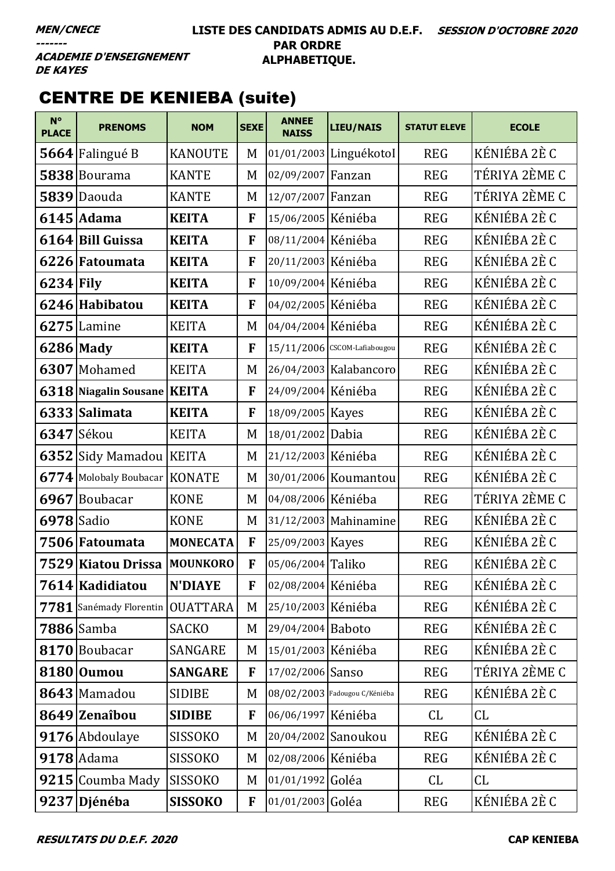## **LISTE DES CANDIDATS ADMIS AU D.E.F. SESSION D'OCTOBRE 2020 PAR ORDRE ALPHABETIQUE.**

**ACADEMIE D'ENSEIGNEMENT DE KAYES** 

# CENTRE DE KENIEBA (suite)

| $N^{\circ}$<br><b>PLACE</b> | <b>PRENOMS</b>                | <b>NOM</b>      | <b>SEXE</b>  | <b>ANNEE</b><br><b>NAISS</b> | LIEU/NAIS                     | <b>STATUT ELEVE</b> | <b>ECOLE</b>  |
|-----------------------------|-------------------------------|-----------------|--------------|------------------------------|-------------------------------|---------------------|---------------|
|                             | 5664 Falingué B               | <b>KANOUTE</b>  | M            |                              | 01/01/2003 LinguékotoI        | <b>REG</b>          | KÉNIÉBA 2È C  |
| 5838                        | Bourama                       | <b>KANTE</b>    | M            | 02/09/2007 Fanzan            |                               | <b>REG</b>          | TÉRIYA 2ÈME C |
| 5839                        | Daouda                        | <b>KANTE</b>    | M            | 12/07/2007 Fanzan            |                               | <b>REG</b>          | TÉRIYA 2ÈME C |
|                             | 6145 Adama                    | <b>KEITA</b>    | F            | 15/06/2005 Kéniéba           |                               | <b>REG</b>          | KÉNIÉBA 2È C  |
|                             | 6164 Bill Guissa              | <b>KEITA</b>    | F            | 08/11/2004 Kéniéba           |                               | <b>REG</b>          | KÉNIÉBA 2È C  |
|                             | 6226 Fatoumata                | <b>KEITA</b>    | F            | 20/11/2003 Kéniéba           |                               | <b>REG</b>          | KÉNIÉBA 2È C  |
| $6234$ Fily                 |                               | <b>KEITA</b>    | F            | 10/09/2004 Kéniéba           |                               | <b>REG</b>          | KÉNIÉBA 2È C  |
|                             | 6246 Habibatou                | <b>KEITA</b>    | F            | 04/02/2005 Kéniéba           |                               | <b>REG</b>          | KÉNIÉBA 2È C  |
| 6275                        | Lamine                        | <b>KEITA</b>    | M            | 04/04/2004 Kéniéba           |                               | <b>REG</b>          | KÉNIÉBA 2È C  |
|                             | $6286$ Mady                   | <b>KEITA</b>    | F            |                              | 15/11/2006 CSCOM-Lafiabougou  | <b>REG</b>          | KÉNIÉBA 2È C  |
|                             | 6307 Mohamed                  | <b>KEITA</b>    | M            |                              | 26/04/2003 Kalabancoro        | <b>REG</b>          | KÉNIÉBA 2È C  |
|                             | 6318 Niagalin Sousane         | <b>KEITA</b>    | F            | 24/09/2004 Kéniéba           |                               | <b>REG</b>          | KÉNIÉBA 2È C  |
| 6333                        | Salimata                      | <b>KEITA</b>    | F            | 18/09/2005 Kayes             |                               | <b>REG</b>          | KÉNIÉBA 2È C  |
|                             | $6347$ Sékou                  | <b>KEITA</b>    | M            | 18/01/2002 Dabia             |                               | <b>REG</b>          | KÉNIÉBA 2È C  |
| 6352                        | Sidy Mamadou KEITA            |                 | M            | 21/12/2003 Kéniéba           |                               | <b>REG</b>          | KÉNIÉBA 2È C  |
|                             | 6774 Molobaly Boubacar KONATE |                 | M            |                              | 30/01/2006 Koumantou          | <b>REG</b>          | KÉNIÉBA 2È C  |
| 6967                        | Boubacar                      | <b>KONE</b>     | M            | 04/08/2006 Kéniéba           |                               | <b>REG</b>          | TÉRIYA 2ÈME C |
| 6978 Sadio                  |                               | <b>KONE</b>     | M            |                              | 31/12/2003 Mahinamine         | <b>REG</b>          | KÉNIÉBA 2È C  |
|                             | 7506 Fatoumata                | <b>MONECATA</b> | F            | 25/09/2003 Kayes             |                               | <b>REG</b>          | KÉNIÉBA 2È C  |
|                             | 7529 Kiatou Drissa            | <b>MOUNKORO</b> | F            | 05/06/2004 Taliko            |                               | <b>REG</b>          | KÉNIÉBA 2È C  |
|                             | 7614 Kadidiatou               | <b>N'DIAYE</b>  | F            | 02/08/2004 Kéniéba           |                               | <b>REG</b>          | KÉNIÉBA 2È C  |
|                             | $7781$ Sanémady Florentin     | <b>OUATTARA</b> | M            | 25/10/2003 Kéniéba           |                               | <b>REG</b>          | KÉNIÉBA 2È C  |
|                             | 7886 Samba                    | <b>SACKO</b>    | M            | 29/04/2004 Baboto            |                               | <b>REG</b>          | KÉNIÉBA 2È C  |
|                             | 8170 Boubacar                 | <b>SANGARE</b>  | M            | 15/01/2003 Kéniéba           |                               | <b>REG</b>          | KÉNIÉBA 2È C  |
|                             | 8180 Oumou                    | <b>SANGARE</b>  | F            | 17/02/2006 Sanso             |                               | <b>REG</b>          | TÉRIYA 2ÈME C |
|                             | 8643 Mamadou                  | <b>SIDIBE</b>   | M            |                              | 08/02/2003 Fadougou C/Kéniéba | <b>REG</b>          | KÉNIÉBA 2È C  |
|                             | 8649 Zenaîbou                 | <b>SIDIBE</b>   | $\mathbf{F}$ | 06/06/1997 Kéniéba           |                               | CL                  | CL            |
|                             | 9176 Abdoulaye                | <b>SISSOKO</b>  | M            |                              | 20/04/2002 Sanoukou           | <b>REG</b>          | KÉNIÉBA 2È C  |
|                             | $9178$ Adama                  | <b>SISSOKO</b>  | M            | 02/08/2006 Kéniéba           |                               | <b>REG</b>          | KÉNIÉBA 2È C  |
|                             | 9215 Coumba Mady              | <b>SISSOKO</b>  | M            | 01/01/1992 Goléa             |                               | CL                  | CL            |
|                             | 9237 Djénéba                  | <b>SISSOKO</b>  | F            | 01/01/2003 Goléa             |                               | <b>REG</b>          | KÉNIÉBA 2È C  |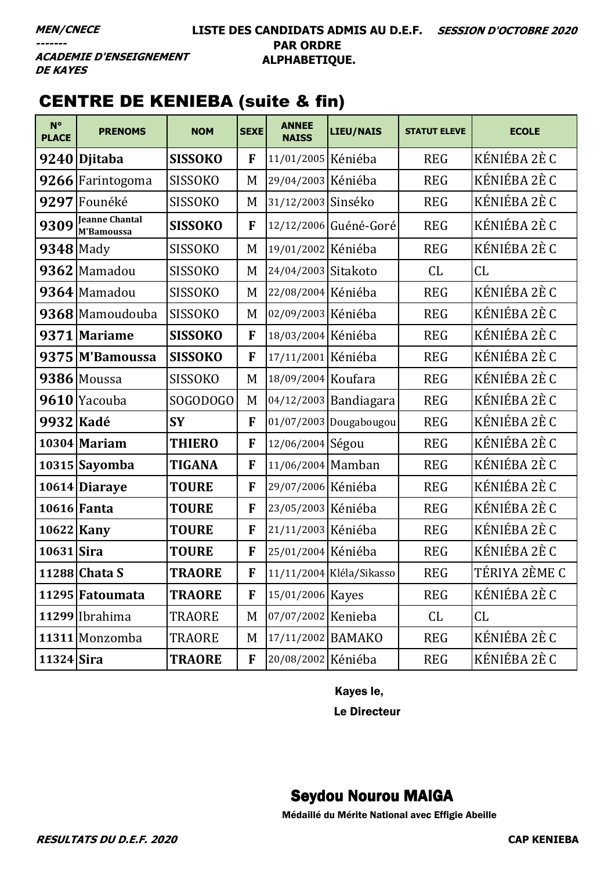### **LISTE DES CANDIDATS ADMIS AU D.E.F. SESSION D'OCTOBRE 2020 PAR ORDRE ALPHABETIQUE.**

**ACADEMIE D'ENSEIGNEMENT DE KAYES** 

# CENTRE DE KENIEBA (suite & fin)

| $N^{\circ}$<br><b>PLACE</b> | <b>PRENOMS</b>                      | <b>NOM</b>     | <b>SEXE</b> | <b>ANNEE</b><br><b>NAISS</b> | <b>LIEU/NAIS</b>         | <b>STATUT ELEVE</b> | <b>ECOLE</b>  |
|-----------------------------|-------------------------------------|----------------|-------------|------------------------------|--------------------------|---------------------|---------------|
|                             | 9240 Djitaba                        | <b>SISSOKO</b> | F           | 11/01/2005 Kéniéba           |                          | <b>REG</b>          | KÉNIÉBA 2È C  |
|                             | 9266 Farintogoma                    | <b>SISSOKO</b> | M           | 29/04/2003 Kéniéba           |                          | <b>REG</b>          | KÉNIÉBA 2È C  |
| 9297                        | Founéké                             | <b>SISSOKO</b> | M           | 31/12/2003 Sinséko           |                          | <b>REG</b>          | KÉNIÉBA 2È C  |
| 9309                        | <b>Jeanne Chantal</b><br>M'Bamoussa | <b>SISSOKO</b> | F           |                              | 12/12/2006 Guéné-Goré    | <b>REG</b>          | KÉNIÉBA 2È C  |
| $9348$ Mady                 |                                     | <b>SISSOKO</b> | M           | 19/01/2002 Kéniéba           |                          | <b>REG</b>          | KÉNIÉBA 2È C  |
|                             | 9362 Mamadou                        | <b>SISSOKO</b> | M           | 24/04/2003 Sitakoto          |                          | CL                  | CL            |
|                             | 9364 Mamadou                        | <b>SISSOKO</b> | M           | 22/08/2004 Kéniéba           |                          | <b>REG</b>          | KÉNIÉBA 2È C  |
|                             | 9368 Mamoudouba                     | <b>SISSOKO</b> | M           | 02/09/2003 Kéniéba           |                          | <b>REG</b>          | KÉNIÉBA 2È C  |
|                             | 9371 Mariame                        | <b>SISSOKO</b> | $\mathbf F$ | 18/03/2004 Kéniéba           |                          | <b>REG</b>          | KÉNIÉBA 2È C  |
|                             | 9375 M'Bamoussa                     | <b>SISSOKO</b> | F           | 17/11/2001 Kéniéba           |                          | <b>REG</b>          | KÉNIÉBA 2È C  |
|                             | 9386 Moussa                         | <b>SISSOKO</b> | M           | 18/09/2004 Koufara           |                          | <b>REG</b>          | KÉNIÉBA 2È C  |
| 9610                        | Yacouba                             | SOGODOGO       | M           |                              | 04/12/2003 Bandiagara    | <b>REG</b>          | KÉNIÉBA 2È C  |
| 9932 Kadé                   |                                     | <b>SY</b>      | $\mathbf F$ |                              | 01/07/2003 Dougabougou   | <b>REG</b>          | KÉNIÉBA 2È C  |
|                             | $10304$ Mariam                      | <b>THIERO</b>  | F           | 12/06/2004 Ségou             |                          | <b>REG</b>          | KÉNIÉBA 2È C  |
|                             | 10315 Sayomba                       | <b>TIGANA</b>  | F           | 11/06/2004 Mamban            |                          | <b>REG</b>          | KÉNIÉBA 2È C  |
|                             | 10614 Diaraye                       | <b>TOURE</b>   | F           | 29/07/2006 Kéniéba           |                          | <b>REG</b>          | KÉNIÉBA 2È C  |
|                             | 10616 Fanta                         | <b>TOURE</b>   | F           | 23/05/2003 Kéniéba           |                          | <b>REG</b>          | KÉNIÉBA 2È C  |
|                             | 10622 Kany                          | <b>TOURE</b>   | F           | 21/11/2003 Kéniéba           |                          | <b>REG</b>          | KÉNIÉBA 2È C  |
| 10631 Sira                  |                                     | <b>TOURE</b>   | F           | 25/01/2004 Kéniéba           |                          | <b>REG</b>          | KÉNIÉBA 2È C  |
|                             | 11288 Chata S                       | <b>TRAORE</b>  | F           |                              | 11/11/2004 Kléla/Sikasso | <b>REG</b>          | TÉRIYA 2ÈME C |
|                             | 11295 Fatoumata                     | <b>TRAORE</b>  | F           | 15/01/2006 Kayes             |                          | <b>REG</b>          | KÉNIÉBA 2È C  |
|                             | 11299 Ibrahima                      | <b>TRAORE</b>  | M           | 07/07/2002 Kenieba           |                          | CL                  | CL            |
|                             | 11311 Monzomba                      | <b>TRAORE</b>  | M           | 17/11/2002 BAMAKO            |                          | <b>REG</b>          | KÉNIÉBA 2È C  |
| $11324$ Sira                |                                     | <b>TRAORE</b>  | F           | 20/08/2002 Kéniéba           |                          | <b>REG</b>          | KÉNIÉBA 2È C  |

Kayes le,

Le Directeur

# Seydou Nourou MAIGA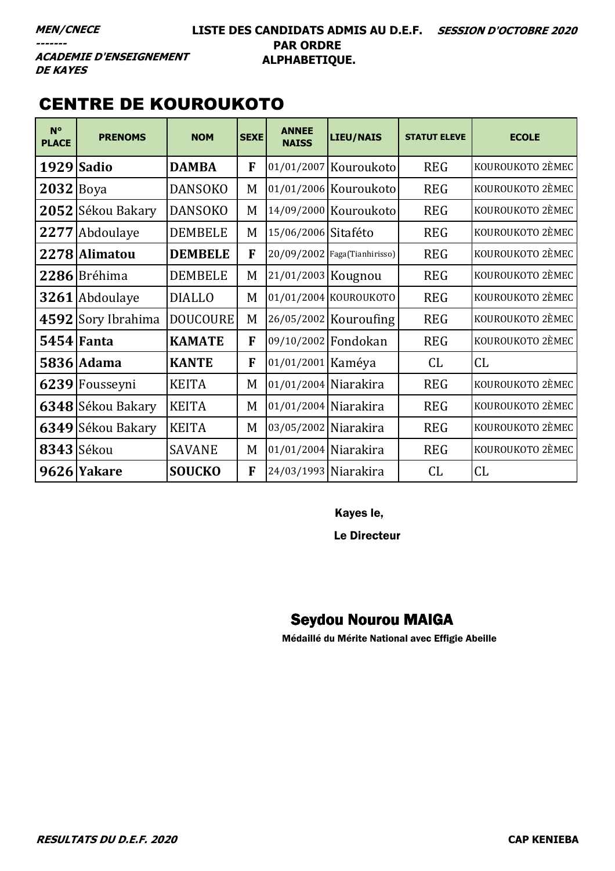### **LISTE DES CANDIDATS ADMIS AU D.E.F. SESSION D'OCTOBRE 2020 PAR ORDRE ALPHABETIQUE.**

# CENTRE DE KOUROUKOTO

| $N^{\circ}$<br><b>PLACE</b> | <b>PRENOMS</b>    | <b>NOM</b>      | <b>SEXE</b> | <b>ANNEE</b><br><b>NAISS</b> | LIEU/NAIS                    | <b>STATUT ELEVE</b> | <b>ECOLE</b>     |
|-----------------------------|-------------------|-----------------|-------------|------------------------------|------------------------------|---------------------|------------------|
| 1929 Sadio                  |                   | <b>DAMBA</b>    | F           |                              | 01/01/2007 Kouroukoto        | <b>REG</b>          | KOUROUKOTO 2ÈMEC |
| $2032$ Boya                 |                   | <b>DANSOKO</b>  | M           |                              | 01/01/2006 Kouroukoto        | <b>REG</b>          | KOUROUKOTO 2ÈMEC |
|                             | 2052 Sékou Bakary | <b>DANSOKO</b>  | M           |                              | 14/09/2000 Kouroukoto        | <b>REG</b>          | KOUROUKOTO 2ÈMEC |
| 2277                        | Abdoulaye         | <b>DEMBELE</b>  | M           | 15/06/2006 Sitaféto          |                              | <b>REG</b>          | KOUROUKOTO 2ÈMEC |
|                             | 2278 Alimatou     | <b>DEMBELE</b>  | F           |                              | 20/09/2002 Faga(Tianhirisso) | <b>REG</b>          | KOUROUKOTO 2ÈMEC |
|                             | 2286 Bréhima      | <b>DEMBELE</b>  | M           | 21/01/2003 Kougnou           |                              | <b>REG</b>          | KOUROUKOTO 2ÈMEC |
|                             | 3261 Abdoulaye    | <b>DIALLO</b>   | M           |                              | 01/01/2004 KOUROUKOTO        | <b>REG</b>          | KOUROUKOTO 2ÈMEC |
| 4592                        | Sory Ibrahima     | <b>DOUCOURE</b> | M           |                              | 26/05/2002 Kouroufing        | <b>REG</b>          | KOUROUKOTO 2ÈMEC |
| <b>5454 Fanta</b>           |                   | <b>KAMATE</b>   | F           | 09/10/2002 Fondokan          |                              | <b>REG</b>          | KOUROUKOTO 2ÈMEC |
|                             | 5836 Adama        | <b>KANTE</b>    | F           | 01/01/2001 Kaméya            |                              | CL                  | CL               |
|                             | 6239 Fousseyni    | <b>KEITA</b>    | M           | 01/01/2004 Niarakira         |                              | <b>REG</b>          | KOUROUKOTO 2ÈMEC |
|                             | 6348 Sékou Bakary | <b>KEITA</b>    | M           | 01/01/2004 Niarakira         |                              | <b>REG</b>          | KOUROUKOTO 2ÈMEC |
|                             | 6349 Sékou Bakary | <b>KEITA</b>    | M           | 03/05/2002 Niarakira         |                              | <b>REG</b>          | KOUROUKOTO 2ÈMEC |
| 8343 Sékou                  |                   | <b>SAVANE</b>   | M           | 01/01/2004 Niarakira         |                              | <b>REG</b>          | KOUROUKOTO 2ÈMEC |
|                             | 9626 Yakare       | <b>SOUCKO</b>   | F           | 24/03/1993 Niarakira         |                              | CL                  | CL               |

Kayes le,

Le Directeur

# Seydou Nourou MAIGA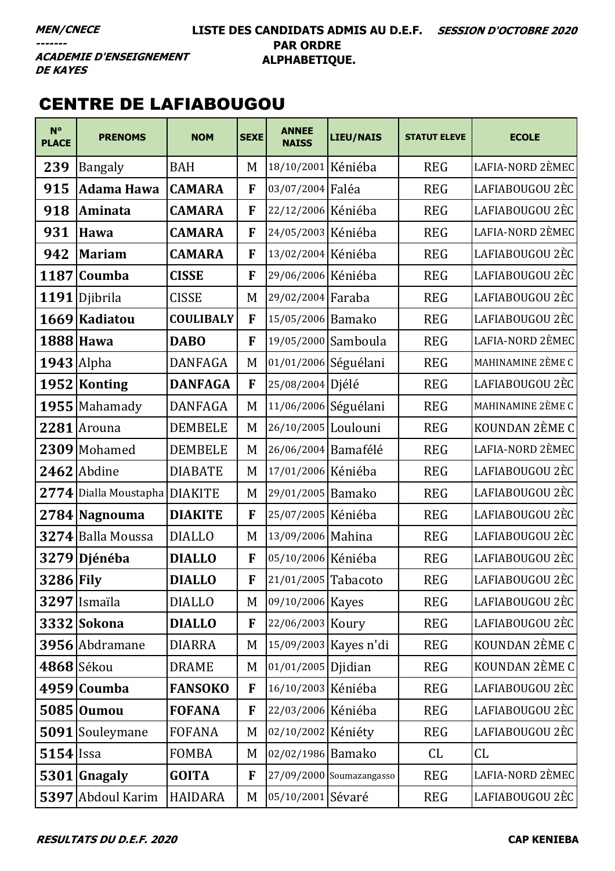### **LISTE DES CANDIDATS ADMIS AU D.E.F. SESSION D'OCTOBRE 2020 PAR ORDRE ALPHABETIQUE.**

**ACADEMIE D'ENSEIGNEMENT DE KAYES** 

# CENTRE DE LAFIABOUGOU

| $N^{\circ}$<br><b>PLACE</b> | <b>PRENOMS</b>        | <b>NOM</b>       | <b>SEXE</b> | <b>ANNEE</b><br><b>NAISS</b> | <b>LIEU/NAIS</b>         | <b>STATUT ELEVE</b> | <b>ECOLE</b>      |
|-----------------------------|-----------------------|------------------|-------------|------------------------------|--------------------------|---------------------|-------------------|
| 239                         | <b>Bangaly</b>        | <b>BAH</b>       | M           | 18/10/2001 Kéniéba           |                          | <b>REG</b>          | LAFIA-NORD 2ÈMEC  |
| 915                         | <b>Adama Hawa</b>     | <b>CAMARA</b>    | F           | 03/07/2004 Faléa             |                          | <b>REG</b>          | LAFIABOUGOU 2ÈC   |
| 918                         | Aminata               | <b>CAMARA</b>    | F           | 22/12/2006 Kéniéba           |                          | <b>REG</b>          | LAFIABOUGOU 2ÈC   |
| 931                         | Hawa                  | <b>CAMARA</b>    | F           | 24/05/2003 Kéniéba           |                          | <b>REG</b>          | LAFIA-NORD 2ÈMEC  |
| 942                         | <b>Mariam</b>         | <b>CAMARA</b>    | F           | 13/02/2004 Kéniéba           |                          | <b>REG</b>          | LAFIABOUGOU 2ÈC   |
|                             | 1187 Coumba           | <b>CISSE</b>     | F           | 29/06/2006 Kéniéba           |                          | <b>REG</b>          | LAFIABOUGOU 2ÈC   |
|                             | 1191 Djibrila         | <b>CISSE</b>     | M           | 29/02/2004 Faraba            |                          | <b>REG</b>          | LAFIABOUGOU 2ÈC   |
|                             | 1669 Kadiatou         | <b>COULIBALY</b> | F           | 15/05/2006 Bamako            |                          | <b>REG</b>          | LAFIABOUGOU 2ÈC   |
|                             | 1888 Hawa             | <b>DABO</b>      | F           | 19/05/2000 Samboula          |                          | <b>REG</b>          | LAFIA-NORD 2ÈMEC  |
| $1943$ Alpha                |                       | <b>DANFAGA</b>   | M           | 01/01/2006 Séguélani         |                          | <b>REG</b>          | MAHINAMINE 2ÈME C |
|                             | 1952 Konting          | <b>DANFAGA</b>   | F           | 25/08/2004 Djélé             |                          | <b>REG</b>          | LAFIABOUGOU 2ÈC   |
|                             | 1955 Mahamady         | <b>DANFAGA</b>   | M           | 11/06/2006 Séguélani         |                          | <b>REG</b>          | MAHINAMINE 2ÈME C |
|                             | $2281$ Arouna         | <b>DEMBELE</b>   | M           | 26/10/2005 Loulouni          |                          | <b>REG</b>          | KOUNDAN 2ÈME C    |
|                             | 2309 Mohamed          | <b>DEMBELE</b>   | M           | 26/06/2004 Bamafélé          |                          | <b>REG</b>          | LAFIA-NORD 2ÈMEC  |
|                             | 2462 Abdine           | <b>DIABATE</b>   | M           | 17/01/2006 Kéniéba           |                          | <b>REG</b>          | LAFIABOUGOU 2ÈC   |
|                             | 2774 Dialla Moustapha | <b>DIAKITE</b>   | M           | 29/01/2005 Bamako            |                          | <b>REG</b>          | LAFIABOUGOU 2ÈC   |
|                             | 2784 Nagnouma         | <b>DIAKITE</b>   | F           | 25/07/2005 Kéniéba           |                          | <b>REG</b>          | LAFIABOUGOU 2ÈC   |
|                             | 3274 Balla Moussa     | <b>DIALLO</b>    | M           | 13/09/2006 Mahina            |                          | <b>REG</b>          | LAFIABOUGOU 2ÈC   |
|                             | 3279 Djénéba          | <b>DIALLO</b>    | F           | 05/10/2006 Kéniéba           |                          | <b>REG</b>          | LAFIABOUGOU 2ÈC   |
| 3286 Fily                   |                       | <b>DIALLO</b>    | F           | 21/01/2005 Tabacoto          |                          | <b>REG</b>          | LAFIABOUGOU 2ÈC   |
|                             | 3297 Ismaïla          | <b>DIALLO</b>    | M           | 09/10/2006 Kayes             |                          | <b>REG</b>          | LAFIABOUGOU 2ÈC   |
|                             | 3332 Sokona           | <b>DIALLO</b>    | F           | 22/06/2003 Koury             |                          | <b>REG</b>          | LAFIABOUGOU 2ÈC   |
|                             | 3956 Abdramane        | <b>DIARRA</b>    | M           |                              | 15/09/2003 Kayes n'di    | <b>REG</b>          | KOUNDAN 2ÈME C    |
|                             | 4868 Sékou            | <b>DRAME</b>     | M           | 01/01/2005 Djidian           |                          | <b>REG</b>          | KOUNDAN 2ÈME C    |
|                             | 4959 Coumba           | <b>FANSOKO</b>   | F           | 16/10/2003 Kéniéba           |                          | <b>REG</b>          | LAFIABOUGOU 2ÈC   |
|                             | 5085 Oumou            | <b>FOFANA</b>    | F           | 22/03/2006 Kéniéba           |                          | <b>REG</b>          | LAFIABOUGOU 2ÈC   |
|                             | 5091 Souleymane       | <b>FOFANA</b>    | M           | 02/10/2002 Kéniéty           |                          | <b>REG</b>          | LAFIABOUGOU 2ÈC   |
| $5154$ Issa                 |                       | <b>FOMBA</b>     | M           | 02/02/1986 Bamako            |                          | CL                  | CL                |
|                             | $5301$ Gnagaly        | <b>GOITA</b>     | F           |                              | 27/09/2000 Soumazangasso | <b>REG</b>          | LAFIA-NORD 2ÈMEC  |
|                             | 5397 Abdoul Karim     | <b>HAIDARA</b>   | M           | 05/10/2001 Sévaré            |                          | <b>REG</b>          | LAFIABOUGOU 2ÈC   |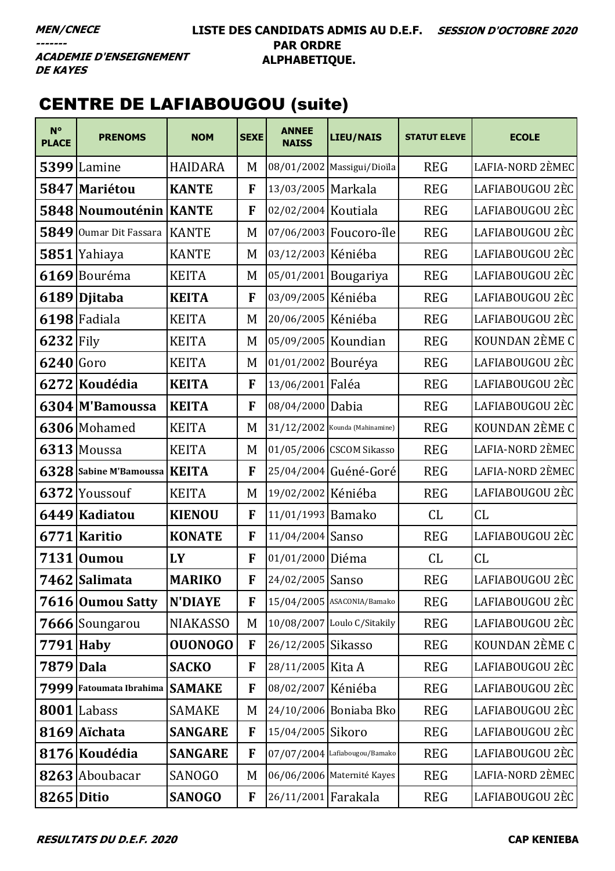### **LISTE DES CANDIDATS ADMIS AU D.E.F. SESSION D'OCTOBRE 2020 PAR ORDRE ALPHABETIQUE.**

**ACADEMIE D'ENSEIGNEMENT DE KAYES** 

# CENTRE DE LAFIABOUGOU (suite)

| $N^{\circ}$<br><b>PLACE</b> | <b>PRENOMS</b>          | <b>NOM</b>      | <b>SEXE</b> | <b>ANNEE</b><br><b>NAISS</b> | <b>LIEU/NAIS</b>                 | <b>STATUT ELEVE</b> | <b>ECOLE</b>     |
|-----------------------------|-------------------------|-----------------|-------------|------------------------------|----------------------------------|---------------------|------------------|
|                             | 5399 Lamine             | <b>HAIDARA</b>  | M           |                              | 08/01/2002 Massigui/Dioïla       | <b>REG</b>          | LAFIA-NORD 2ÈMEC |
|                             | 5847 Mariétou           | <b>KANTE</b>    | F           | 13/03/2005 Markala           |                                  | <b>REG</b>          | LAFIABOUGOU 2ÈC  |
|                             | 5848 Noumouténin KANTE  |                 | F           | 02/02/2004 Koutiala          |                                  | <b>REG</b>          | LAFIABOUGOU 2ÈC  |
| 5849                        | Oumar Dit Fassara       | <b>KANTE</b>    | M           |                              | 07/06/2003 Foucoro-île           | <b>REG</b>          | LAFIABOUGOU 2ÈC  |
| 5851                        | Yahiaya                 | <b>KANTE</b>    | M           | 03/12/2003 Kéniéba           |                                  | <b>REG</b>          | LAFIABOUGOU 2ÈC  |
|                             | 6169 Bouréma            | <b>KEITA</b>    | M           |                              | 05/01/2001 Bougariya             | <b>REG</b>          | LAFIABOUGOU 2ÈC  |
|                             | 6189 Djitaba            | <b>KEITA</b>    | F           | 03/09/2005 Kéniéba           |                                  | <b>REG</b>          | LAFIABOUGOU 2ÈC  |
|                             | 6198 Fadiala            | <b>KEITA</b>    | M           | 20/06/2005 Kéniéba           |                                  | <b>REG</b>          | LAFIABOUGOU 2ÈC  |
| $6232$ Fily                 |                         | <b>KEITA</b>    | M           | 05/09/2005 Koundian          |                                  | <b>REG</b>          | KOUNDAN 2ÈME C   |
| $6240$ Goro                 |                         | <b>KEITA</b>    | M           | 01/01/2002 Bouréya           |                                  | <b>REG</b>          | LAFIABOUGOU 2ÈC  |
|                             | 6272 Koudédia           | <b>KEITA</b>    | F           | 13/06/2001 Faléa             |                                  | <b>REG</b>          | LAFIABOUGOU 2ÈC  |
|                             | 6304 M'Bamoussa         | <b>KEITA</b>    | F           | 08/04/2000 Dabia             |                                  | <b>REG</b>          | LAFIABOUGOU 2ÈC  |
|                             | 6306 Mohamed            | <b>KEITA</b>    | M           |                              | $31/12/2002$ Kounda (Mahinamine) | <b>REG</b>          | KOUNDAN 2ÈME C   |
|                             | 6313 Moussa             | <b>KEITA</b>    | M           |                              | 01/05/2006 CSCOM Sikasso         | <b>REG</b>          | LAFIA-NORD 2ÈMEC |
|                             | 6328 Sabine M'Bamoussa  | <b>KEITA</b>    | F           |                              | 25/04/2004 Guéné-Goré            | <b>REG</b>          | LAFIA-NORD 2ÈMEC |
|                             | 6372 Youssouf           | <b>KEITA</b>    | M           | 19/02/2002 Kéniéba           |                                  | <b>REG</b>          | LAFIABOUGOU 2ÈC  |
| 6449                        | Kadiatou                | <b>KIENOU</b>   | F           | 11/01/1993 Bamako            |                                  | CL                  | CL               |
|                             | 6771 Karitio            | <b>KONATE</b>   | F           | 11/04/2004 Sanso             |                                  | <b>REG</b>          | LAFIABOUGOU 2ÈC  |
|                             | 7131 Oumou              | LY              | F           | 01/01/2000 Diéma             |                                  | CL                  | CL               |
|                             | 7462 Salimata           | <b>MARIKO</b>   | F           | 24/02/2005 Sanso             |                                  | <b>REG</b>          | LAFIABOUGOU 2ÈC  |
|                             | 7616 Oumou Satty        | <b>N'DIAYE</b>  | F           |                              | 15/04/2005 ASACONIA/Bamako       | <b>REG</b>          | LAFIABOUGOU 2ÈC  |
|                             | 7666 Soungarou          | <b>NIAKASSO</b> | M           |                              | 10/08/2007 Loulo C/Sitakily      | <b>REG</b>          | LAFIABOUGOU 2ÈC  |
| $7791$ Haby                 |                         | <b>OUONOGO</b>  | F           | 26/12/2005 Sikasso           |                                  | <b>REG</b>          | KOUNDAN 2ÈME C   |
| 7879 Dala                   |                         | <b>SACKO</b>    | F           | 28/11/2005 Kita A            |                                  | <b>REG</b>          | LAFIABOUGOU 2ÈC  |
|                             | 7999 Fatoumata Ibrahima | <b>SAMAKE</b>   | F           | 08/02/2007 Kéniéba           |                                  | <b>REG</b>          | LAFIABOUGOU 2ÈC  |
|                             | 8001 Labass             | <b>SAMAKE</b>   | M           |                              | 24/10/2006 Boniaba Bko           | <b>REG</b>          | LAFIABOUGOU 2ÈC  |
|                             | 8169 Aichata            | <b>SANGARE</b>  | F           | 15/04/2005 Sikoro            |                                  | <b>REG</b>          | LAFIABOUGOU 2ÈC  |
|                             | 8176 Koudédia           | <b>SANGARE</b>  | F           |                              | $07/07/2004$ Lafiabougou/Bamako  | <b>REG</b>          | LAFIABOUGOU 2ÈC  |
|                             | 8263 Aboubacar          | <b>SANOGO</b>   | M           |                              | 06/06/2006 Maternité Kayes       | <b>REG</b>          | LAFIA-NORD 2ÈMEC |
| <b>8265 Ditio</b>           |                         | <b>SANOGO</b>   | F           | 26/11/2001 Farakala          |                                  | <b>REG</b>          | LAFIABOUGOU 2ÈC  |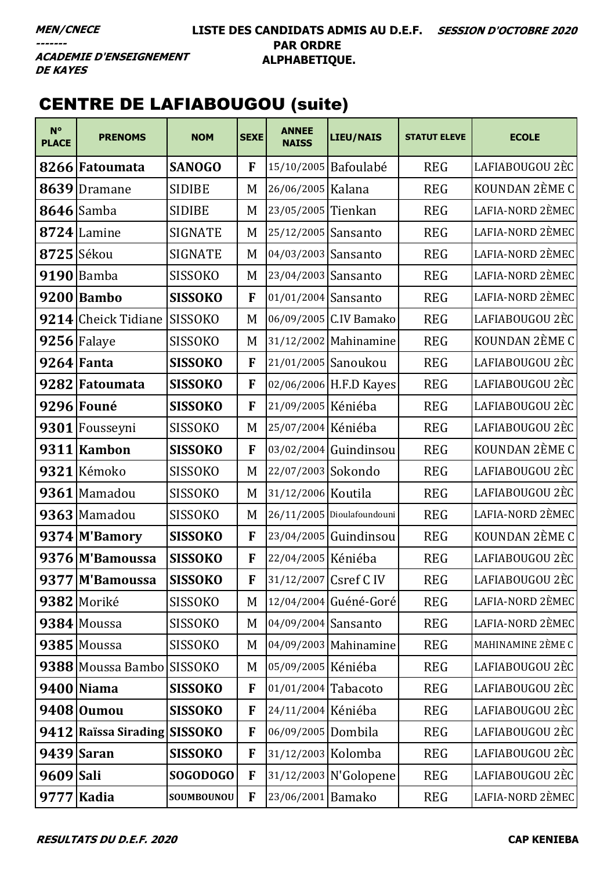### **LISTE DES CANDIDATS ADMIS AU D.E.F. SESSION D'OCTOBRE 2020 PAR ORDRE ALPHABETIQUE.**

**ACADEMIE D'ENSEIGNEMENT DE KAYES** 

# CENTRE DE LAFIABOUGOU (suite)

| $N^{\circ}$<br><b>PLACE</b> | <b>PRENOMS</b>               | <b>NOM</b>     | <b>SEXE</b> | <b>ANNEE</b><br><b>NAISS</b> | <b>LIEU/NAIS</b>           | <b>STATUT ELEVE</b> | <b>ECOLE</b>      |
|-----------------------------|------------------------------|----------------|-------------|------------------------------|----------------------------|---------------------|-------------------|
|                             | 8266 Fatoumata               | <b>SANOGO</b>  | F           |                              | 15/10/2005 Bafoulabé       | <b>REG</b>          | LAFIABOUGOU 2ÈC   |
| 8639                        | Dramane                      | <b>SIDIBE</b>  | M           | 26/06/2005 Kalana            |                            | <b>REG</b>          | KOUNDAN 2ÈME C    |
|                             | $8646$ Samba                 | <b>SIDIBE</b>  | M           | 23/05/2005 Tienkan           |                            | <b>REG</b>          | LAFIA-NORD 2ÈMEC  |
|                             | $8724$ Lamine                | <b>SIGNATE</b> | M           | 25/12/2005                   | Sansanto                   | <b>REG</b>          | LAFIA-NORD 2ÈMEC  |
|                             | $8725$ Sékou                 | <b>SIGNATE</b> | M           | 04/03/2003 Sansanto          |                            | <b>REG</b>          | LAFIA-NORD 2ÈMEC  |
|                             | $9190$ Bamba                 | <b>SISSOKO</b> | M           | 23/04/2003 Sansanto          |                            | <b>REG</b>          | LAFIA-NORD 2ÈMEC  |
|                             | 9200 Bambo                   | <b>SISSOKO</b> | F           | 01/01/2004 Sansanto          |                            | <b>REG</b>          | LAFIA-NORD 2ÈMEC  |
|                             | 9214 Cheick Tidiane          | <b>SISSOKO</b> | M           |                              | 06/09/2005 C.IV Bamako     | <b>REG</b>          | LAFIABOUGOU 2ÈC   |
|                             | $9256$ Falaye                | <b>SISSOKO</b> | M           |                              | 31/12/2002 Mahinamine      | <b>REG</b>          | KOUNDAN 2ÈME C    |
|                             | $9264$ Fanta                 | <b>SISSOKO</b> | F           |                              | 21/01/2005 Sanoukou        | <b>REG</b>          | LAFIABOUGOU 2ÈC   |
|                             | 9282 Fatoumata               | <b>SISSOKO</b> | F           |                              | 02/06/2006 H.F.D Kayes     | <b>REG</b>          | LAFIABOUGOU 2ÈC   |
|                             | 9296 Founé                   | <b>SISSOKO</b> | F           | 21/09/2005 Kéniéba           |                            | <b>REG</b>          | LAFIABOUGOU 2ÈC   |
|                             | 9301 Fousseyni               | <b>SISSOKO</b> | M           | 25/07/2004 Kéniéba           |                            | <b>REG</b>          | LAFIABOUGOU 2ÈC   |
|                             | 9311 Kambon                  | <b>SISSOKO</b> | F           |                              | 03/02/2004 Guindinsou      | <b>REG</b>          | KOUNDAN 2ÈME C    |
|                             | 9321 Kémoko                  | <b>SISSOKO</b> | M           | 22/07/2003 Sokondo           |                            | <b>REG</b>          | LAFIABOUGOU 2ÈC   |
|                             | 9361 Mamadou                 | <b>SISSOKO</b> | M           | 31/12/2006 Koutila           |                            | <b>REG</b>          | LAFIABOUGOU 2ÈC   |
|                             | 9363 Mamadou                 | <b>SISSOKO</b> | M           |                              | 26/11/2005 Dioulafoundouni | <b>REG</b>          | LAFIA-NORD 2ÈMEC  |
|                             | 9374 M'Bamory                | <b>SISSOKO</b> | F           |                              | 23/04/2005 Guindinsou      | <b>REG</b>          | KOUNDAN 2ÈME C    |
|                             | 9376 M'Bamoussa              | <b>SISSOKO</b> | F           | 22/04/2005 Kéniéba           |                            | <b>REG</b>          | LAFIABOUGOU 2ÈC   |
|                             | 9377 M'Bamoussa              | <b>SISSOKO</b> | F           |                              | 31/12/2007 Csref C IV      | <b>REG</b>          | LAFIABOUGOU 2ÈC   |
|                             | 9382 Moriké                  | <b>SISSOKO</b> | M           |                              | 12/04/2004 Guéné-Goré      | <b>REG</b>          | LAFIA-NORD 2ÈMEC  |
|                             | 9384 Moussa                  | <b>SISSOKO</b> | M           | 04/09/2004 Sansanto          |                            | <b>REG</b>          | LAFIA-NORD 2ÈMEC  |
|                             | 9385 Moussa                  | <b>SISSOKO</b> | M           |                              | 04/09/2003 Mahinamine      | <b>REG</b>          | MAHINAMINE 2ÈME C |
|                             | 9388 Moussa Bambo SISSOKO    |                | M           | 05/09/2005 Kéniéba           |                            | <b>REG</b>          | LAFIABOUGOU 2ÈC   |
|                             | 9400 Niama                   | <b>SISSOKO</b> | F           | $01/01/2004$ Tabacoto        |                            | <b>REG</b>          | LAFIABOUGOU 2ÈC   |
|                             | 9408 Oumou                   | <b>SISSOKO</b> | F           | 24/11/2004 Kéniéba           |                            | <b>REG</b>          | LAFIABOUGOU 2ÈC   |
|                             | 9412 Raissa Sirading SISSOKO |                | F           | 06/09/2005 Dombila           |                            | <b>REG</b>          | LAFIABOUGOU 2ÈC   |
|                             | $9439$ Saran                 | <b>SISSOKO</b> | F           | 31/12/2003 Kolomba           |                            | <b>REG</b>          | LAFIABOUGOU 2ÈC   |
| 9609 Sali                   |                              | SOGODOGO       | F           |                              | 31/12/2003 N'Golopene      | <b>REG</b>          | LAFIABOUGOU 2ÈC   |
|                             | 9777 Kadia                   | SOUMBOUNOU     | F           | 23/06/2001 Bamako            |                            | <b>REG</b>          | LAFIA-NORD 2ÈMEC  |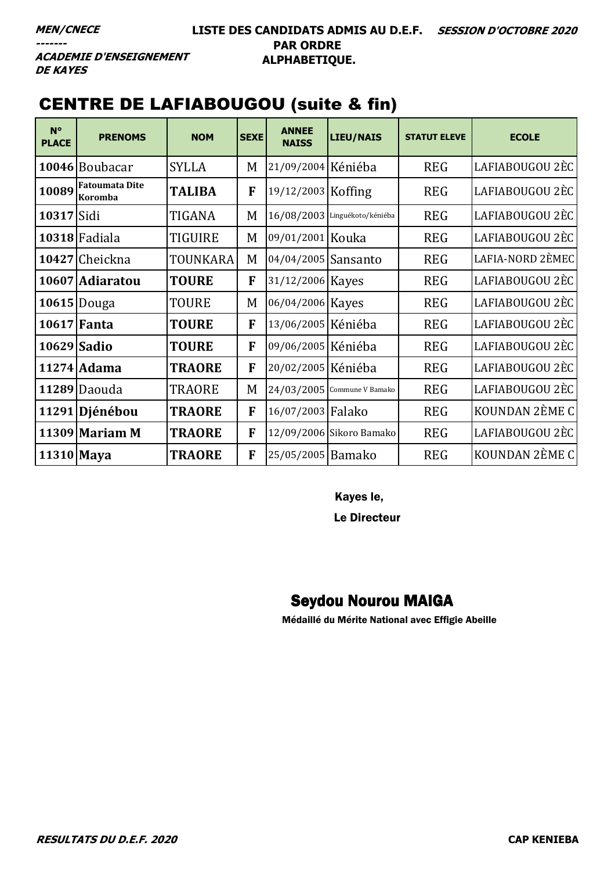**ACADEMIE D'ENSEIGNEMENT DE KAYES** 

# CENTRE DE LAFIABOUGOU (suite & fin)

| $N^{\circ}$<br><b>PLACE</b> | <b>PRENOMS</b>                          | <b>NOM</b>     | <b>SEXE</b> | <b>ANNEE</b><br><b>NAISS</b> | <b>LIEU/NAIS</b>              | <b>STATUT ELEVE</b> | <b>ECOLE</b>     |
|-----------------------------|-----------------------------------------|----------------|-------------|------------------------------|-------------------------------|---------------------|------------------|
|                             | 10046 Boubacar                          | <b>SYLLA</b>   | M           | 21/09/2004 Kéniéba           |                               | <b>REG</b>          | LAFIABOUGOU 2ÈC  |
| 10089                       | <b>Fatoumata Dite</b><br><b>Koromba</b> | <b>TALIBA</b>  | F           | 19/12/2003 Koffing           |                               | <b>REG</b>          | LAFIABOUGOU 2ÈC  |
| 10317 Sidi                  |                                         | TIGANA         | M           |                              | 16/08/2003 Linguékoto/kéniéba | <b>REG</b>          | LAFIABOUGOU 2ÈC  |
|                             | 10318 Fadiala                           | <b>TIGUIRE</b> | M           | 09/01/2001 Kouka             |                               | <b>REG</b>          | LAFIABOUGOU 2ÈC  |
|                             | 10427 Cheickna                          | TOUNKARA       | M           | 04/04/2005 Sansanto          |                               | <b>REG</b>          | LAFIA-NORD 2ÈMEC |
|                             | 10607 Adiaratou                         | <b>TOURE</b>   | F           | 31/12/2006 Kayes             |                               | <b>REG</b>          | LAFIABOUGOU 2ÈC  |
|                             | 10615 Douga                             | <b>TOURE</b>   | M           | 06/04/2006 Kayes             |                               | <b>REG</b>          | LAFIABOUGOU 2ÈC  |
|                             | 10617 Fanta                             | <b>TOURE</b>   | F           | 13/06/2005 Kéniéba           |                               | <b>REG</b>          | LAFIABOUGOU 2ÈC  |
| 10629 Sadio                 |                                         | <b>TOURE</b>   | F           | 09/06/2005 Kéniéba           |                               | <b>REG</b>          | LAFIABOUGOU 2ÈC  |
|                             | 11274 Adama                             | <b>TRAORE</b>  | F           | 20/02/2005 Kéniéba           |                               | <b>REG</b>          | LAFIABOUGOU 2ÈC  |
|                             | 11289 Daouda                            | <b>TRAORE</b>  | M           |                              | 24/03/2005 Commune V Bamako   | <b>REG</b>          | LAFIABOUGOU 2ÈC  |
|                             | 11291 Djénébou                          | <b>TRAORE</b>  | F           | 16/07/2003 Falako            |                               | <b>REG</b>          | KOUNDAN 2ÈME C   |
|                             | $11309$ Mariam M                        | <b>TRAORE</b>  | F           |                              | 12/09/2006 Sikoro Bamako      | <b>REG</b>          | LAFIABOUGOU 2ÈC  |
| 11310 Maya                  |                                         | <b>TRAORE</b>  | F           | 25/05/2005 Bamako            |                               | <b>REG</b>          | KOUNDAN 2ÈME C   |

Kayes le,

Le Directeur

# Seydou Nourou MAIGA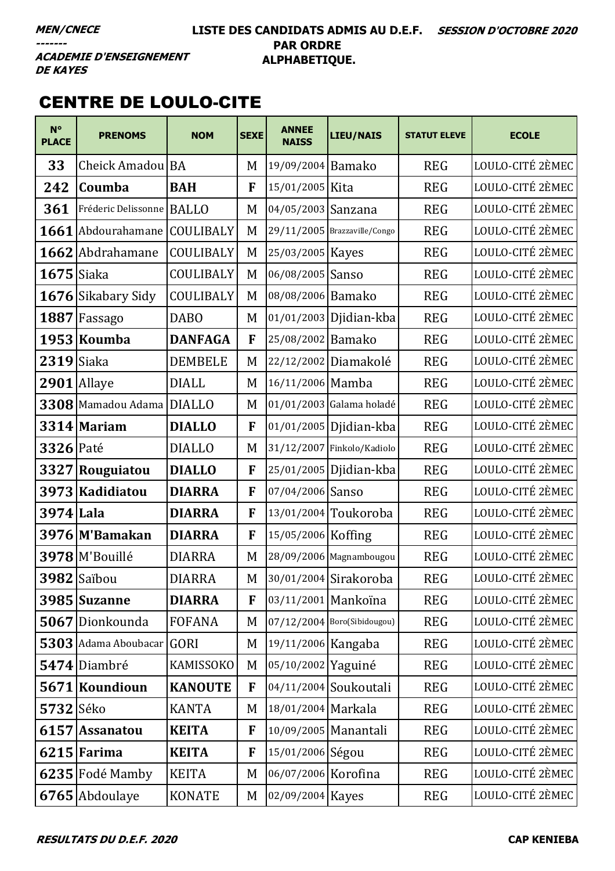## **LISTE DES CANDIDATS ADMIS AU D.E.F. SESSION D'OCTOBRE 2020 PAR ORDRE ALPHABETIQUE.**

**ACADEMIE D'ENSEIGNEMENT DE KAYES** 

# CENTRE DE LOULO-CITE

| $N^{\circ}$<br><b>PLACE</b> | <b>PRENOMS</b>                | <b>NOM</b>     | <b>SEXE</b> | <b>ANNEE</b><br><b>NAISS</b> | <b>LIEU/NAIS</b>             | <b>STATUT ELEVE</b> | <b>ECOLE</b>     |
|-----------------------------|-------------------------------|----------------|-------------|------------------------------|------------------------------|---------------------|------------------|
| 33                          | Cheick Amadou <sup> </sup> BA |                | M           | 19/09/2004 Bamako            |                              | <b>REG</b>          | LOULO-CITÉ 2ÈMEC |
| 242                         | Coumba                        | <b>BAH</b>     | F           | 15/01/2005 Kita              |                              | <b>REG</b>          | LOULO-CITÉ 2ÈMEC |
| 361                         | Fréderic Delissonne           | <b>BALLO</b>   | M           | 04/05/2003 Sanzana           |                              | <b>REG</b>          | LOULO-CITÉ 2ÈMEC |
| 1661                        | Abdourahamane                 | COULIBALY      | M           |                              | 29/11/2005 Brazzaville/Congo | <b>REG</b>          | LOULO-CITÉ 2ÈMEC |
|                             | 1662 Abdrahamane              | COULIBALY      | M           | 25/03/2005 Kayes             |                              | <b>REG</b>          | LOULO-CITÉ 2ÈMEC |
| $1675$ Siaka                |                               | COULIBALY      | M           | 06/08/2005 Sanso             |                              | <b>REG</b>          | LOULO-CITÉ 2ÈMEC |
|                             | 1676 Sikabary Sidy            | COULIBALY      | M           | 08/08/2006 Bamako            |                              | <b>REG</b>          | LOULO-CITÉ 2ÈMEC |
|                             | 1887 Fassago                  | <b>DABO</b>    | M           | 01/01/2003                   | Djidian-kba                  | <b>REG</b>          | LOULO-CITÉ 2ÈMEC |
|                             | 1953 Koumba                   | <b>DANFAGA</b> | F           | 25/08/2002 Bamako            |                              | <b>REG</b>          | LOULO-CITÉ 2ÈMEC |
| $2319$ Siaka                |                               | <b>DEMBELE</b> | M           |                              | 22/12/2002 Diamakolé         | <b>REG</b>          | LOULO-CITÉ 2ÈMEC |
|                             | $2901$ Allaye                 | <b>DIALL</b>   | M           | 16/11/2006 Mamba             |                              | <b>REG</b>          | LOULO-CITÉ 2ÈMEC |
|                             | 3308 Mamadou Adama            | <b>DIALLO</b>  | M           |                              | 01/01/2003 Galama holadé     | <b>REG</b>          | LOULO-CITÉ 2ÈMEC |
|                             | 3314 Mariam                   | <b>DIALLO</b>  | F           |                              | 01/01/2005 Djidian-kba       | <b>REG</b>          | LOULO-CITÉ 2ÈMEC |
| <b>3326 Paté</b>            |                               | <b>DIALLO</b>  | M           |                              | 31/12/2007 Finkolo/Kadiolo   | <b>REG</b>          | LOULO-CITÉ 2ÈMEC |
| 3327                        | Rouguiatou                    | <b>DIALLO</b>  | F           |                              | 25/01/2005 Djidian-kba       | <b>REG</b>          | LOULO-CITÉ 2ÈMEC |
|                             | 3973 Kadidiatou               | <b>DIARRA</b>  | F           | 07/04/2006 Sanso             |                              | <b>REG</b>          | LOULO-CITÉ 2ÈMEC |
| 3974 Lala                   |                               | <b>DIARRA</b>  | F           |                              | $13/01/2004$ Toukoroba       | <b>REG</b>          | LOULO-CITÉ 2ÈMEC |
|                             | 3976 M'Bamakan                | <b>DIARRA</b>  | F           | 15/05/2006 Koffing           |                              | <b>REG</b>          | LOULO-CITÉ 2ÈMEC |
|                             | 3978 M'Bouillé                | <b>DIARRA</b>  | M           |                              | 28/09/2006 Magnambougou      | <b>REG</b>          | LOULO-CITÉ 2ÈMEC |
|                             | 3982 Saïbou                   | <b>DIARRA</b>  | M           |                              | 30/01/2004 Sirakoroba        | <b>REG</b>          | LOULO-CITÉ 2ÈMEC |
|                             | 3985 Suzanne                  | <b>DIARRA</b>  | F           |                              | 03/11/2001 Mankoïna          | <b>REG</b>          | LOULO-CITÉ 2ÈMEC |
|                             | 5067 Dionkounda               | <b>FOFANA</b>  | M           |                              | 07/12/2004 Boro(Sibidougou)  | <b>REG</b>          | LOULO-CITÉ 2ÈMEC |
|                             | 5303 Adama Aboubacar          | <b>GORI</b>    | M           | 19/11/2006 Kangaba           |                              | <b>REG</b>          | LOULO-CITÉ 2ÈMEC |
|                             | 5474 Diambré                  | KAMISSOKO      | M           | 05/10/2002 Yaguiné           |                              | <b>REG</b>          | LOULO-CITÉ 2ÈMEC |
|                             | 5671 Koundioun                | <b>KANOUTE</b> | F           |                              | 04/11/2004 Soukoutali        | <b>REG</b>          | LOULO-CITÉ 2ÈMEC |
| 5732 Séko                   |                               | <b>KANTA</b>   | M           | 18/01/2004 Markala           |                              | <b>REG</b>          | LOULO-CITÉ 2ÈMEC |
| 6157                        | <b>Assanatou</b>              | <b>KEITA</b>   | F           |                              | 10/09/2005 Manantali         | <b>REG</b>          | LOULO-CITÉ 2ÈMEC |
|                             | $6215$ Farima                 | <b>KEITA</b>   | F           | 15/01/2006 Ségou             |                              | <b>REG</b>          | LOULO-CITÉ 2ÈMEC |
|                             | 6235 Fodé Mamby               | <b>KEITA</b>   | M           | 06/07/2006 Korofina          |                              | <b>REG</b>          | LOULO-CITÉ 2ÈMEC |
|                             | 6765 Abdoulaye                | <b>KONATE</b>  | M           | 02/09/2004 Kayes             |                              | <b>REG</b>          | LOULO-CITÉ 2ÈMEC |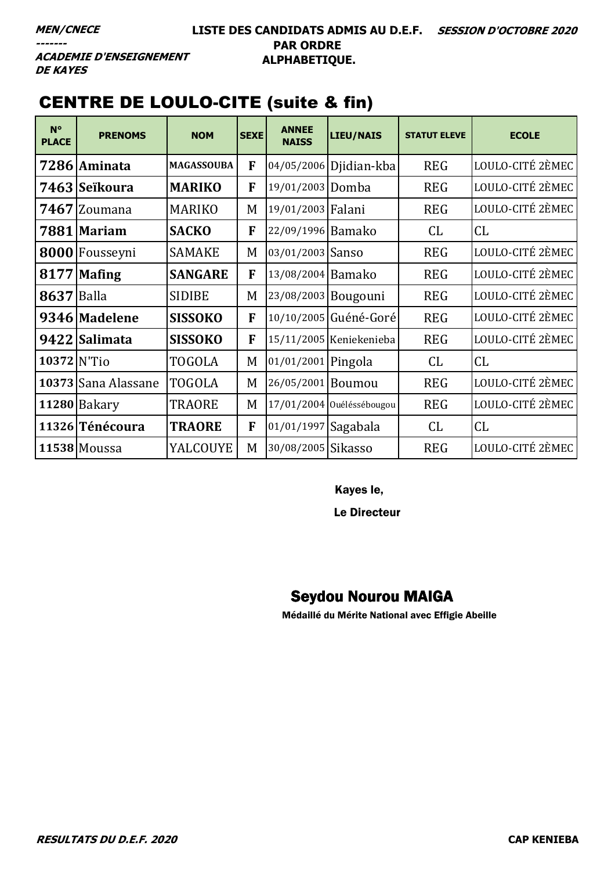**ACADEMIE D'ENSEIGNEMENT DE KAYES** 

# **CENTRE DE LOULO-CITE (suite & fin)**

| $N^{\circ}$<br><b>PLACE</b> | <b>PRENOMS</b>      | <b>NOM</b>        | <b>SEXE</b> | <b>ANNEE</b><br><b>NAISS</b> | <b>LIEU/NAIS</b>          | <b>STATUT ELEVE</b> | <b>ECOLE</b>     |
|-----------------------------|---------------------|-------------------|-------------|------------------------------|---------------------------|---------------------|------------------|
|                             | 7286 Aminata        | <b>MAGASSOUBA</b> | F           |                              | 04/05/2006 Djidian-kba    | <b>REG</b>          | LOULO-CITÉ 2ÈMEC |
|                             | 7463   Seïkoura     | <b>MARIKO</b>     | F           | 19/01/2003 Domba             |                           | <b>REG</b>          | LOULO-CITÉ 2ÈMEC |
|                             | 7467 Zoumana        | <b>MARIKO</b>     | M           | 19/01/2003 Falani            |                           | <b>REG</b>          | LOULO-CITÉ 2ÈMEC |
|                             | 7881 Mariam         | <b>SACKO</b>      | F           | 22/09/1996 Bamako            |                           | CL                  | CL               |
|                             | 8000 Fousseyni      | <b>SAMAKE</b>     | M           | 03/01/2003 Sanso             |                           | <b>REG</b>          | LOULO-CITÉ 2ÈMEC |
| 8177                        | <b>Mafing</b>       | <b>SANGARE</b>    | F           | 13/08/2004 Bamako            |                           | <b>REG</b>          | LOULO-CITÉ 2ÈMEC |
| <b>8637 Balla</b>           |                     | <b>SIDIBE</b>     | M           |                              | 23/08/2003 Bougouni       | <b>REG</b>          | LOULO-CITÉ 2ÈMEC |
|                             | 9346 Madelene       | <b>SISSOKO</b>    | F           |                              | 10/10/2005 Guéné-Goré     | <b>REG</b>          | LOULO-CITÉ 2ÈMEC |
|                             | 9422 Salimata       | <b>SISSOKO</b>    | F           |                              | 15/11/2005 Keniekenieba   | <b>REG</b>          | LOULO-CITÉ 2ÈMEC |
| $10372$ N'Tio               |                     | <b>TOGOLA</b>     | M           | 01/01/2001 Pingola           |                           | CL                  | CL               |
|                             | 10373 Sana Alassane | <b>TOGOLA</b>     | M           | 26/05/2001                   | Boumou                    | <b>REG</b>          | LOULO-CITÉ 2ÈMEC |
|                             | 11280 Bakary        | <b>TRAORE</b>     | M           |                              | 17/01/2004 Ouéléssébougou | <b>REG</b>          | LOULO-CITÉ 2ÈMEC |
|                             | 11326 Ténécoura     | <b>TRAORE</b>     | F           | 01/01/1997 Sagabala          |                           | CL                  | CL               |
|                             | 11538 Moussa        | YALCOUYE          | M           | 30/08/2005 Sikasso           |                           | <b>REG</b>          | LOULO-CITÉ 2ÈMEC |

Kayes le,

Le Directeur

# **Seydou Nourou MAIGA**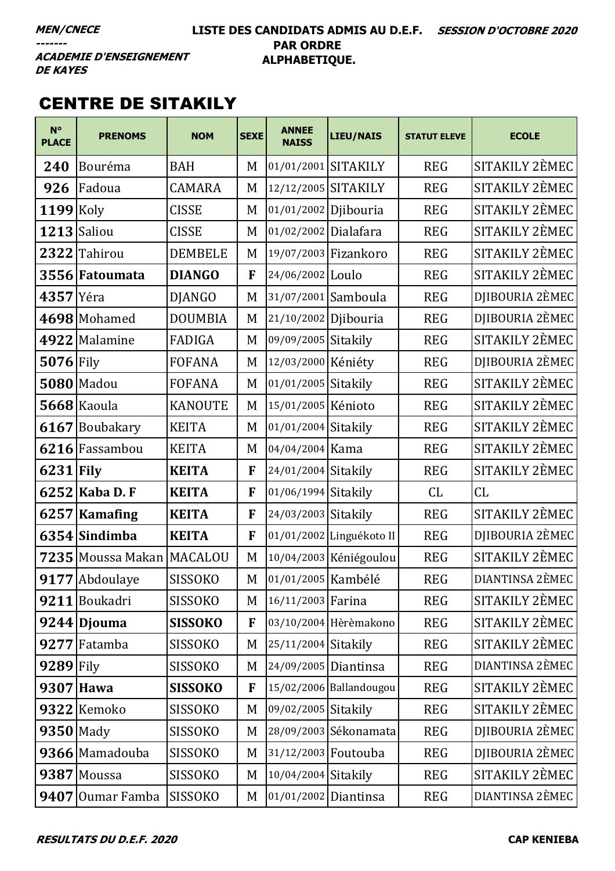### LISTE DES CANDIDATS ADMIS AU D.E.F. SESSION D'OCTOBRE 2020 **PAR ORDRE** ALPHABETIQUE.

**ACADEMIE D'ENSEIGNEMENT DE KAYES** 

# **CENTRE DE SITAKILY**

| $N^{\circ}$<br><b>PLACE</b> | <b>PRENOMS</b>    | <b>NOM</b>     | <b>SEXE</b> | <b>ANNEE</b><br><b>NAISS</b> | <b>LIEU/NAIS</b>         | <b>STATUT ELEVE</b> | <b>ECOLE</b>    |
|-----------------------------|-------------------|----------------|-------------|------------------------------|--------------------------|---------------------|-----------------|
| 240                         | Bouréma           | <b>BAH</b>     | M           | 01/01/2001 SITAKILY          |                          | <b>REG</b>          | SITAKILY 2ÈMEC  |
| 926                         | Fadoua            | <b>CAMARA</b>  | M           | 12/12/2005 SITAKILY          |                          | <b>REG</b>          | SITAKILY 2ÈMEC  |
| 1199                        | Koly              | <b>CISSE</b>   | M           | 01/01/2002 Djibouria         |                          | <b>REG</b>          | SITAKILY 2ÈMEC  |
| 1213                        | Saliou            | <b>CISSE</b>   | M           | 01/02/2002 Dialafara         |                          | <b>REG</b>          | SITAKILY 2EMEC  |
| 2322                        | Tahirou           | <b>DEMBELE</b> | M           |                              | 19/07/2003 Fizankoro     | <b>REG</b>          | SITAKILY 2EMEC  |
|                             | 3556 Fatoumata    | <b>DIANGO</b>  | F           | 24/06/2002 Loulo             |                          | <b>REG</b>          | SITAKILY 2ÈMEC  |
| 4357                        | Yéra              | <b>DJANGO</b>  | M           |                              | 31/07/2001 Samboula      | <b>REG</b>          | DJIBOURIA 2ÈMEC |
|                             | 4698 Mohamed      | <b>DOUMBIA</b> | M           | $21/10/2002$ Djibouria       |                          | <b>REG</b>          | DJIBOURIA 2ÈMEC |
|                             | 4922 Malamine     | <b>FADIGA</b>  | M           | 09/09/2005 Sitakily          |                          | <b>REG</b>          | SITAKILY 2EMEC  |
| $5076$ Fily                 |                   | <b>FOFANA</b>  | M           | 12/03/2000 Kéniéty           |                          | <b>REG</b>          | DJIBOURIA 2ÈMEC |
|                             | <b>5080 Madou</b> | <b>FOFANA</b>  | M           | 01/01/2005 Sitakily          |                          | <b>REG</b>          | SITAKILY 2ÈMEC  |
|                             | 5668 Kaoula       | <b>KANOUTE</b> | M           | 15/01/2005 Kénioto           |                          | <b>REG</b>          | SITAKILY 2EMEC  |
|                             | 6167 Boubakary    | <b>KEITA</b>   | M           | 01/01/2004 Sitakily          |                          | <b>REG</b>          | SITAKILY 2ÈMEC  |
|                             | 6216 Fassambou    | <b>KEITA</b>   | M           | 04/04/2004 Kama              |                          | <b>REG</b>          | SITAKILY 2ÈMEC  |
| $6231$ Fily                 |                   | <b>KEITA</b>   | F           | 24/01/2004 Sitakily          |                          | <b>REG</b>          | SITAKILY 2ÈMEC  |
|                             | 6252 Kaba D.F     | <b>KEITA</b>   | F           | 01/06/1994 Sitakily          |                          | CL                  | CL              |
| 6257                        | Kamafing          | <b>KEITA</b>   | F           | 24/03/2003 Sitakily          |                          | <b>REG</b>          | SITAKILY 2ÈMEC  |
|                             | 6354 Sindimba     | <b>KEITA</b>   | F           |                              | 01/01/2002 Linguékoto II | <b>REG</b>          | DJIBOURIA 2ÈMEC |
|                             | 7235 Moussa Makan | <b>MACALOU</b> | M           |                              | 10/04/2003 Kéniégoulou   | <b>REG</b>          | SITAKILY 2ÈMEC  |
|                             | 9177 Abdoulaye    | SISSOKO        | M           | 01/01/2005 Kambélé           |                          | <b>REG</b>          | DIANTINSA 2ÈMEC |
|                             | 9211 Boukadri     | <b>SISSOKO</b> | M           | 16/11/2003 Farina            |                          | <b>REG</b>          | SITAKILY 2ÈMEC  |
|                             | 9244 Djouma       | <b>SISSOKO</b> | F           |                              | 03/10/2004 Hèrèmakono    | <b>REG</b>          | SITAKILY 2EMEC  |
| 9277                        | Fatamba           | <b>SISSOKO</b> | M           | 25/11/2004 Sitakily          |                          | <b>REG</b>          | SITAKILY 2ÈMEC  |
| $9289$ Fily                 |                   | SISSOKO        | M           | 24/09/2005 Diantinsa         |                          | <b>REG</b>          | DIANTINSA 2ÈMEC |
|                             | 9307 Hawa         | <b>SISSOKO</b> | F           |                              | 15/02/2006 Ballandougou  | <b>REG</b>          | SITAKILY 2ÈMEC  |
|                             | 9322 Kemoko       | <b>SISSOKO</b> | M           | 09/02/2005 Sitakily          |                          | <b>REG</b>          | SITAKILY 2ÈMEC  |
| $9350$ Mady                 |                   | <b>SISSOKO</b> | M           |                              | 28/09/2003 Sékonamata    | <b>REG</b>          | DJIBOURIA 2ÈMEC |
|                             | 9366 Mamadouba    | <b>SISSOKO</b> | M           | 31/12/2003 Foutouba          |                          | <b>REG</b>          | DJIBOURIA 2ÈMEC |
|                             | 9387 Moussa       | SISSOKO        | M           | 10/04/2004 Sitakily          |                          | <b>REG</b>          | SITAKILY 2ÈMEC  |
|                             | 9407 Oumar Famba  | <b>SISSOKO</b> | M           | 01/01/2002 Diantinsa         |                          | <b>REG</b>          | DIANTINSA 2ÈMEC |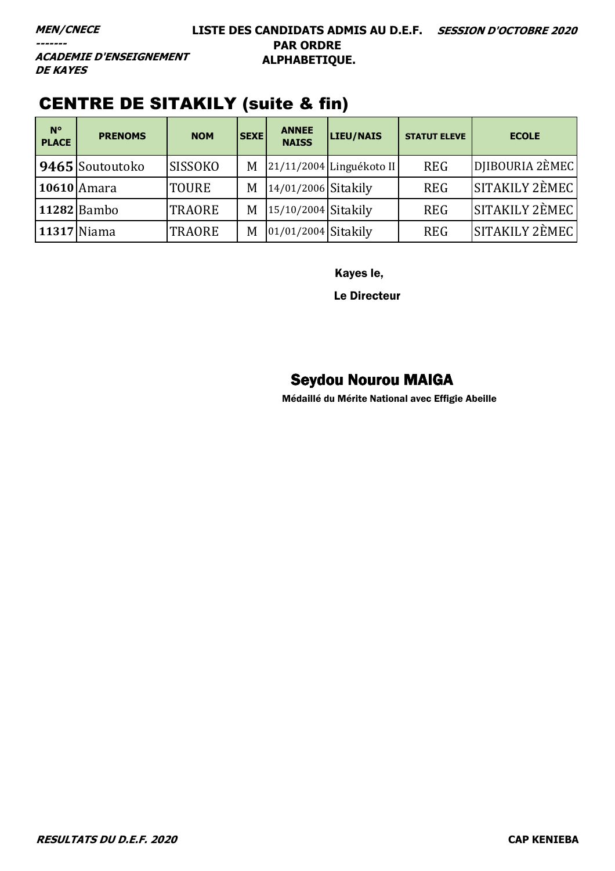**ACADEMIE D'ENSEIGNEMENT DE KAYES** 

# CENTRE DE SITAKILY (suite & fin)

| $\sqrt{N^{\circ}}$<br><b>PLACE</b> | <b>PRENOMS</b>  | <b>NOM</b>     | <b>SEXE</b> | <b>ANNEE</b><br><b>NAISS</b> | LIEU/NAIS                  | <b>STATUT ELEVE</b> | <b>ECOLE</b>    |
|------------------------------------|-----------------|----------------|-------------|------------------------------|----------------------------|---------------------|-----------------|
|                                    | 9465 Soutoutoko | <b>SISSOKO</b> | M           |                              | $21/11/2004$ Linguékoto II | <b>REG</b>          | DIIBOURIA 2ÈMEC |
|                                    | 10610 Amara     | <b>TOURE</b>   | M           | 14/01/2006 Sitakily          |                            | <b>REG</b>          | SITAKILY 2EMEC  |
|                                    | 11282 Bambo     | <b>TRAORE</b>  | M           | 15/10/2004 Sitakily          |                            | <b>REG</b>          | SITAKILY 2EMEC  |
|                                    | 11317 Niama     | <b>TRAORE</b>  | M           | $ 01/01/2004 $ Sitakily      |                            | <b>REG</b>          | SITAKILY 2ÈMEC  |

Kayes le,

Le Directeur

# Seydou Nourou MAIGA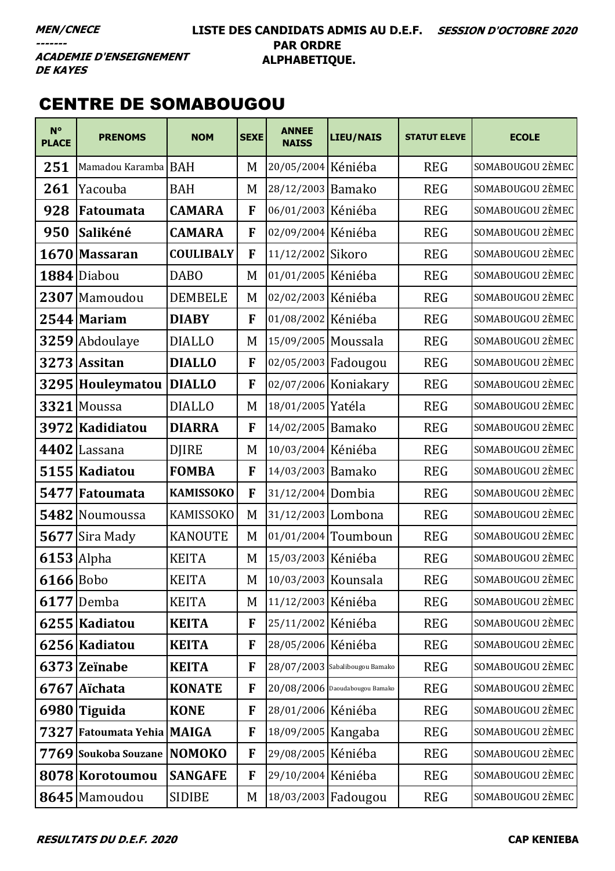### **LISTE DES CANDIDATS ADMIS AU D.E.F. SESSION D'OCTOBRE 2020 PAR ORDRE ALPHABETIQUE.**

# CENTRE DE SOMABOUGOU

| $N^{\circ}$<br><b>PLACE</b> | <b>PRENOMS</b>             | <b>NOM</b>       | <b>SEXE</b> | <b>ANNEE</b><br><b>NAISS</b> | <b>LIEU/NAIS</b>                 | <b>STATUT ELEVE</b> | <b>ECOLE</b>     |
|-----------------------------|----------------------------|------------------|-------------|------------------------------|----------------------------------|---------------------|------------------|
| 251                         | Mamadou Karamba BAH        |                  | M           | 20/05/2004 Kéniéba           |                                  | <b>REG</b>          | SOMABOUGOU 2ÈMEC |
| 261                         | Yacouba                    | <b>BAH</b>       | M           | 28/12/2003 Bamako            |                                  | <b>REG</b>          | SOMABOUGOU 2ÈMEC |
| 928                         | <b>Fatoumata</b>           | <b>CAMARA</b>    | F           | 06/01/2003 Kéniéba           |                                  | <b>REG</b>          | SOMABOUGOU 2ÈMEC |
| 950                         | Salikéné                   | <b>CAMARA</b>    | F           | 02/09/2004                   | Kéniéba                          | <b>REG</b>          | SOMABOUGOU 2ÈMEC |
| 1670                        | <b>Massaran</b>            | <b>COULIBALY</b> | F           | 11/12/2002 Sikoro            |                                  | <b>REG</b>          | SOMABOUGOU 2ÈMEC |
|                             | 1884 Diabou                | <b>DABO</b>      | M           | 01/01/2005 Kéniéba           |                                  | <b>REG</b>          | SOMABOUGOU 2ÈMEC |
|                             | 2307 Mamoudou              | <b>DEMBELE</b>   | M           | 02/02/2003 Kéniéba           |                                  | <b>REG</b>          | SOMABOUGOU 2ÈMEC |
|                             | $2544$ Mariam              | <b>DIABY</b>     | F           | 01/08/2002                   | Kéniéba                          | <b>REG</b>          | SOMABOUGOU 2ÈMEC |
|                             | 3259 Abdoulaye             | <b>DIALLO</b>    | M           | 15/09/2005 Moussala          |                                  | <b>REG</b>          | SOMABOUGOU 2ÈMEC |
|                             | 3273 Assitan               | <b>DIALLO</b>    | F           | 02/05/2003 Fadougou          |                                  | <b>REG</b>          | SOMABOUGOU 2ÈMEC |
| 3295                        | Houleymatou                | <b>DIALLO</b>    | F           |                              | 02/07/2006 Koniakary             | <b>REG</b>          | SOMABOUGOU 2ÈMEC |
| 3321                        | Moussa                     | <b>DIALLO</b>    | M           | 18/01/2005 Yatéla            |                                  | <b>REG</b>          | SOMABOUGOU 2ÈMEC |
| 3972                        | Kadidiatou                 | <b>DIARRA</b>    | F           | 14/02/2005 Bamako            |                                  | <b>REG</b>          | SOMABOUGOU 2ÈMEC |
| 4402                        | Lassana                    | <b>DJIRE</b>     | M           | 10/03/2004 Kéniéba           |                                  | <b>REG</b>          | SOMABOUGOU 2ÈMEC |
|                             | 5155 Kadiatou              | <b>FOMBA</b>     | F           | 14/03/2003 Bamako            |                                  | <b>REG</b>          | SOMABOUGOU 2ÈMEC |
| 5477                        | Fatoumata                  | <b>KAMISSOKO</b> | F           | 31/12/2004 Dombia            |                                  | <b>REG</b>          | SOMABOUGOU 2ÈMEC |
| 5482                        | Noumoussa                  | <b>KAMISSOKO</b> | M           | 31/12/2003 Lombona           |                                  | <b>REG</b>          | SOMABOUGOU 2ÈMEC |
| 5677                        | Sira Mady                  | <b>KANOUTE</b>   | M           |                              | 01/01/2004 Toumboun              | <b>REG</b>          | SOMABOUGOU 2ÈMEC |
| $6153$ Alpha                |                            | <b>KEITA</b>     | M           | 15/03/2003 Kéniéba           |                                  | <b>REG</b>          | SOMABOUGOU 2ÈMEC |
| $6166$ Bobo                 |                            | <b>KEITA</b>     | M           | 10/03/2003 Kounsala          |                                  | <b>REG</b>          | SOMABOUGOU 2ÈMEC |
|                             | $6177$ Demba               | <b>KEITA</b>     | M           | 11/12/2003 Kéniéba           |                                  | <b>REG</b>          | SOMABOUGOU 2ÈMEC |
|                             | 6255 Kadiatou              | <b>KEITA</b>     | F           | 25/11/2002 Kéniéba           |                                  | <b>REG</b>          | SOMABOUGOU 2ÈMEC |
|                             | 6256 Kadiatou              | <b>KEITA</b>     | F           | 28/05/2006 Kéniéba           |                                  | <b>REG</b>          | SOMABOUGOU 2ÈMEC |
|                             | 6373 Zeïnabe               | <b>KEITA</b>     | F           |                              | 28/07/2003 Sabalibougou Bamako   | <b>REG</b>          | SOMABOUGOU 2ÈMEC |
|                             | 6767 Aïchata               | <b>KONATE</b>    | F           |                              | $20/08/2006$ Daoudabougou Bamako | <b>REG</b>          | SOMABOUGOU 2ÈMEC |
|                             | 6980 Tiguida               | <b>KONE</b>      | F           | 28/01/2006 Kéniéba           |                                  | <b>REG</b>          | SOMABOUGOU 2ÈMEC |
|                             | 7327 Fatoumata Yehia MAIGA |                  | F           | 18/09/2005 Kangaba           |                                  | <b>REG</b>          | SOMABOUGOU 2ÈMEC |
|                             | 7769 Soukoba Souzane       | <b>NOMOKO</b>    | F           | 29/08/2005 Kéniéba           |                                  | <b>REG</b>          | SOMABOUGOU 2ÈMEC |
|                             | 8078 Korotoumou            | <b>SANGAFE</b>   | F           | 29/10/2004 Kéniéba           |                                  | <b>REG</b>          | SOMABOUGOU 2ÈMEC |
|                             | 8645 Mamoudou              | <b>SIDIBE</b>    | M           | 18/03/2003 Fadougou          |                                  | <b>REG</b>          | SOMABOUGOU 2ÈMEC |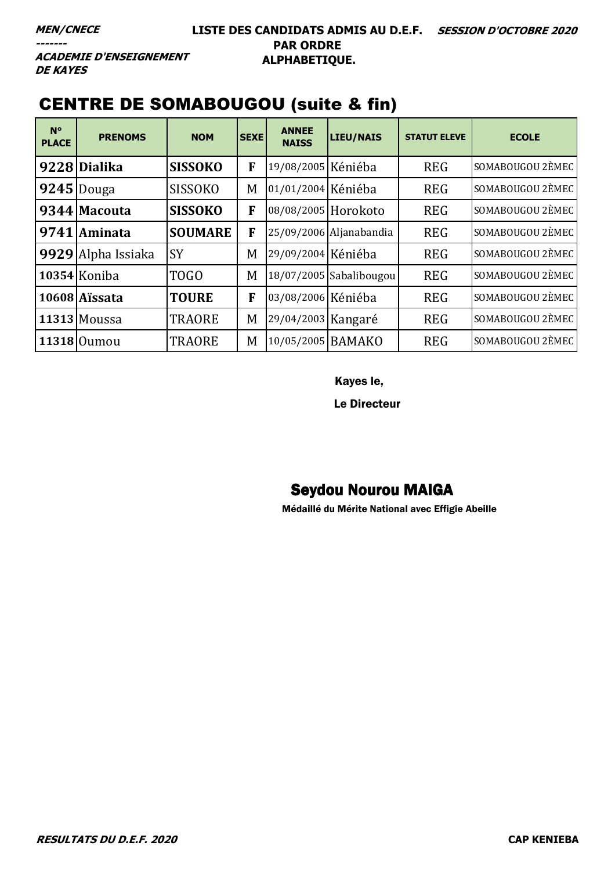**ACADEMIE D'ENSEIGNEMENT DE KAYES** 

# CENTRE DE SOMABOUGOU (suite & fin)

| $N^{\circ}$<br><b>PLACE</b> | <b>PRENOMS</b>     | <b>NOM</b>     | <b>SEXE</b> | <b>ANNEE</b><br><b>NAISS</b> | LIEU/NAIS               | <b>STATUT ELEVE</b> | <b>ECOLE</b>     |
|-----------------------------|--------------------|----------------|-------------|------------------------------|-------------------------|---------------------|------------------|
|                             | 9228 Dialika       | <b>SISSOKO</b> | F           | 19/08/2005 Kéniéba           |                         | <b>REG</b>          | SOMABOUGOU 2ÈMEC |
|                             | $ 9245 $ Douga     | <b>SISSOKO</b> | M           | 01/01/2004 Kéniéba           |                         | <b>REG</b>          | SOMABOUGOU 2ÈMEC |
|                             | 9344 Macouta       | <b>SISSOKO</b> | F           | 08/08/2005 Horokoto          |                         | <b>REG</b>          | SOMABOUGOU 2ÈMEC |
| 9741                        | <b>Aminata</b>     | <b>SOUMARE</b> | F           |                              | 25/09/2006 Aljanabandia | <b>REG</b>          | SOMABOUGOU 2ÈMEC |
|                             | 9929 Alpha Issiaka | <b>SY</b>      | M           | 29/09/2004 Kéniéba           |                         | <b>REG</b>          | SOMABOUGOU 2ÈMEC |
|                             | 10354 Koniba       | <b>TOGO</b>    | M           |                              | 18/07/2005 Sabalibougou | <b>REG</b>          | SOMABOUGOU 2ÈMEC |
|                             | 10608 Aissata      | <b>TOURE</b>   | F           | 03/08/2006 Kéniéba           |                         | <b>REG</b>          | SOMABOUGOU 2ÈMEC |
|                             | $11313$ Moussa     | <b>TRAORE</b>  | M           | 29/04/2003 Kangaré           |                         | <b>REG</b>          | SOMABOUGOU 2ÈMEC |
|                             | 11318 Oumou        | <b>TRAORE</b>  | M           | 10/05/2005 BAMAKO            |                         | <b>REG</b>          | SOMABOUGOU 2ÈMEC |

Kayes le,

Le Directeur

# Seydou Nourou MAIGA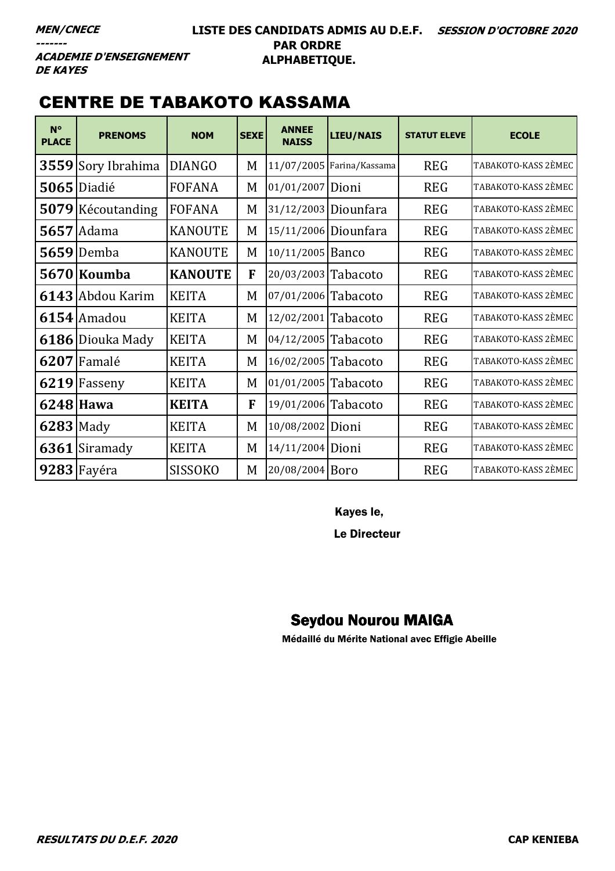### **LISTE DES CANDIDATS ADMIS AU D.E.F. SESSION D'OCTOBRE 2020 PAR ORDRE ALPHABETIQUE.**

**ACADEMIE D'ENSEIGNEMENT DE KAYES** 

# CENTRE DE TABAKOTO KASSAMA

| $N^{\circ}$<br><b>PLACE</b> | <b>PRENOMS</b>    | <b>NOM</b>     | <b>SEXE</b> | <b>ANNEE</b><br><b>NAISS</b> | <b>LIEU/NAIS</b>          | <b>STATUT ELEVE</b> | <b>ECOLE</b>        |
|-----------------------------|-------------------|----------------|-------------|------------------------------|---------------------------|---------------------|---------------------|
| 3559                        | Sory Ibrahima     | <b>DIANGO</b>  | M           |                              | 11/07/2005 Farina/Kassama | <b>REG</b>          | TABAKOTO-KASS 2ÈMEC |
|                             | $5065$ Diadié     | <b>FOFANA</b>  | M           | 01/01/2007 Dioni             |                           | <b>REG</b>          | TABAKOTO-KASS 2ÈMEC |
|                             | 5079 Kécoutanding | <b>FOFANA</b>  | M           |                              | 31/12/2003 Diounfara      | <b>REG</b>          | TABAKOTO-KASS 2ÈMEC |
|                             | <b>5657</b> Adama | <b>KANOUTE</b> | M           |                              | 15/11/2006 Diounfara      | <b>REG</b>          | TABAKOTO-KASS 2ÈMEC |
| 5659                        | Demba             | <b>KANOUTE</b> | M           | 10/11/2005 Banco             |                           | <b>REG</b>          | TABAKOTO-KASS 2ÈMEC |
|                             | 5670 Koumba       | <b>KANOUTE</b> | F           | 20/03/2003 Tabacoto          |                           | <b>REG</b>          | TABAKOTO-KASS 2ÈMEC |
|                             | 6143 Abdou Karim  | <b>KEITA</b>   | M           | 07/01/2006 Tabacoto          |                           | <b>REG</b>          | TABAKOTO-KASS 2ÈMEC |
|                             | 6154 Amadou       | <b>KEITA</b>   | M           | 12/02/2001                   | Tabacoto                  | <b>REG</b>          | TABAKOTO-KASS 2ÈMEC |
| 6186                        | Diouka Mady       | <b>KEITA</b>   | M           | 04/12/2005                   | Tabacoto                  | <b>REG</b>          | TABAKOTO-KASS 2ÈMEC |
|                             | 6207 Famalé       | <b>KEITA</b>   | M           | 16/02/2005 Tabacoto          |                           | <b>REG</b>          | TABAKOTO-KASS 2ÈMEC |
|                             | $6219$ Fasseny    | <b>KEITA</b>   | M           | 01/01/2005 Tabacoto          |                           | <b>REG</b>          | TABAKOTO-KASS 2ÈMEC |
|                             | 6248 Hawa         | <b>KEITA</b>   | F           | 19/01/2006 Tabacoto          |                           | <b>REG</b>          | TABAKOTO-KASS 2ÈMEC |
| $6283$ Mady                 |                   | <b>KEITA</b>   | M           | 10/08/2002 Dioni             |                           | <b>REG</b>          | TABAKOTO-KASS 2ÈMEC |
| 6361                        | Siramady          | <b>KEITA</b>   | M           | 14/11/2004 Dioni             |                           | <b>REG</b>          | TABAKOTO-KASS 2ÈMEC |
|                             | $9283$ Fayéra     | <b>SISSOKO</b> | M           | 20/08/2004 Boro              |                           | <b>REG</b>          | TABAKOTO-KASS 2ÈMEC |

Kayes le,

Le Directeur

# Seydou Nourou MAIGA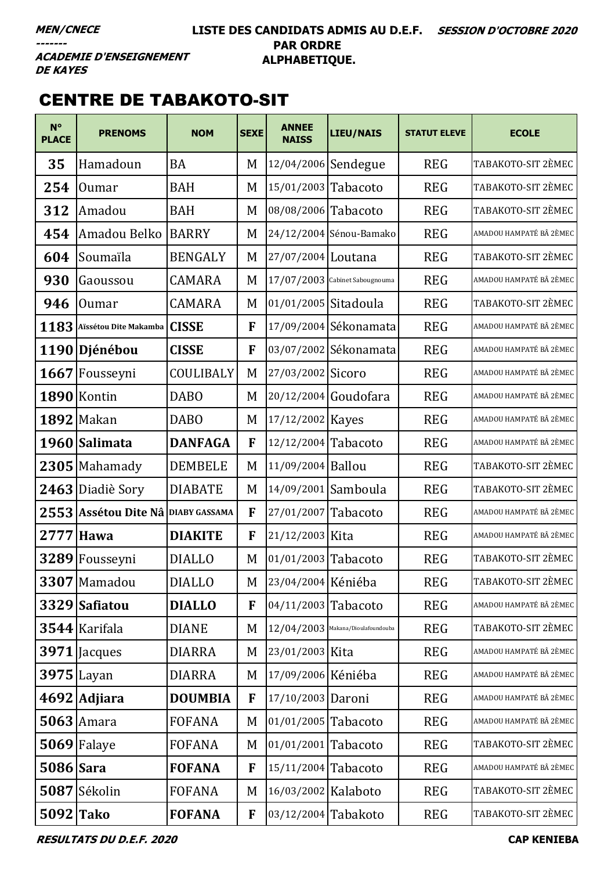### **LISTE DES CANDIDATS ADMIS AU D.E.F. SESSION D'OCTOBRE 2020 PAR ORDRE ALPHABETIQUE.**

**ACADEMIE D'ENSEIGNEMENT DE KAYES** 

# CENTRE DE TABAKOTO-SIT

| $N^{\circ}$<br><b>PLACE</b> | <b>PRENOMS</b>         | <b>NOM</b>           | <b>SEXE</b>  | <b>ANNEE</b><br><b>NAISS</b> | <b>LIEU/NAIS</b>                    | <b>STATUT ELEVE</b> | <b>ECOLE</b>            |
|-----------------------------|------------------------|----------------------|--------------|------------------------------|-------------------------------------|---------------------|-------------------------|
| 35                          | Hamadoun               | <b>BA</b>            | M            | 12/04/2006 Sendegue          |                                     | <b>REG</b>          | TABAKOTO-SIT 2ÈMEC      |
| 254                         | <b>Oumar</b>           | <b>BAH</b>           | M            | 15/01/2003 Tabacoto          |                                     | <b>REG</b>          | TABAKOTO-SIT 2ÈMEC      |
| 312                         | Amadou                 | <b>BAH</b>           | M            | 08/08/2006 Tabacoto          |                                     | <b>REG</b>          | TABAKOTO-SIT 2ÈMEC      |
| 454                         | Amadou Belko           | <b>BARRY</b>         | M            |                              | 24/12/2004 Sénou-Bamako             | <b>REG</b>          | AMADOU HAMPATÉ BÂ 2ÈMEC |
| 604                         | Soumaïla               | <b>BENGALY</b>       | M            | 27/07/2004 Loutana           |                                     | <b>REG</b>          | TABAKOTO-SIT 2ÈMEC      |
| 930                         | Gaoussou               | <b>CAMARA</b>        | M            | 17/07/2003                   | Cabinet Sabougnouma                 | <b>REG</b>          | AMADOU HAMPATÉ BÂ 2ÈMEC |
| 946                         | <b>Oumar</b>           | <b>CAMARA</b>        | M            | 01/01/2005                   | Sitadoula                           | <b>REG</b>          | TABAKOTO-SIT 2ÈMEC      |
| 1183                        | Aïssétou Dite Makamba  | <b>CISSE</b>         | F            | 17/09/2004                   | Sékonamata                          | <b>REG</b>          | AMADOU HAMPATÉ BÂ 2ÈMEC |
|                             | 1190 Djénébou          | <b>CISSE</b>         | F            | 03/07/2002                   | Sékonamata                          | <b>REG</b>          | AMADOU HAMPATÉ BÂ 2ÈMEC |
|                             | 1667 Fousseyni         | COULIBALY            | M            | 27/03/2002                   | Sicoro                              | <b>REG</b>          | AMADOU HAMPATÉ BÂ 2ÈMEC |
|                             | 1890 Kontin            | <b>DABO</b>          | M            | 20/12/2004                   | Goudofara                           | <b>REG</b>          | AMADOU HAMPATÉ BÂ 2ÈMEC |
|                             | <b>1892 Makan</b>      | <b>DABO</b>          | M            | 17/12/2002   Kayes           |                                     | <b>REG</b>          | AMADOU HAMPATÉ BÂ 2ÈMEC |
|                             | 1960 Salimata          | <b>DANFAGA</b>       | F            | 12/12/2004                   | Tabacoto                            | <b>REG</b>          | AMADOU HAMPATÉ BÂ 2ÈMEC |
|                             | $2305$ Mahamady        | <b>DEMBELE</b>       | M            | 11/09/2004                   | <b>Ballou</b>                       | <b>REG</b>          | TABAKOTO-SIT 2ÈMEC      |
|                             | 2463 Diadiè Sory       | <b>DIABATE</b>       | M            | 14/09/2001                   | Samboula                            | <b>REG</b>          | TABAKOTO-SIT 2ÈMEC      |
| 2553                        | <b>Assétou Dite Nâ</b> | <b>DIABY GASSAMA</b> | F            | 27/01/2007                   | Tabacoto                            | <b>REG</b>          | AMADOU HAMPATÉ BÂ 2ÈMEC |
| 2777                        | <b>Hawa</b>            | <b>DIAKITE</b>       | F            | 21/12/2003 Kita              |                                     | <b>REG</b>          | AMADOU HAMPATÉ BÂ 2ÈMEC |
| 3289                        | Fousseyni              | <b>DIALLO</b>        | M            | 01/01/2003 Tabacoto          |                                     | <b>REG</b>          | TABAKOTO-SIT 2ÈMEC      |
|                             | 3307 Mamadou           | <b>DIALLO</b>        | M            | 23/04/2004 Kéniéba           |                                     | <b>REG</b>          | TABAKOTO-SIT 2ÈMEC      |
|                             | 3329 Safiatou          | <b>DIALLO</b>        | F            | 04/11/2003 Tabacoto          |                                     | <b>REG</b>          | AMADOU HAMPATÉ BÂ 2ÈMEC |
|                             | $3544$ Karifala        | <b>DIANE</b>         | M            |                              | $12/04/2003$ Makana/Dioulafoundouba | <b>REG</b>          | TABAKOTO-SIT 2ÈMEC      |
|                             | $3971$   Jacques       | <b>DIARRA</b>        | M            | 23/01/2003 Kita              |                                     | <b>REG</b>          | AMADOU HAMPATÉ BÂ 2ÈMEC |
|                             | $3975$ Layan           | <b>DIARRA</b>        | M            | 17/09/2006 Kéniéba           |                                     | <b>REG</b>          | AMADOU HAMPATÉ BÂ 2ÈMEC |
|                             | 4692 Adjiara           | <b>DOUMBIA</b>       | F            | 17/10/2003 Daroni            |                                     | <b>REG</b>          | AMADOU HAMPATÉ BÂ 2ÈMEC |
|                             | $5063$ Amara           | <b>FOFANA</b>        | M            | 01/01/2005                   | Tabacoto                            | <b>REG</b>          | AMADOU HAMPATÉ BÂ 2ÈMEC |
|                             | 5069 Falaye            | <b>FOFANA</b>        | M            | 01/01/2001                   | Tabacoto                            | <b>REG</b>          | TABAKOTO-SIT 2ÈMEC      |
| <b>5086</b> Sara            |                        | <b>FOFANA</b>        | F            | 15/11/2004 Tabacoto          |                                     | <b>REG</b>          | AMADOU HAMPATÉ BÂ 2ÈMEC |
|                             | 5087 Sékolin           | <b>FOFANA</b>        | M            | 16/03/2002 Kalaboto          |                                     | <b>REG</b>          | TABAKOTO-SIT 2ÈMEC      |
| 5092 Tako                   |                        | <b>FOFANA</b>        | $\mathbf{F}$ | 03/12/2004 Tabakoto          |                                     | <b>REG</b>          | TABAKOTO-SIT 2ÈMEC      |

**RESULTATS DU D.E.F. 2020 CAP KENIEBA**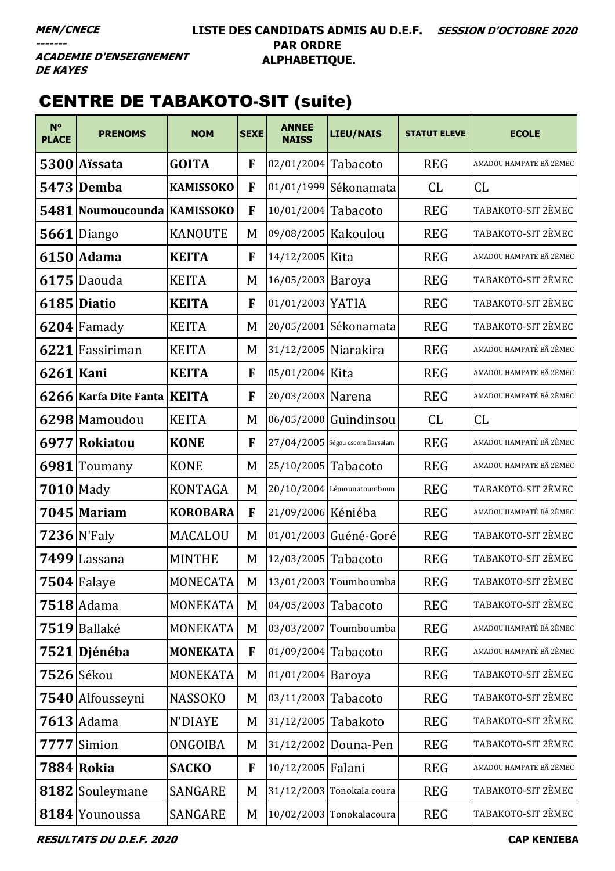### LISTE DES CANDIDATS ADMIS AU D.E.F. SESSION D'OCTOBRE 2020 **PAR ORDRE** ALPHABETIQUE.

**ACADEMIE D'ENSEIGNEMENT DE KAYES** 

# **CENTRE DE TABAKOTO-SIT (suite)**

| $N^{\circ}$<br><b>PLACE</b> | <b>PRENOMS</b>        | <b>NOM</b>       | <b>SEXE</b>  | <b>ANNEE</b><br><b>NAISS</b> | <b>LIEU/NAIS</b>                | <b>STATUT ELEVE</b> | <b>ECOLE</b>            |
|-----------------------------|-----------------------|------------------|--------------|------------------------------|---------------------------------|---------------------|-------------------------|
|                             | 5300 Aïssata          | <b>GOITA</b>     | F            | 02/01/2004 Tabacoto          |                                 | <b>REG</b>          | AMADOU HAMPATÉ BÂ 2ÈMEC |
|                             | <b>5473 Demba</b>     | <b>KAMISSOKO</b> | F            |                              | 01/01/1999 Sékonamata           | CL                  | CL                      |
|                             | 5481   Noumoucounda   | <b>KAMISSOKO</b> | F            | 10/01/2004                   | Tabacoto                        | <b>REG</b>          | TABAKOTO-SIT 2ÈMEC      |
|                             | $5661$ Diango         | <b>KANOUTE</b>   | M            | 09/08/2005 Kakoulou          |                                 | <b>REG</b>          | TABAKOTO-SIT 2ÈMEC      |
|                             | 6150 Adama            | <b>KEITA</b>     | F            | 14/12/2005 Kita              |                                 | <b>REG</b>          | AMADOU HAMPATÉ BÂ 2ÈMEC |
|                             | 6175 Daouda           | <b>KEITA</b>     | M            | 16/05/2003                   | Baroya                          | <b>REG</b>          | TABAKOTO-SIT 2ÈMEC      |
|                             | 6185 Diatio           | <b>KEITA</b>     | F            | 01/01/2003                   | <b>YATIA</b>                    | <b>REG</b>          | TABAKOTO-SIT 2ÈMEC      |
|                             | $6204$ Famady         | <b>KEITA</b>     | M            |                              | 20/05/2001 Sékonamata           | <b>REG</b>          | TABAKOTO-SIT 2ÈMEC      |
|                             | 6221 Fassiriman       | <b>KEITA</b>     | M            | 31/12/2005 Niarakira         |                                 | <b>REG</b>          | AMADOU HAMPATÉ BÂ 2ÈMEC |
| 6261 Kani                   |                       | <b>KEITA</b>     | F            | 05/01/2004 Kita              |                                 | <b>REG</b>          | AMADOU HAMPATÉ BÂ 2ÈMEC |
|                             | 6266 Karfa Dite Fanta | <b>KEITA</b>     | F            | 20/03/2003 Narena            |                                 | <b>REG</b>          | AMADOU HAMPATÉ BÂ 2ÈMEC |
|                             | 6298 Mamoudou         | <b>KEITA</b>     | M            |                              | 06/05/2000 Guindinsou           | CL                  | CL                      |
| 6977                        | Rokiatou              | <b>KONE</b>      | F            |                              | 27/04/2005 Ségou cscom Darsalam | <b>REG</b>          | AMADOU HAMPATÉ BÂ 2ÈMEC |
|                             | 6981 Toumany          | <b>KONE</b>      | M            | 25/10/2005 Tabacoto          |                                 | <b>REG</b>          | AMADOU HAMPATÉ BÂ 2ÈMEC |
| $7010$ Mady                 |                       | <b>KONTAGA</b>   | M            |                              | 20/10/2004 Lémounatoumboun      | <b>REG</b>          | TABAKOTO-SIT 2ÈMEC      |
|                             | 7045 Mariam           | <b>KOROBARA</b>  | F            | 21/09/2006 Kéniéba           |                                 | <b>REG</b>          | AMADOU HAMPATÉ BÂ 2ÈMEC |
|                             | $7236$ N'Faly         | MACALOU          | M            |                              | 01/01/2003 Guéné-Goré           | <b>REG</b>          | TABAKOTO-SIT 2ÈMEC      |
|                             | 7499 Lassana          | <b>MINTHE</b>    | M            | 12/03/2005 Tabacoto          |                                 | <b>REG</b>          | TABAKOTO-SIT 2ÈMEC      |
|                             | $7504$ Falaye         | <b>MONECATA</b>  | $M_{\odot}$  |                              | 13/01/2003 Toumboumba           | <b>REG</b>          | TABAKOTO-SIT 2ÈMEC      |
|                             | $7518$ Adama          | MONEKATA         | M            | 04/05/2003 Tabacoto          |                                 | <b>REG</b>          | TABAKOTO-SIT 2ÈMEC      |
| 7519                        | Ballaké               | MONEKATA         | M            | 03/03/2007                   | Toumboumba                      | <b>REG</b>          | AMADOU HAMPATÉ BÂ 2ÈMEC |
|                             | 7521 Djénéba          | <b>MONEKATA</b>  | F            | 01/09/2004                   | Tabacoto                        | <b>REG</b>          | AMADOU HAMPATÉ BÂ 2ÈMEC |
|                             | 7526 Sékou            | MONEKATA         | M            | 01/01/2004                   | Baroya                          | <b>REG</b>          | TABAKOTO-SIT 2ÈMEC      |
|                             | 7540 Alfousseyni      | <b>NASSOKO</b>   | M            | 03/11/2003                   | Tabacoto                        | <b>REG</b>          | TABAKOTO-SIT 2ÈMEC      |
|                             | $7613$ Adama          | N'DIAYE          | M            | 31/12/2005                   | Tabakoto                        | <b>REG</b>          | TABAKOTO-SIT 2ÈMEC      |
| 7777                        | Simion                | <b>ONGOIBA</b>   | M            | 31/12/2002                   | Douna-Pen                       | <b>REG</b>          | TABAKOTO-SIT 2ÈMEC      |
|                             | 7884 Rokia            | <b>SACKO</b>     | $\mathbf{F}$ | 10/12/2005 Falani            |                                 | <b>REG</b>          | AMADOU HAMPATÉ BÂ 2ÈMEC |
|                             | 8182 Souleymane       | SANGARE          | M            |                              | 31/12/2003 Tonokala coura       | <b>REG</b>          | TABAKOTO-SIT 2ÈMEC      |
|                             | 8184 Younoussa        | SANGARE          | M            |                              | 10/02/2003 Tonokalacoura        | <b>REG</b>          | TABAKOTO-SIT 2ÈMEC      |

**RESULTATS DU D.E.F. 2020**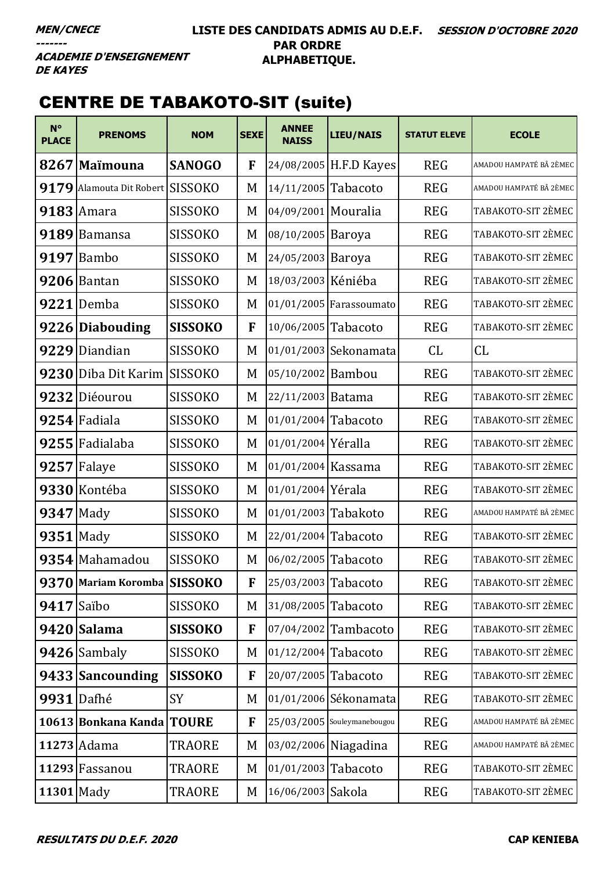### **LISTE DES CANDIDATS ADMIS AU D.E.F. SESSION D'OCTOBRE 2020 PAR ORDRE ALPHABETIQUE.**

**ACADEMIE D'ENSEIGNEMENT DE KAYES** 

# CENTRE DE TABAKOTO-SIT (suite)

| $N^{\circ}$<br><b>PLACE</b> | <b>PRENOMS</b>              | <b>NOM</b>     | <b>SEXE</b> | <b>ANNEE</b><br><b>NAISS</b> | LIEU/NAIS                   | <b>STATUT ELEVE</b> | <b>ECOLE</b>            |
|-----------------------------|-----------------------------|----------------|-------------|------------------------------|-----------------------------|---------------------|-------------------------|
|                             | 8267 Maïmouna               | <b>SANOGO</b>  | F           |                              | 24/08/2005 H.F.D Kayes      | <b>REG</b>          | AMADOU HAMPATÉ BÂ 2ÈMEC |
| 9179                        | Alamouta Dit Robert SISSOKO |                | M           | 14/11/2005 Tabacoto          |                             | <b>REG</b>          | AMADOU HAMPATÉ BÂ 2ÈMEC |
|                             | $9183$ Amara                | <b>SISSOKO</b> | M           | 04/09/2001 Mouralia          |                             | <b>REG</b>          | TABAKOTO-SIT 2ÈMEC      |
|                             | 9189 Bamansa                | <b>SISSOKO</b> | M           | 08/10/2005 Baroya            |                             | <b>REG</b>          | TABAKOTO-SIT 2ÈMEC      |
| 9197                        | Bambo                       | <b>SISSOKO</b> | M           | 24/05/2003                   | Baroya                      | <b>REG</b>          | TABAKOTO-SIT 2ÈMEC      |
| 9206                        | Bantan                      | <b>SISSOKO</b> | M           | 18/03/2003 Kéniéba           |                             | <b>REG</b>          | TABAKOTO-SIT 2ÈMEC      |
|                             | 9221 Demba                  | <b>SISSOKO</b> | M           |                              | 01/01/2005 Farassoumato     | <b>REG</b>          | TABAKOTO-SIT 2ÈMEC      |
|                             | 9226 Diabouding             | <b>SISSOKO</b> | F           | 10/06/2005 Tabacoto          |                             | <b>REG</b>          | TABAKOTO-SIT 2ÈMEC      |
| 9229                        | Diandian                    | <b>SISSOKO</b> | M           |                              | 01/01/2003 Sekonamata       | CL                  | CL                      |
| 9230                        | Diba Dit Karim              | <b>SISSOKO</b> | M           | 05/10/2002 Bambou            |                             | <b>REG</b>          | TABAKOTO-SIT 2ÈMEC      |
|                             | 9232 Diéourou               | <b>SISSOKO</b> | M           | 22/11/2003 Batama            |                             | <b>REG</b>          | TABAKOTO-SIT 2ÈMEC      |
|                             | 9254 Fadiala                | <b>SISSOKO</b> | M           | 01/01/2004 Tabacoto          |                             | <b>REG</b>          | TABAKOTO-SIT 2ÈMEC      |
|                             | 9255 Fadialaba              | <b>SISSOKO</b> | M           | 01/01/2004 Yéralla           |                             | <b>REG</b>          | TABAKOTO-SIT 2ÈMEC      |
|                             | 9257 Falaye                 | <b>SISSOKO</b> | M           | 01/01/2004 Kassama           |                             | <b>REG</b>          | TABAKOTO-SIT 2ÈMEC      |
|                             | 9330 Kontéba                | <b>SISSOKO</b> | M           | 01/01/2004 Yérala            |                             | <b>REG</b>          | TABAKOTO-SIT 2ÈMEC      |
| $9347$ Mady                 |                             | <b>SISSOKO</b> | M           | 01/01/2003 Tabakoto          |                             | <b>REG</b>          | AMADOU HAMPATÉ BÂ 2ÈMEC |
| $9351$ Mady                 |                             | <b>SISSOKO</b> | M           | 22/01/2004 Tabacoto          |                             | <b>REG</b>          | TABAKOTO-SIT 2ÈMEC      |
|                             | 9354 Mahamadou              | <b>SISSOKO</b> | M           | 06/02/2005 Tabacoto          |                             | <b>REG</b>          | TABAKOTO-SIT 2ÈMEC      |
|                             | 9370 Mariam Koromba SISSOKO |                | $\mathbf F$ | 25/03/2003 Tabacoto          |                             | <b>REG</b>          | TABAKOTO-SIT 2ÈMEC      |
| $9417$ Saïbo                |                             | <b>SISSOKO</b> | M           | 31/08/2005 Tabacoto          |                             | <b>REG</b>          | TABAKOTO-SIT 2ÈMEC      |
|                             | 9420 Salama                 | <b>SISSOKO</b> | F           |                              | 07/04/2002 Tambacoto        | <b>REG</b>          | TABAKOTO-SIT 2ÈMEC      |
|                             | 9426 Sambaly                | <b>SISSOKO</b> | M           | $01/12/2004$ Tabacoto        |                             | <b>REG</b>          | TABAKOTO-SIT 2ÈMEC      |
|                             | 9433 Sancounding            | <b>SISSOKO</b> | F           | 20/07/2005 Tabacoto          |                             | <b>REG</b>          | TABAKOTO-SIT 2ÈMEC      |
| 9931 Dafhé                  |                             | SY             | M           |                              | 01/01/2006 Sékonamata       | <b>REG</b>          | TABAKOTO-SIT 2ÈMEC      |
|                             | 10613 Bonkana Kanda         | <b>TOURE</b>   | F           |                              | 25/03/2005 Souleymanebougou | <b>REG</b>          | AMADOU HAMPATÉ BÂ 2ÈMEC |
|                             | 11273 Adama                 | <b>TRAORE</b>  | M           |                              | 03/02/2006 Niagadina        | <b>REG</b>          | AMADOU HAMPATÉ BÂ 2ÈMEC |
|                             | 11293 Fassanou              | <b>TRAORE</b>  | M           | 01/01/2003 Tabacoto          |                             | <b>REG</b>          | TABAKOTO-SIT 2ÈMEC      |
| 11301 Mady                  |                             | <b>TRAORE</b>  | M           | 16/06/2003 Sakola            |                             | <b>REG</b>          | TABAKOTO-SIT 2ÈMEC      |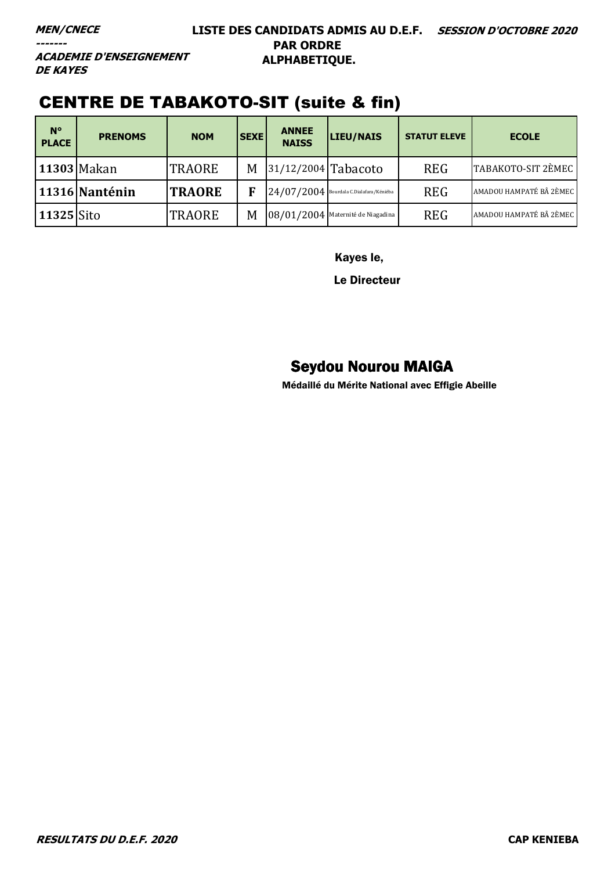**ACADEMIE D'ENSEIGNEMENT DE KAYES** 

# CENTRE DE TABAKOTO-SIT (suite & fin)

| $N^{\circ}$<br><b>PLACE</b> | <b>PRENOMS</b> | <b>NOM</b>    | <b>SEXE</b> | <b>ANNEE</b><br><b>NAISS</b> | LIEU/NAIS                                 | <b>STATUT ELEVE</b> | <b>ECOLE</b>            |
|-----------------------------|----------------|---------------|-------------|------------------------------|-------------------------------------------|---------------------|-------------------------|
|                             | 11303 Makan    | <b>TRAORE</b> | M           | $ 31/12/2004 $ Tabacoto      |                                           | <b>REG</b>          | TABAKOTO-SIT 2ÈMEC      |
|                             | 11316 Nanténin | <b>TRAORE</b> |             |                              | $24/07/2004$ Bourdala C.Dialafara/Kéniéba | <b>REG</b>          | AMADOU HAMPATÉ BÂ 2ÈMEC |
| 11325 Sito                  |                | <b>TRAORE</b> | M           |                              | 08/01/2004 Maternité de Niagadina         | <b>REG</b>          | AMADOU HAMPATÉ BÂ 2ÈMEC |

Kayes le,

Le Directeur

# Seydou Nourou MAIGA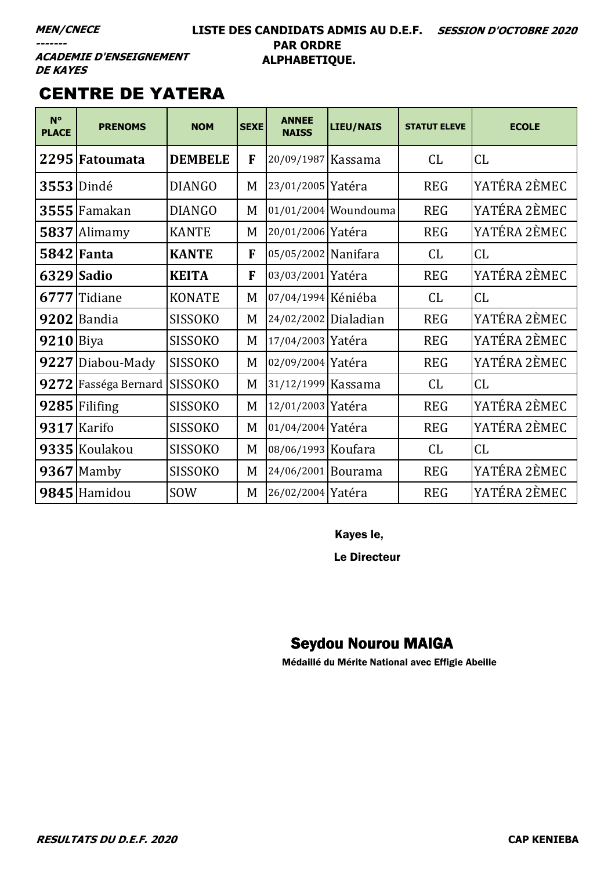### **LISTE DES CANDIDATS ADMIS AU D.E.F. SESSION D'OCTOBRE 2020 PAR ORDRE ALPHABETIQUE.**

**ACADEMIE D'ENSEIGNEMENT DE KAYES** 

# CENTRE DE YATERA

| $N^{\circ}$<br><b>PLACE</b> | <b>PRENOMS</b>       | <b>NOM</b>     | <b>SEXE</b> | <b>ANNEE</b><br><b>NAISS</b> | <b>LIEU/NAIS</b>     | <b>STATUT ELEVE</b> | <b>ECOLE</b> |
|-----------------------------|----------------------|----------------|-------------|------------------------------|----------------------|---------------------|--------------|
|                             | 2295 Fatoumata       | <b>DEMBELE</b> | F           | 20/09/1987 Kassama           |                      | CL.                 | CL           |
|                             | <b>3553</b> Dindé    | <b>DIANGO</b>  | M           | 23/01/2005 Yatéra            |                      | <b>REG</b>          | YATÉRA 2ÈMEC |
|                             | $3555$ Famakan       | <b>DIANGO</b>  | M           |                              | 01/01/2004 Woundouma | <b>REG</b>          | YATÉRA 2ÈMEC |
|                             | 5837 Alimamy         | <b>KANTE</b>   | M           | 20/01/2006 Yatéra            |                      | <b>REG</b>          | YATÉRA 2ÈMEC |
|                             | <b>5842 Fanta</b>    | <b>KANTE</b>   | F           | 05/05/2002 Nanifara          |                      | CL                  | CL           |
|                             | 6329 Sadio           | <b>KEITA</b>   | F           | 03/03/2001 Yatéra            |                      | <b>REG</b>          | YATÉRA 2ÈMEC |
|                             | 6777 Tidiane         | <b>KONATE</b>  | M           | 07/04/1994 Kéniéba           |                      | CL                  | CL           |
|                             | $9202$ Bandia        | <b>SISSOKO</b> | M           | 24/02/2002 Dialadian         |                      | <b>REG</b>          | YATÉRA 2ÈMEC |
| $9210$ Biya                 |                      | <b>SISSOKO</b> | M           | 17/04/2003 Yatéra            |                      | <b>REG</b>          | YATÉRA 2ÈMEC |
|                             | 9227 Diabou-Mady     | <b>SISSOKO</b> | M           | 02/09/2004 Yatéra            |                      | <b>REG</b>          | YATÉRA 2ÈMEC |
|                             | 9272 Fasséga Bernard | <b>SISSOKO</b> | M           | 31/12/1999 Kassama           |                      | CL                  | CL           |
|                             | 9285 Filifing        | <b>SISSOKO</b> | M           | 12/01/2003 Yatéra            |                      | <b>REG</b>          | YATÉRA 2ÈMEC |
|                             | 9317 Karifo          | <b>SISSOKO</b> | M           | 01/04/2004 Yatéra            |                      | <b>REG</b>          | YATÉRA 2ÈMEC |
|                             | 9335 Koulakou        | <b>SISSOKO</b> | M           | 08/06/1993 Koufara           |                      | CL.                 | CL           |
|                             | $9367$ Mamby         | SISSOKO        | M           | 24/06/2001 Bourama           |                      | <b>REG</b>          | YATÉRA 2ÈMEC |
|                             | 9845 Hamidou         | SOW            | M           | 26/02/2004 Yatéra            |                      | <b>REG</b>          | YATÉRA 2ÈMEC |

Kayes le,

Le Directeur

# Seydou Nourou MAIGA